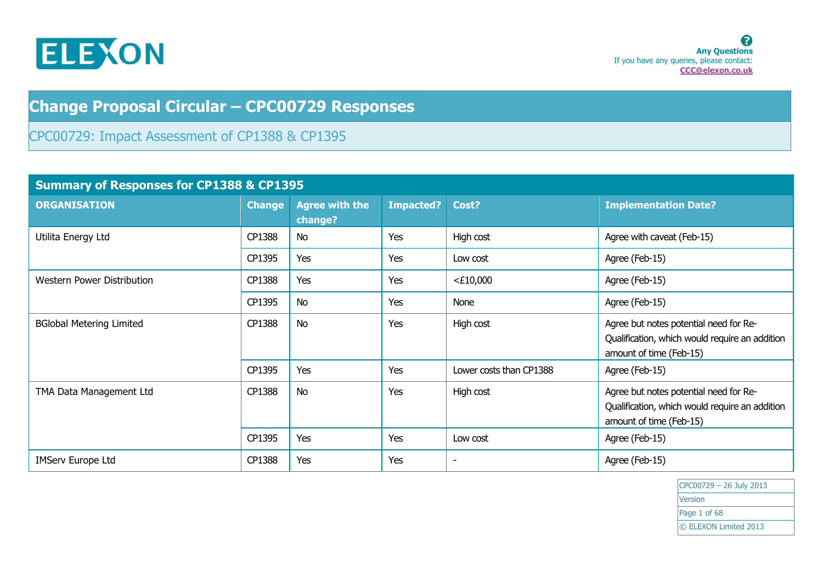

# **Change Proposal Circular – CPC00729 Responses**

CPC00729: Impact Assessment of CP1388 & CP1395

|                                 | <b>Summary of Responses for CP1388 &amp; CP1395</b> |                                  |                  |                          |                                                                                                                     |
|---------------------------------|-----------------------------------------------------|----------------------------------|------------------|--------------------------|---------------------------------------------------------------------------------------------------------------------|
| <b>ORGANISATION</b>             | <b>Change</b>                                       | <b>Agree with the</b><br>change? | <b>Impacted?</b> | Cost?                    | <b>Implementation Date?</b>                                                                                         |
| Utilita Energy Ltd              | CP1388                                              | No                               | Yes              | High cost                | Agree with caveat (Feb-15)                                                                                          |
|                                 | CP1395                                              | Yes                              | Yes              | Low cost                 | Agree (Feb-15)                                                                                                      |
| Western Power Distribution      | CP1388                                              | Yes                              | Yes              | $<$ £10,000              | Agree (Feb-15)                                                                                                      |
|                                 | CP1395                                              | <b>No</b>                        | Yes              | None                     | Agree (Feb-15)                                                                                                      |
| <b>BGlobal Metering Limited</b> | CP1388                                              | <b>No</b>                        | Yes              | High cost                | Agree but notes potential need for Re-<br>Qualification, which would require an addition<br>amount of time (Feb-15) |
|                                 | CP1395                                              | Yes                              | Yes              | Lower costs than CP1388  | Agree (Feb-15)                                                                                                      |
| TMA Data Management Ltd         | CP1388                                              | <b>No</b>                        | Yes              | High cost                | Agree but notes potential need for Re-<br>Qualification, which would require an addition<br>amount of time (Feb-15) |
|                                 | CP1395                                              | Yes                              | Yes              | Low cost                 | Agree (Feb-15)                                                                                                      |
| <b>IMServ Europe Ltd</b>        | CP1388                                              | Yes                              | Yes              | $\overline{\phantom{a}}$ | Agree (Feb-15)                                                                                                      |

CPC00729 – 26 July 2013 Version Page 1 of 68 © ELEXON Limited 2013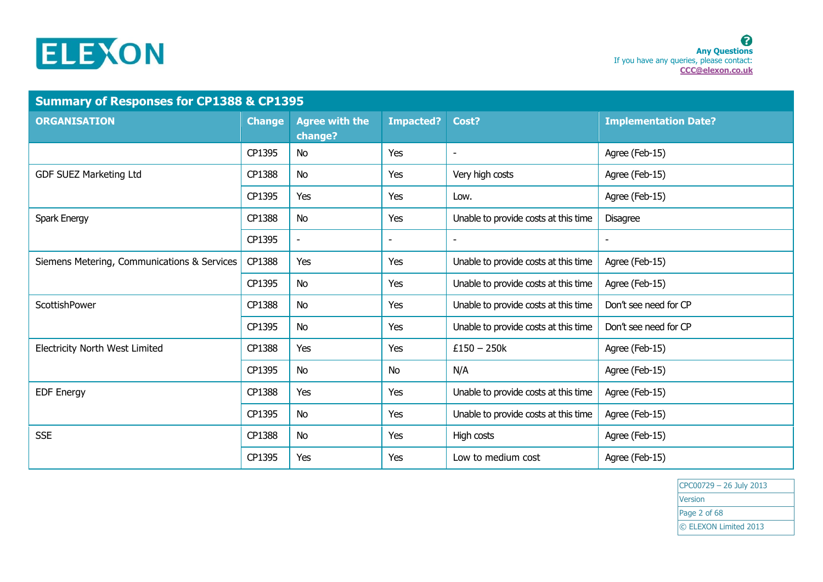

|                                             | <b>Summary of Responses for CP1388 &amp; CP1395</b> |                                  |                  |                                      |                             |
|---------------------------------------------|-----------------------------------------------------|----------------------------------|------------------|--------------------------------------|-----------------------------|
| <b>ORGANISATION</b>                         | <b>Change</b>                                       | <b>Agree with the</b><br>change? | <b>Impacted?</b> | Cost?                                | <b>Implementation Date?</b> |
|                                             | CP1395                                              | No                               | Yes              |                                      | Agree (Feb-15)              |
| <b>GDF SUEZ Marketing Ltd</b>               | CP1388                                              | No                               | Yes              | Very high costs                      | Agree (Feb-15)              |
|                                             | CP1395                                              | Yes                              | Yes              | Low.                                 | Agree (Feb-15)              |
| Spark Energy                                | CP1388                                              | No                               | Yes              | Unable to provide costs at this time | <b>Disagree</b>             |
|                                             | CP1395                                              | $\overline{\phantom{a}}$         | ۰                | $\sim$                               | $\overline{\phantom{a}}$    |
| Siemens Metering, Communications & Services | CP1388                                              | Yes                              | Yes              | Unable to provide costs at this time | Agree (Feb-15)              |
|                                             | CP1395                                              | No                               | Yes              | Unable to provide costs at this time | Agree (Feb-15)              |
| ScottishPower                               | CP1388                                              | No                               | Yes              | Unable to provide costs at this time | Don't see need for CP       |
|                                             | CP1395                                              | <b>No</b>                        | Yes              | Unable to provide costs at this time | Don't see need for CP       |
| <b>Electricity North West Limited</b>       | CP1388                                              | Yes                              | Yes              | $£150 - 250k$                        | Agree (Feb-15)              |
|                                             | CP1395                                              | No                               | No               | N/A                                  | Agree (Feb-15)              |
| <b>EDF Energy</b>                           | CP1388                                              | Yes                              | Yes              | Unable to provide costs at this time | Agree (Feb-15)              |
|                                             | CP1395                                              | No                               | Yes              | Unable to provide costs at this time | Agree (Feb-15)              |
| <b>SSE</b>                                  | CP1388                                              | No                               | Yes              | High costs                           | Agree (Feb-15)              |
|                                             | CP1395                                              | Yes                              | Yes              | Low to medium cost                   | Agree (Feb-15)              |

CPC00729 – 26 July 2013 **Version** Page 2 of 68 © ELEXON Limited 2013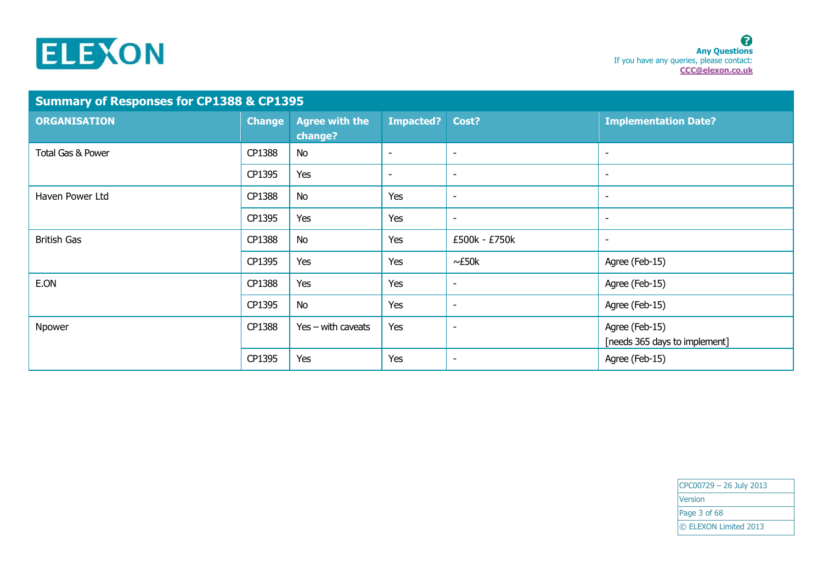

| <b>Summary of Responses for CP1388 &amp; CP1395</b> |               |                                  |                          |                          |                                                 |
|-----------------------------------------------------|---------------|----------------------------------|--------------------------|--------------------------|-------------------------------------------------|
| <b>ORGANISATION</b>                                 | <b>Change</b> | <b>Agree with the</b><br>change? | <b>Impacted?</b>         | Cost?                    | <b>Implementation Date?</b>                     |
| Total Gas & Power                                   | CP1388        | <b>No</b>                        | $\overline{\phantom{a}}$ | $\overline{\phantom{a}}$ | $\overline{\phantom{a}}$                        |
|                                                     | CP1395        | Yes                              | $\overline{\phantom{a}}$ | $\overline{\phantom{a}}$ | $\overline{\phantom{a}}$                        |
| Haven Power Ltd                                     | CP1388        | <b>No</b>                        | Yes                      | $\overline{\phantom{a}}$ | $\overline{\phantom{a}}$                        |
|                                                     | CP1395        | Yes                              | Yes                      | $\overline{\phantom{a}}$ | $\overline{\phantom{a}}$                        |
| <b>British Gas</b>                                  | CP1388        | No                               | Yes                      | £500k - £750k            | $\overline{\phantom{a}}$                        |
|                                                     | CP1395        | Yes                              | Yes                      | $\sim$ £50 $k$           | Agree (Feb-15)                                  |
| E.ON                                                | CP1388        | Yes                              | Yes                      | $\overline{\phantom{a}}$ | Agree (Feb-15)                                  |
|                                                     | CP1395        | <b>No</b>                        | Yes                      | $\overline{\phantom{a}}$ | Agree (Feb-15)                                  |
| Npower                                              | CP1388        | $Yes - with caveats$             | Yes                      | $\overline{\phantom{a}}$ | Agree (Feb-15)<br>[needs 365 days to implement] |
|                                                     | CP1395        | Yes                              | Yes                      | $\overline{\phantom{a}}$ | Agree (Feb-15)                                  |

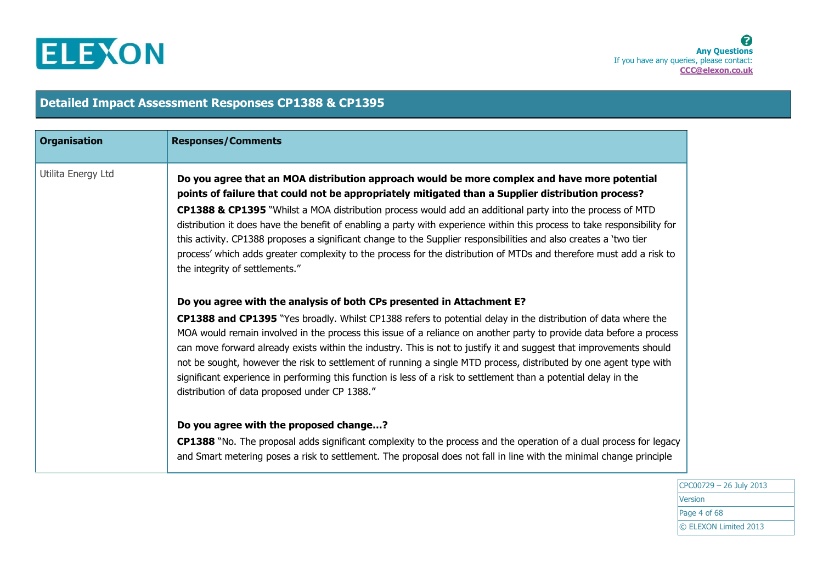

| <b>Organisation</b> | <b>Responses/Comments</b>                                                                                                                                                                                                                                                                                                                                                                                                                                                                                                                                                                                                                                                                                                      |
|---------------------|--------------------------------------------------------------------------------------------------------------------------------------------------------------------------------------------------------------------------------------------------------------------------------------------------------------------------------------------------------------------------------------------------------------------------------------------------------------------------------------------------------------------------------------------------------------------------------------------------------------------------------------------------------------------------------------------------------------------------------|
| Utilita Energy Ltd  | Do you agree that an MOA distribution approach would be more complex and have more potential<br>points of failure that could not be appropriately mitigated than a Supplier distribution process?<br>CP1388 & CP1395 "Whilst a MOA distribution process would add an additional party into the process of MTD<br>distribution it does have the benefit of enabling a party with experience within this process to take responsibility for<br>this activity. CP1388 proposes a significant change to the Supplier responsibilities and also creates a 'two tier<br>process' which adds greater complexity to the process for the distribution of MTDs and therefore must add a risk to<br>the integrity of settlements."        |
|                     | Do you agree with the analysis of both CPs presented in Attachment E?<br>CP1388 and CP1395 "Yes broadly. Whilst CP1388 refers to potential delay in the distribution of data where the<br>MOA would remain involved in the process this issue of a reliance on another party to provide data before a process<br>can move forward already exists within the industry. This is not to justify it and suggest that improvements should<br>not be sought, however the risk to settlement of running a single MTD process, distributed by one agent type with<br>significant experience in performing this function is less of a risk to settlement than a potential delay in the<br>distribution of data proposed under CP 1388." |
|                     | Do you agree with the proposed change?<br><b>CP1388</b> "No. The proposal adds significant complexity to the process and the operation of a dual process for legacy<br>and Smart metering poses a risk to settlement. The proposal does not fall in line with the minimal change principle                                                                                                                                                                                                                                                                                                                                                                                                                                     |

**Detailed Impact Assessment Responses CP1388 & CP1395**

CPC00729 – 26 July 2013 Version Page 4 of 68 © ELEXON Limited 2013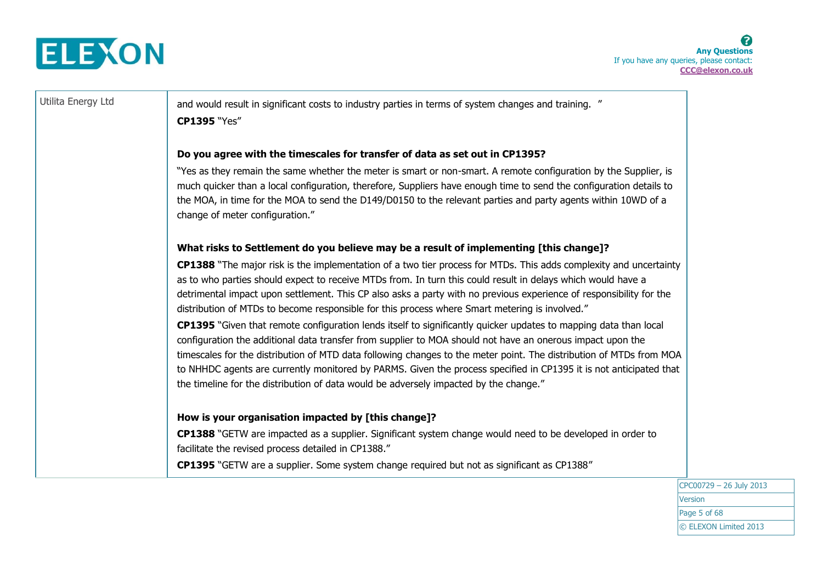

Utilita Energy Ltd and would result in significant costs to industry parties in terms of system changes and training. " **CP1395** "Yes"

### **Do you agree with the timescales for transfer of data as set out in CP1395?**

"Yes as they remain the same whether the meter is smart or non-smart. A remote configuration by the Supplier, is much quicker than a local configuration, therefore, Suppliers have enough time to send the configuration details to the MOA, in time for the MOA to send the D149/D0150 to the relevant parties and party agents within 10WD of a change of meter configuration."

### **What risks to Settlement do you believe may be a result of implementing [this change]?**

**CP1388** "The major risk is the implementation of a two tier process for MTDs. This adds complexity and uncertainty as to who parties should expect to receive MTDs from. In turn this could result in delays which would have a detrimental impact upon settlement. This CP also asks a party with no previous experience of responsibility for the distribution of MTDs to become responsible for this process where Smart metering is involved."

**CP1395** "Given that remote configuration lends itself to significantly quicker updates to mapping data than local configuration the additional data transfer from supplier to MOA should not have an onerous impact upon the timescales for the distribution of MTD data following changes to the meter point. The distribution of MTDs from MOA to NHHDC agents are currently monitored by PARMS. Given the process specified in CP1395 it is not anticipated that the timeline for the distribution of data would be adversely impacted by the change."

### **How is your organisation impacted by [this change]?**

**CP1388** "GETW are impacted as a supplier. Significant system change would need to be developed in order to facilitate the revised process detailed in CP1388."

**CP1395** "GETW are a supplier. Some system change required but not as significant as CP1388"

CPC00729 – 26 July 2013 Version Page 5 of 68 © ELEXON Limited 2013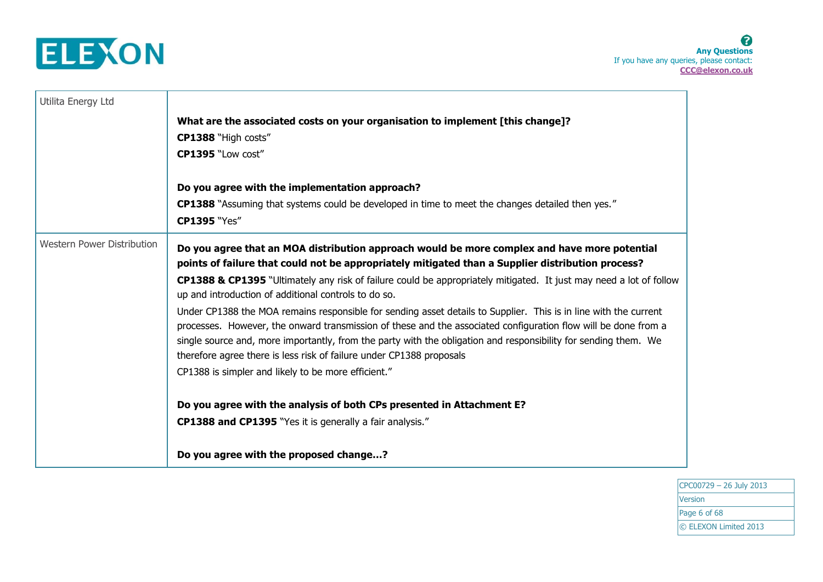

| Utilita Energy Ltd                |                                                                                                                                                                                                                                                                                                                                                                                                                               |
|-----------------------------------|-------------------------------------------------------------------------------------------------------------------------------------------------------------------------------------------------------------------------------------------------------------------------------------------------------------------------------------------------------------------------------------------------------------------------------|
|                                   | What are the associated costs on your organisation to implement [this change]?                                                                                                                                                                                                                                                                                                                                                |
|                                   | CP1388 "High costs"                                                                                                                                                                                                                                                                                                                                                                                                           |
|                                   | CP1395 "Low cost"                                                                                                                                                                                                                                                                                                                                                                                                             |
|                                   | Do you agree with the implementation approach?                                                                                                                                                                                                                                                                                                                                                                                |
|                                   | <b>CP1388</b> "Assuming that systems could be developed in time to meet the changes detailed then yes."                                                                                                                                                                                                                                                                                                                       |
|                                   | <b>CP1395 "Yes"</b>                                                                                                                                                                                                                                                                                                                                                                                                           |
| <b>Western Power Distribution</b> | Do you agree that an MOA distribution approach would be more complex and have more potential<br>points of failure that could not be appropriately mitigated than a Supplier distribution process?                                                                                                                                                                                                                             |
|                                   | CP1388 & CP1395 "Ultimately any risk of failure could be appropriately mitigated. It just may need a lot of follow<br>up and introduction of additional controls to do so.                                                                                                                                                                                                                                                    |
|                                   | Under CP1388 the MOA remains responsible for sending asset details to Supplier. This is in line with the current<br>processes. However, the onward transmission of these and the associated configuration flow will be done from a<br>single source and, more importantly, from the party with the obligation and responsibility for sending them. We<br>therefore agree there is less risk of failure under CP1388 proposals |
|                                   | CP1388 is simpler and likely to be more efficient."                                                                                                                                                                                                                                                                                                                                                                           |
|                                   | Do you agree with the analysis of both CPs presented in Attachment E?                                                                                                                                                                                                                                                                                                                                                         |
|                                   | <b>CP1388 and CP1395</b> "Yes it is generally a fair analysis."                                                                                                                                                                                                                                                                                                                                                               |
|                                   |                                                                                                                                                                                                                                                                                                                                                                                                                               |
|                                   | Do you agree with the proposed change?                                                                                                                                                                                                                                                                                                                                                                                        |

CPC00729 – 26 July 2013 **Version** Page 6 of 68 © ELEXON Limited 2013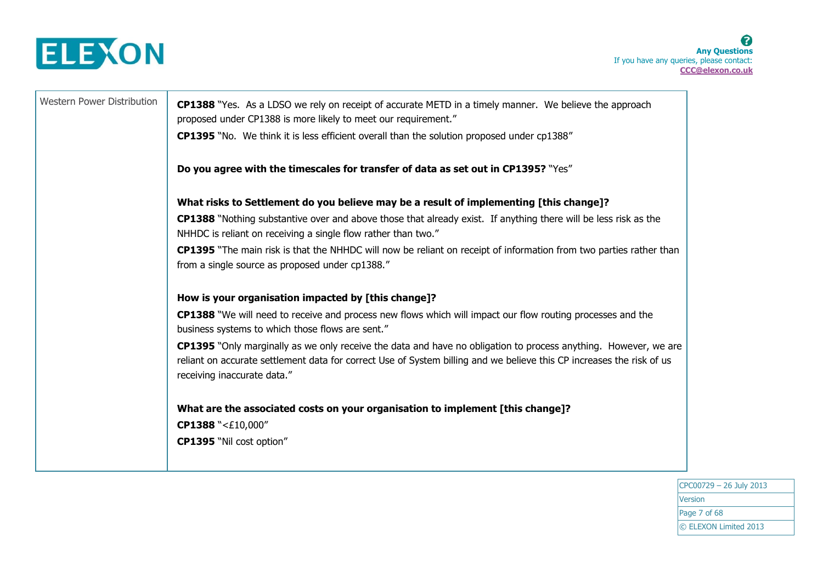

Western Power Distribution | **CP1388** "Yes. As a LDSO we rely on receipt of accurate METD in a timely manner. We believe the approach proposed under CP1388 is more likely to meet our requirement." **CP1395** "No. We think it is less efficient overall than the solution proposed under cp1388" **Do you agree with the timescales for transfer of data as set out in CP1395?** "Yes" **What risks to Settlement do you believe may be a result of implementing [this change]? CP1388** "Nothing substantive over and above those that already exist. If anything there will be less risk as the NHHDC is reliant on receiving a single flow rather than two." **CP1395** "The main risk is that the NHHDC will now be reliant on receipt of information from two parties rather than from a single source as proposed under cp1388." **How is your organisation impacted by [this change]? CP1388** "We will need to receive and process new flows which will impact our flow routing processes and the business systems to which those flows are sent." **CP1395** "Only marginally as we only receive the data and have no obligation to process anything. However, we are reliant on accurate settlement data for correct Use of System billing and we believe this CP increases the risk of us receiving inaccurate data." **What are the associated costs on your organisation to implement [this change]? CP1388** "<£10,000" **CP1395** "Nil cost option"

> CPC00729 – 26 July 2013 Version Page 7 of 68 © ELEXON Limited 2013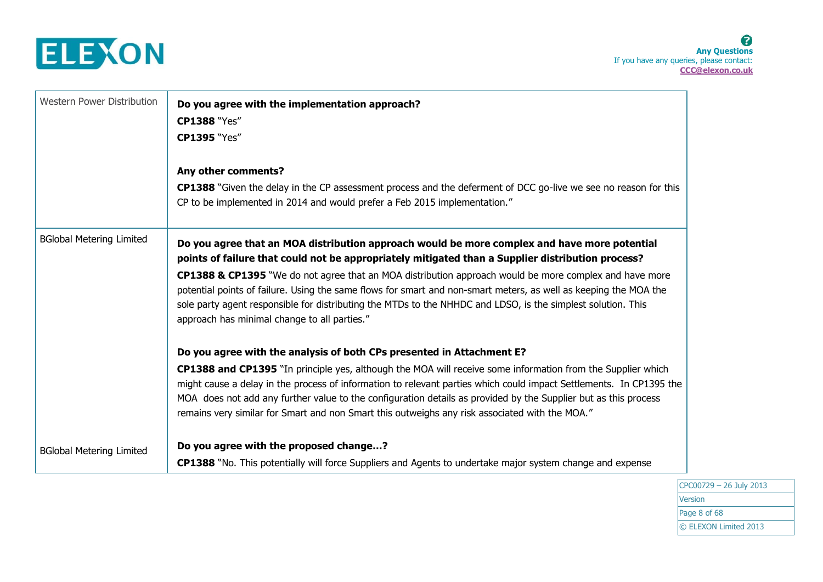

8 **Any Questions** If you have any queries, please contact: **CCC@elexon.co.uk**

| Western Power Distribution      | Do you agree with the implementation approach?                                                                                                                                                                                                                                                                                                                                                                                                          |
|---------------------------------|---------------------------------------------------------------------------------------------------------------------------------------------------------------------------------------------------------------------------------------------------------------------------------------------------------------------------------------------------------------------------------------------------------------------------------------------------------|
|                                 | <b>CP1388 "Yes"</b>                                                                                                                                                                                                                                                                                                                                                                                                                                     |
|                                 | <b>CP1395 "Yes"</b>                                                                                                                                                                                                                                                                                                                                                                                                                                     |
|                                 | Any other comments?                                                                                                                                                                                                                                                                                                                                                                                                                                     |
|                                 | CP1388 "Given the delay in the CP assessment process and the deferment of DCC go-live we see no reason for this<br>CP to be implemented in 2014 and would prefer a Feb 2015 implementation."                                                                                                                                                                                                                                                            |
| <b>BGlobal Metering Limited</b> | Do you agree that an MOA distribution approach would be more complex and have more potential<br>points of failure that could not be appropriately mitigated than a Supplier distribution process?                                                                                                                                                                                                                                                       |
|                                 | CP1388 & CP1395 "We do not agree that an MOA distribution approach would be more complex and have more<br>potential points of failure. Using the same flows for smart and non-smart meters, as well as keeping the MOA the<br>sole party agent responsible for distributing the MTDs to the NHHDC and LDSO, is the simplest solution. This<br>approach has minimal change to all parties."                                                              |
|                                 | Do you agree with the analysis of both CPs presented in Attachment E?                                                                                                                                                                                                                                                                                                                                                                                   |
|                                 | CP1388 and CP1395 "In principle yes, although the MOA will receive some information from the Supplier which<br>might cause a delay in the process of information to relevant parties which could impact Settlements. In CP1395 the<br>MOA does not add any further value to the configuration details as provided by the Supplier but as this process<br>remains very similar for Smart and non Smart this outweighs any risk associated with the MOA." |
| <b>BGlobal Metering Limited</b> | Do you agree with the proposed change?                                                                                                                                                                                                                                                                                                                                                                                                                  |
|                                 | CP1388 "No. This potentially will force Suppliers and Agents to undertake major system change and expense                                                                                                                                                                                                                                                                                                                                               |

CPC00729 – 26 July 2013 **Version** Page 8 of 68 © ELEXON Limited 2013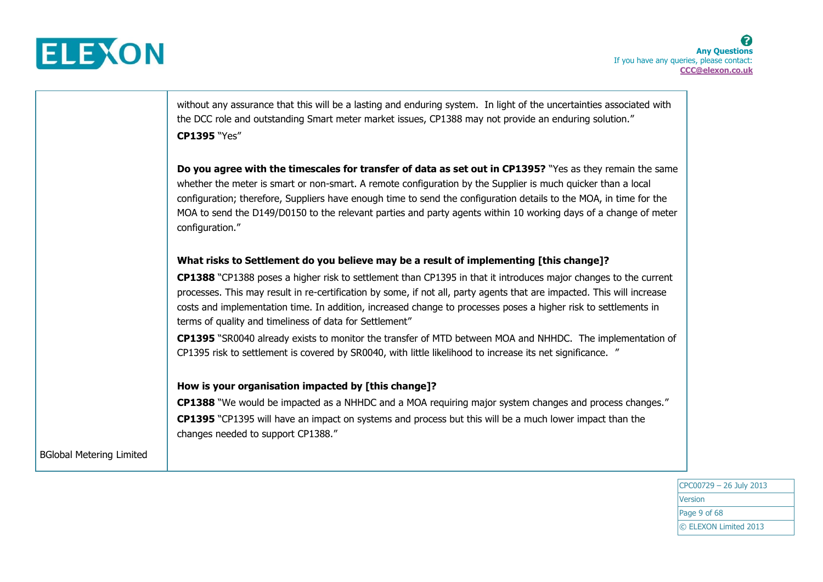

without any assurance that this will be a lasting and enduring system. In light of the uncertainties associated with the DCC role and outstanding Smart meter market issues, CP1388 may not provide an enduring solution." **CP1395** "Yes"

**Do you agree with the timescales for transfer of data as set out in CP1395?** "Yes as they remain the same whether the meter is smart or non-smart. A remote configuration by the Supplier is much quicker than a local configuration; therefore, Suppliers have enough time to send the configuration details to the MOA, in time for the MOA to send the D149/D0150 to the relevant parties and party agents within 10 working days of a change of meter configuration."

### **What risks to Settlement do you believe may be a result of implementing [this change]?**

**CP1388** "CP1388 poses a higher risk to settlement than CP1395 in that it introduces major changes to the current processes. This may result in re-certification by some, if not all, party agents that are impacted. This will increase costs and implementation time. In addition, increased change to processes poses a higher risk to settlements in terms of quality and timeliness of data for Settlement"

**CP1395** "SR0040 already exists to monitor the transfer of MTD between MOA and NHHDC. The implementation of CP1395 risk to settlement is covered by SR0040, with little likelihood to increase its net significance. "

### **How is your organisation impacted by [this change]?**

**CP1388** "We would be impacted as a NHHDC and a MOA requiring major system changes and process changes." **CP1395** "CP1395 will have an impact on systems and process but this will be a much lower impact than the changes needed to support CP1388."

BGlobal Metering Limited

CPC00729 – 26 July 2013 Version Page 9 of 68 © ELEXON Limited 2013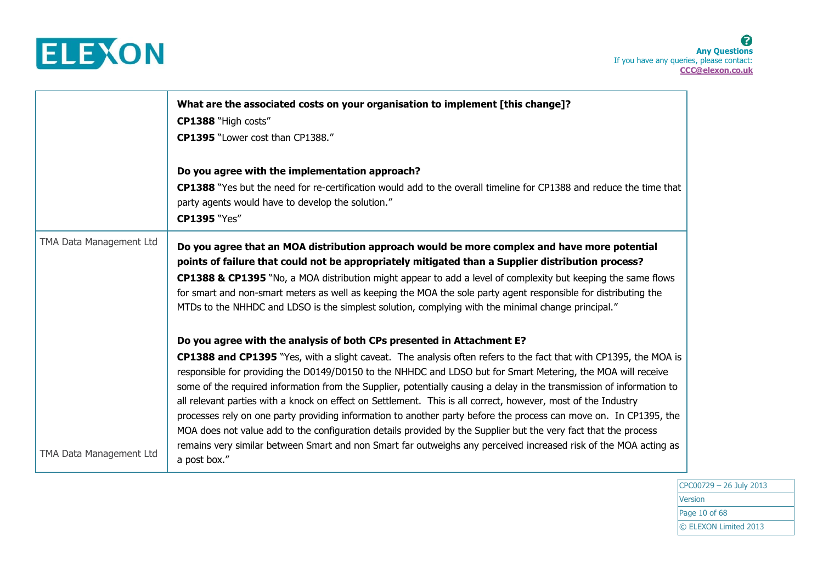

|                         | What are the associated costs on your organisation to implement [this change]?<br>CP1388 "High costs"<br>CP1395 "Lower cost than CP1388."<br>Do you agree with the implementation approach?<br><b>CP1388</b> "Yes but the need for re-certification would add to the overall timeline for CP1388 and reduce the time that<br>party agents would have to develop the solution."<br><b>CP1395 "Yes"</b>                                                                                                                                                                                                                                                                                                                                                                                                                                                                                                                           |
|-------------------------|---------------------------------------------------------------------------------------------------------------------------------------------------------------------------------------------------------------------------------------------------------------------------------------------------------------------------------------------------------------------------------------------------------------------------------------------------------------------------------------------------------------------------------------------------------------------------------------------------------------------------------------------------------------------------------------------------------------------------------------------------------------------------------------------------------------------------------------------------------------------------------------------------------------------------------|
| TMA Data Management Ltd | Do you agree that an MOA distribution approach would be more complex and have more potential<br>points of failure that could not be appropriately mitigated than a Supplier distribution process?<br>CP1388 & CP1395 "No, a MOA distribution might appear to add a level of complexity but keeping the same flows<br>for smart and non-smart meters as well as keeping the MOA the sole party agent responsible for distributing the<br>MTDs to the NHHDC and LDSO is the simplest solution, complying with the minimal change principal."                                                                                                                                                                                                                                                                                                                                                                                      |
| TMA Data Management Ltd | Do you agree with the analysis of both CPs presented in Attachment E?<br>CP1388 and CP1395 "Yes, with a slight caveat. The analysis often refers to the fact that with CP1395, the MOA is<br>responsible for providing the D0149/D0150 to the NHHDC and LDSO but for Smart Metering, the MOA will receive<br>some of the required information from the Supplier, potentially causing a delay in the transmission of information to<br>all relevant parties with a knock on effect on Settlement. This is all correct, however, most of the Industry<br>processes rely on one party providing information to another party before the process can move on. In CP1395, the<br>MOA does not value add to the configuration details provided by the Supplier but the very fact that the process<br>remains very similar between Smart and non Smart far outweighs any perceived increased risk of the MOA acting as<br>a post box." |

CPC00729 – 26 July 2013 **Version** Page 10 of 68 © ELEXON Limited 2013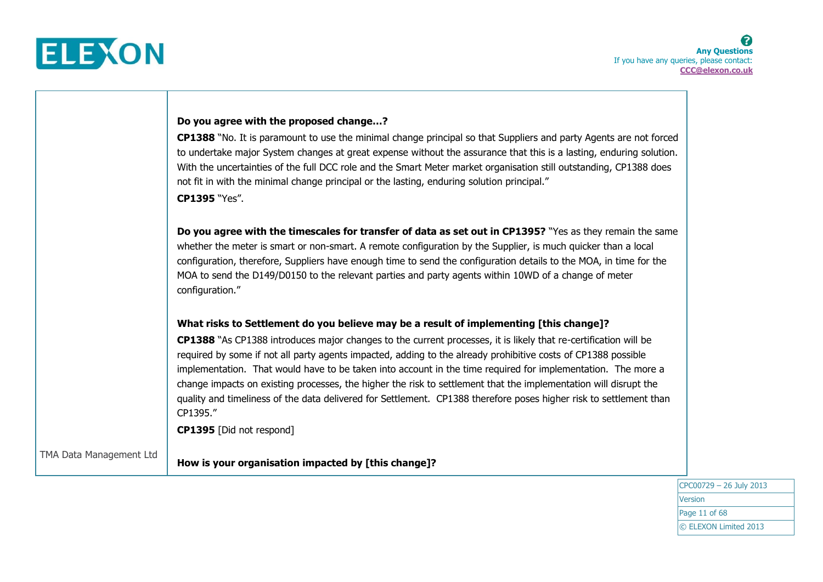

|                         | Do you agree with the proposed change?                                                                                                                                                                                                                                                                                                                                                                                                                                                                                                                                                                                             |
|-------------------------|------------------------------------------------------------------------------------------------------------------------------------------------------------------------------------------------------------------------------------------------------------------------------------------------------------------------------------------------------------------------------------------------------------------------------------------------------------------------------------------------------------------------------------------------------------------------------------------------------------------------------------|
|                         | CP1388 "No. It is paramount to use the minimal change principal so that Suppliers and party Agents are not forced<br>to undertake major System changes at great expense without the assurance that this is a lasting, enduring solution.<br>With the uncertainties of the full DCC role and the Smart Meter market organisation still outstanding, CP1388 does<br>not fit in with the minimal change principal or the lasting, enduring solution principal."<br>CP1395 "Yes".                                                                                                                                                      |
|                         | Do you agree with the timescales for transfer of data as set out in CP1395? "Yes as they remain the same<br>whether the meter is smart or non-smart. A remote configuration by the Supplier, is much quicker than a local<br>configuration, therefore, Suppliers have enough time to send the configuration details to the MOA, in time for the<br>MOA to send the D149/D0150 to the relevant parties and party agents within 10WD of a change of meter<br>configuration."                                                                                                                                                         |
|                         | What risks to Settlement do you believe may be a result of implementing [this change]?                                                                                                                                                                                                                                                                                                                                                                                                                                                                                                                                             |
|                         | CP1388 "As CP1388 introduces major changes to the current processes, it is likely that re-certification will be<br>required by some if not all party agents impacted, adding to the already prohibitive costs of CP1388 possible<br>implementation. That would have to be taken into account in the time required for implementation. The more a<br>change impacts on existing processes, the higher the risk to settlement that the implementation will disrupt the<br>quality and timeliness of the data delivered for Settlement. CP1388 therefore poses higher risk to settlement than<br>CP1395."<br>CP1395 [Did not respond] |
| TMA Data Management Ltd | How is your organisation impacted by [this change]?                                                                                                                                                                                                                                                                                                                                                                                                                                                                                                                                                                                |

CPC00729 – 26 July 2013 **Version** Page 11 of 68 © ELEXON Limited 2013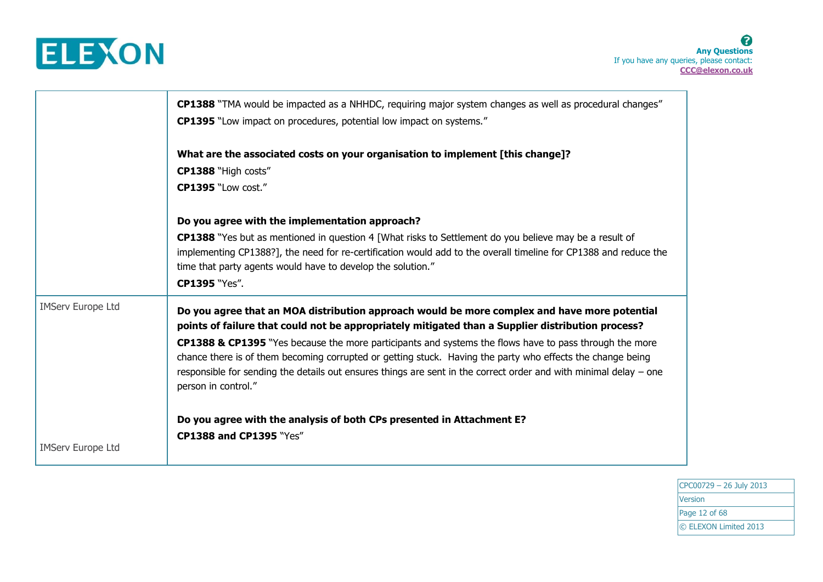

|                          | CP1388 "TMA would be impacted as a NHHDC, requiring major system changes as well as procedural changes"<br><b>CP1395</b> "Low impact on procedures, potential low impact on systems."                                                                                                                                                                            |
|--------------------------|------------------------------------------------------------------------------------------------------------------------------------------------------------------------------------------------------------------------------------------------------------------------------------------------------------------------------------------------------------------|
|                          | What are the associated costs on your organisation to implement [this change]?<br>CP1388 "High costs"<br>CP1395 "Low cost."                                                                                                                                                                                                                                      |
|                          | Do you agree with the implementation approach?                                                                                                                                                                                                                                                                                                                   |
|                          | <b>CP1388</b> "Yes but as mentioned in question 4 [What risks to Settlement do you believe may be a result of<br>implementing CP1388?], the need for re-certification would add to the overall timeline for CP1388 and reduce the<br>time that party agents would have to develop the solution."<br>CP1395 "Yes".                                                |
| <b>IMServ Europe Ltd</b> | Do you agree that an MOA distribution approach would be more complex and have more potential<br>points of failure that could not be appropriately mitigated than a Supplier distribution process?                                                                                                                                                                |
|                          | CP1388 & CP1395 "Yes because the more participants and systems the flows have to pass through the more<br>chance there is of them becoming corrupted or getting stuck. Having the party who effects the change being<br>responsible for sending the details out ensures things are sent in the correct order and with minimal delay – one<br>person in control." |
|                          | Do you agree with the analysis of both CPs presented in Attachment E?                                                                                                                                                                                                                                                                                            |
| <b>IMServ Europe Ltd</b> | CP1388 and CP1395 "Yes"                                                                                                                                                                                                                                                                                                                                          |

CPC00729 – 26 July 2013 **Version** Page 12 of 68 © ELEXON Limited 2013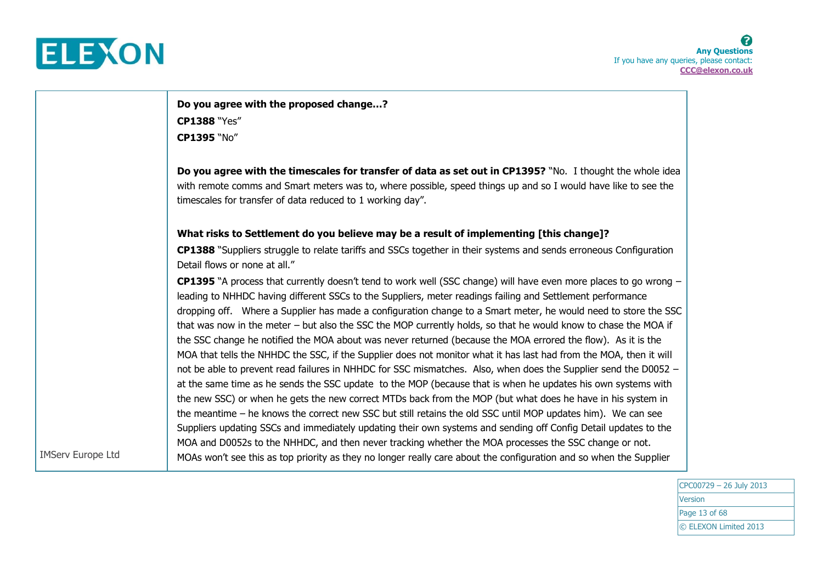

IMServ Europe Ltd

**Do you agree with the proposed change…? CP1388** "Yes" **CP1395** "No"

**Do you agree with the timescales for transfer of data as set out in CP1395?** "No. I thought the whole idea with remote comms and Smart meters was to, where possible, speed things up and so I would have like to see the timescales for transfer of data reduced to 1 working day".

### **What risks to Settlement do you believe may be a result of implementing [this change]?**

**CP1388** "Suppliers struggle to relate tariffs and SSCs together in their systems and sends erroneous Configuration Detail flows or none at all."

**CP1395** "A process that currently doesn't tend to work well (SSC change) will have even more places to go wrong – leading to NHHDC having different SSCs to the Suppliers, meter readings failing and Settlement performance dropping off. Where a Supplier has made a configuration change to a Smart meter, he would need to store the SSC that was now in the meter – but also the SSC the MOP currently holds, so that he would know to chase the MOA if the SSC change he notified the MOA about was never returned (because the MOA errored the flow). As it is the MOA that tells the NHHDC the SSC, if the Supplier does not monitor what it has last had from the MOA, then it will not be able to prevent read failures in NHHDC for SSC mismatches. Also, when does the Supplier send the D0052 – at the same time as he sends the SSC update to the MOP (because that is when he updates his own systems with the new SSC) or when he gets the new correct MTDs back from the MOP (but what does he have in his system in the meantime – he knows the correct new SSC but still retains the old SSC until MOP updates him). We can see Suppliers updating SSCs and immediately updating their own systems and sending off Config Detail updates to the MOA and D0052s to the NHHDC, and then never tracking whether the MOA processes the SSC change or not. MOAs won't see this as top priority as they no longer really care about the configuration and so when the Supplier

> CPC00729 – 26 July 2013 Version Page 13 of 68 © ELEXON Limited 2013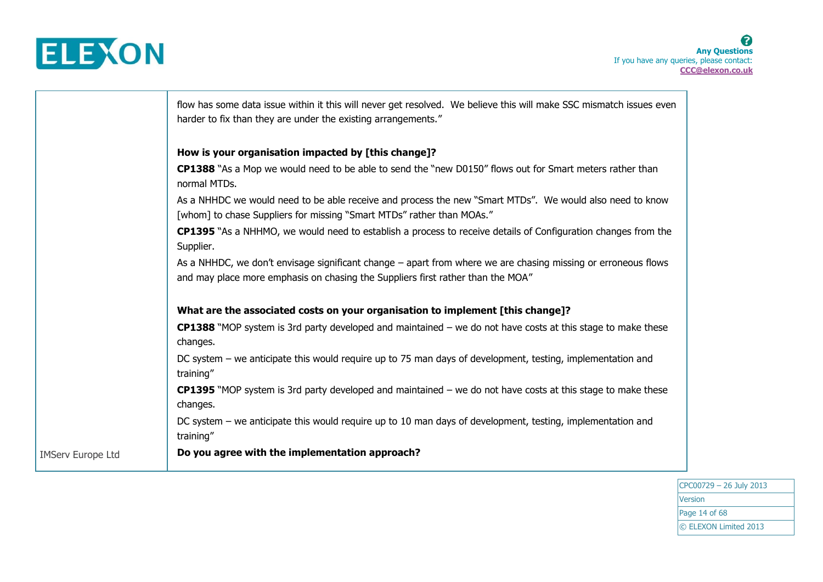

┱

|                          | flow has some data issue within it this will never get resolved. We believe this will make SSC mismatch issues even<br>harder to fix than they are under the existing arrangements."             |
|--------------------------|--------------------------------------------------------------------------------------------------------------------------------------------------------------------------------------------------|
|                          | How is your organisation impacted by [this change]?                                                                                                                                              |
|                          | CP1388 "As a Mop we would need to be able to send the "new D0150" flows out for Smart meters rather than<br>normal MTDs.                                                                         |
|                          | As a NHHDC we would need to be able receive and process the new "Smart MTDs". We would also need to know<br>[whom] to chase Suppliers for missing "Smart MTDs" rather than MOAs."                |
|                          | CP1395 "As a NHHMO, we would need to establish a process to receive details of Configuration changes from the<br>Supplier.                                                                       |
|                          | As a NHHDC, we don't envisage significant change – apart from where we are chasing missing or erroneous flows<br>and may place more emphasis on chasing the Suppliers first rather than the MOA" |
|                          | What are the associated costs on your organisation to implement [this change]?                                                                                                                   |
|                          | <b>CP1388</b> "MOP system is 3rd party developed and maintained $-$ we do not have costs at this stage to make these<br>changes.                                                                 |
|                          | DC system – we anticipate this would require up to 75 man days of development, testing, implementation and<br>training"                                                                          |
|                          | <b>CP1395</b> "MOP system is 3rd party developed and maintained – we do not have costs at this stage to make these<br>changes.                                                                   |
|                          | DC system – we anticipate this would require up to 10 man days of development, testing, implementation and<br>training"                                                                          |
| <b>IMServ Europe Ltd</b> | Do you agree with the implementation approach?                                                                                                                                                   |

CPC00729 – 26 July 2013 Version Page 14 of 68 © ELEXON Limited 2013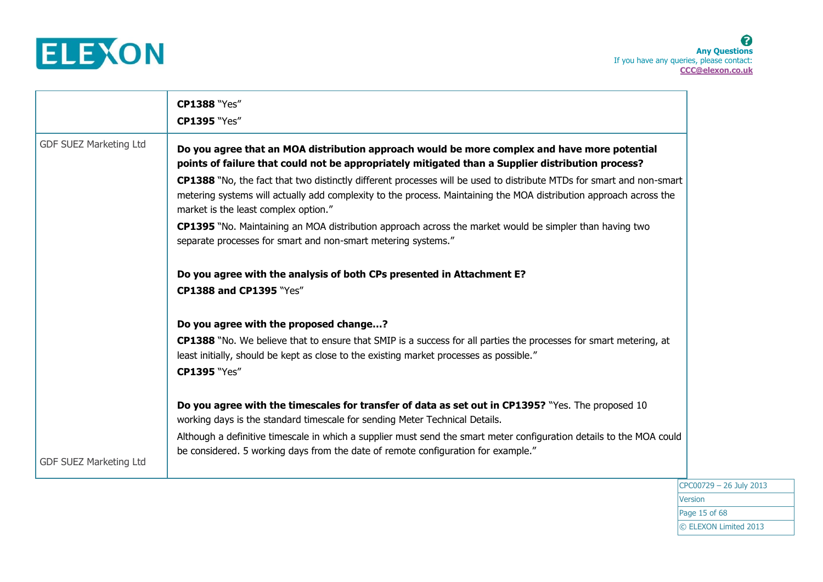

8 **Any Questions** If you have any queries, please contact: **CCC@elexon.co.uk**

|                               | <b>CP1388 "Yes"</b><br><b>CP1395 "Yes"</b>                                                                                                                                                                                                                                                                                                                                                                                                                                                                                                                                                                                                                                                                                                                              |
|-------------------------------|-------------------------------------------------------------------------------------------------------------------------------------------------------------------------------------------------------------------------------------------------------------------------------------------------------------------------------------------------------------------------------------------------------------------------------------------------------------------------------------------------------------------------------------------------------------------------------------------------------------------------------------------------------------------------------------------------------------------------------------------------------------------------|
| <b>GDF SUEZ Marketing Ltd</b> | Do you agree that an MOA distribution approach would be more complex and have more potential<br>points of failure that could not be appropriately mitigated than a Supplier distribution process?<br>CP1388 "No, the fact that two distinctly different processes will be used to distribute MTDs for smart and non-smart<br>metering systems will actually add complexity to the process. Maintaining the MOA distribution approach across the<br>market is the least complex option."<br>CP1395 "No. Maintaining an MOA distribution approach across the market would be simpler than having two<br>separate processes for smart and non-smart metering systems."<br>Do you agree with the analysis of both CPs presented in Attachment E?<br>CP1388 and CP1395 "Yes" |
| <b>GDF SUEZ Marketing Ltd</b> | Do you agree with the proposed change?<br>CP1388 "No. We believe that to ensure that SMIP is a success for all parties the processes for smart metering, at<br>least initially, should be kept as close to the existing market processes as possible."<br><b>CP1395 "Yes"</b><br>Do you agree with the timescales for transfer of data as set out in CP1395? "Yes. The proposed 10<br>working days is the standard timescale for sending Meter Technical Details.<br>Although a definitive timescale in which a supplier must send the smart meter configuration details to the MOA could<br>be considered. 5 working days from the date of remote configuration for example."                                                                                          |

CPC00729 – 26 July 2013 **Version** Page 15 of 68 © ELEXON Limited 2013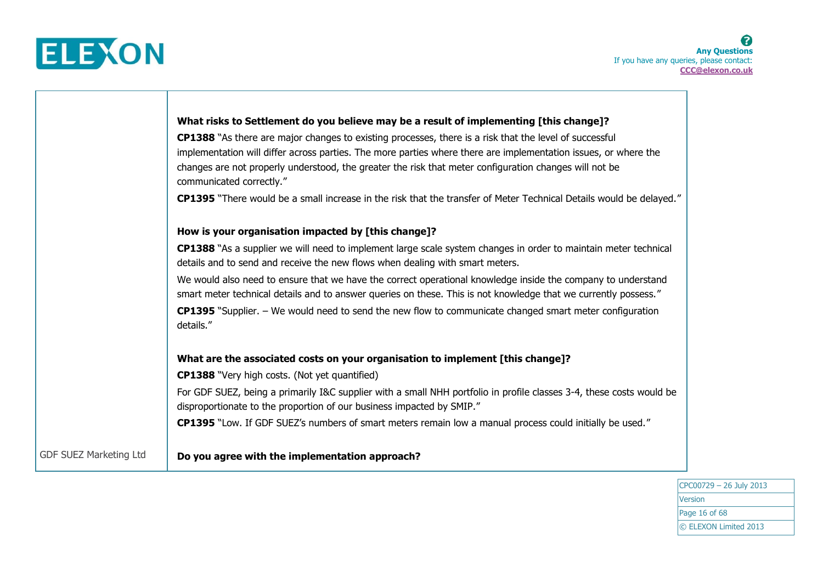

|                               | What risks to Settlement do you believe may be a result of implementing [this change]?                                                                                                                                          |
|-------------------------------|---------------------------------------------------------------------------------------------------------------------------------------------------------------------------------------------------------------------------------|
|                               | CP1388 "As there are major changes to existing processes, there is a risk that the level of successful                                                                                                                          |
|                               | implementation will differ across parties. The more parties where there are implementation issues, or where the                                                                                                                 |
|                               | changes are not properly understood, the greater the risk that meter configuration changes will not be<br>communicated correctly."                                                                                              |
|                               | CP1395 "There would be a small increase in the risk that the transfer of Meter Technical Details would be delayed."                                                                                                             |
|                               | How is your organisation impacted by [this change]?                                                                                                                                                                             |
|                               | CP1388 "As a supplier we will need to implement large scale system changes in order to maintain meter technical                                                                                                                 |
|                               | details and to send and receive the new flows when dealing with smart meters.                                                                                                                                                   |
|                               | We would also need to ensure that we have the correct operational knowledge inside the company to understand<br>smart meter technical details and to answer queries on these. This is not knowledge that we currently possess." |
|                               | <b>CP1395</b> "Supplier. - We would need to send the new flow to communicate changed smart meter configuration<br>details."                                                                                                     |
|                               | What are the associated costs on your organisation to implement [this change]?                                                                                                                                                  |
|                               | <b>CP1388</b> "Very high costs. (Not yet quantified)                                                                                                                                                                            |
|                               | For GDF SUEZ, being a primarily I&C supplier with a small NHH portfolio in profile classes 3-4, these costs would be<br>disproportionate to the proportion of our business impacted by SMIP."                                   |
|                               | CP1395 "Low. If GDF SUEZ's numbers of smart meters remain low a manual process could initially be used."                                                                                                                        |
| <b>GDF SUEZ Marketing Ltd</b> | Do you agree with the implementation approach?                                                                                                                                                                                  |

CPC00729 – 26 July 2013 Version Page 16 of 68 © ELEXON Limited 2013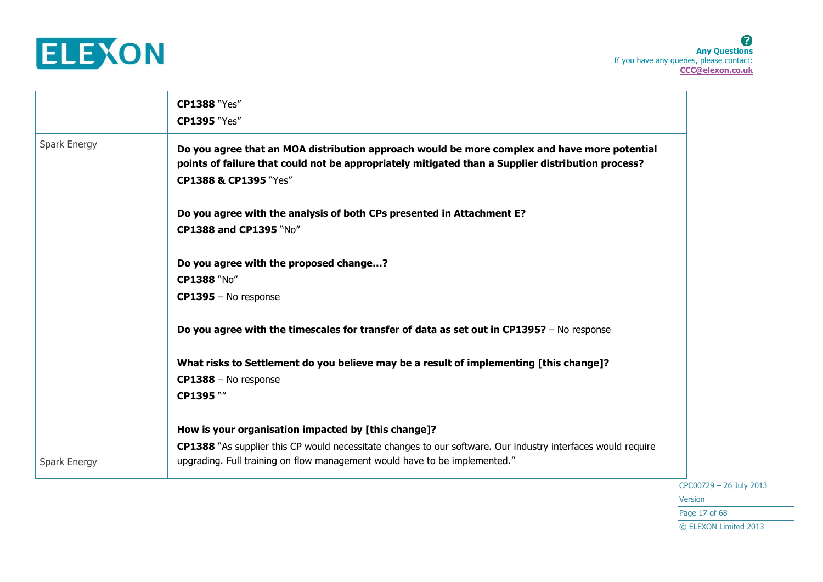

8 **Any Questions** If you have any queries, please contact: **CCC@elexon.co.uk**

|              | <b>CP1388 "Yes"</b><br><b>CP1395 "Yes"</b>                                                                                                                                                                                 |  |
|--------------|----------------------------------------------------------------------------------------------------------------------------------------------------------------------------------------------------------------------------|--|
| Spark Energy | Do you agree that an MOA distribution approach would be more complex and have more potential<br>points of failure that could not be appropriately mitigated than a Supplier distribution process?<br>CP1388 & CP1395 "Yes" |  |
|              | Do you agree with the analysis of both CPs presented in Attachment E?<br>CP1388 and CP1395 "No"                                                                                                                            |  |
|              | Do you agree with the proposed change?                                                                                                                                                                                     |  |
|              | CP1388 "No"                                                                                                                                                                                                                |  |
|              | CP1395 - No response                                                                                                                                                                                                       |  |
|              | Do you agree with the timescales for transfer of data as set out in CP1395? - No response                                                                                                                                  |  |
|              | What risks to Settlement do you believe may be a result of implementing [this change]?                                                                                                                                     |  |
|              | CP1388 - No response                                                                                                                                                                                                       |  |
|              | CP1395 W                                                                                                                                                                                                                   |  |
|              | How is your organisation impacted by [this change]?                                                                                                                                                                        |  |
| Spark Energy | CP1388 "As supplier this CP would necessitate changes to our software. Our industry interfaces would require<br>upgrading. Full training on flow management would have to be implemented."                                 |  |
|              |                                                                                                                                                                                                                            |  |

CPC00729 – 26 July 2013 **Version** Page 17 of 68 © ELEXON Limited 2013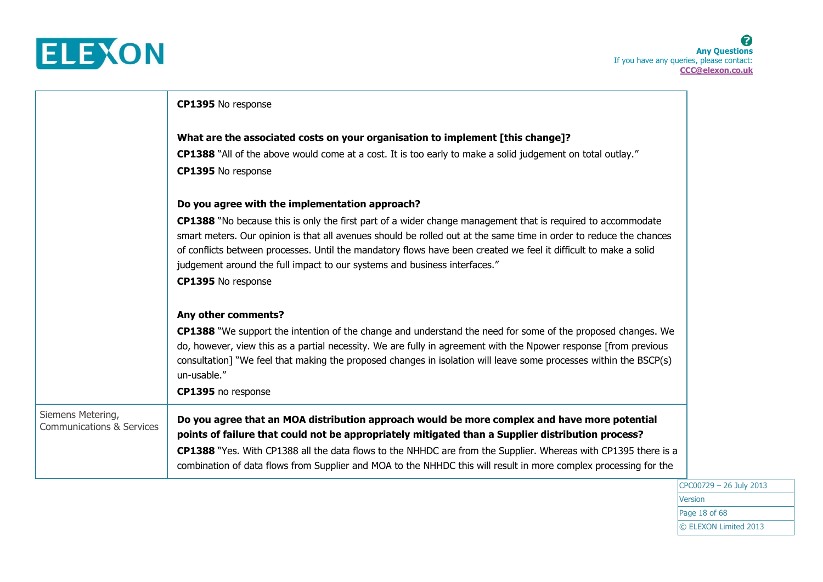

|                                      | CP1395 No response                                                                                                                                                                                                                                                                                                                                                                                                                                              |
|--------------------------------------|-----------------------------------------------------------------------------------------------------------------------------------------------------------------------------------------------------------------------------------------------------------------------------------------------------------------------------------------------------------------------------------------------------------------------------------------------------------------|
|                                      | What are the associated costs on your organisation to implement [this change]?                                                                                                                                                                                                                                                                                                                                                                                  |
|                                      | <b>CP1388</b> "All of the above would come at a cost. It is too early to make a solid judgement on total outlay."                                                                                                                                                                                                                                                                                                                                               |
|                                      | CP1395 No response                                                                                                                                                                                                                                                                                                                                                                                                                                              |
|                                      | Do you agree with the implementation approach?                                                                                                                                                                                                                                                                                                                                                                                                                  |
|                                      | <b>CP1388</b> "No because this is only the first part of a wider change management that is required to accommodate<br>smart meters. Our opinion is that all avenues should be rolled out at the same time in order to reduce the chances<br>of conflicts between processes. Until the mandatory flows have been created we feel it difficult to make a solid<br>judgement around the full impact to our systems and business interfaces."<br>CP1395 No response |
|                                      | Any other comments?                                                                                                                                                                                                                                                                                                                                                                                                                                             |
|                                      | <b>CP1388</b> "We support the intention of the change and understand the need for some of the proposed changes. We<br>do, however, view this as a partial necessity. We are fully in agreement with the Npower response [from previous<br>consultation] "We feel that making the proposed changes in isolation will leave some processes within the BSCP(s)<br>un-usable."<br>CP1395 no response                                                                |
| Siemens Metering,                    | Do you agree that an MOA distribution approach would be more complex and have more potential                                                                                                                                                                                                                                                                                                                                                                    |
| <b>Communications &amp; Services</b> | points of failure that could not be appropriately mitigated than a Supplier distribution process?                                                                                                                                                                                                                                                                                                                                                               |
|                                      | CP1388 "Yes. With CP1388 all the data flows to the NHHDC are from the Supplier. Whereas with CP1395 there is a<br>combination of data flows from Supplier and MOA to the NHHDC this will result in more complex processing for the                                                                                                                                                                                                                              |

CPC00729 – 26 July 2013 Version Page 18 of 68 © ELEXON Limited 2013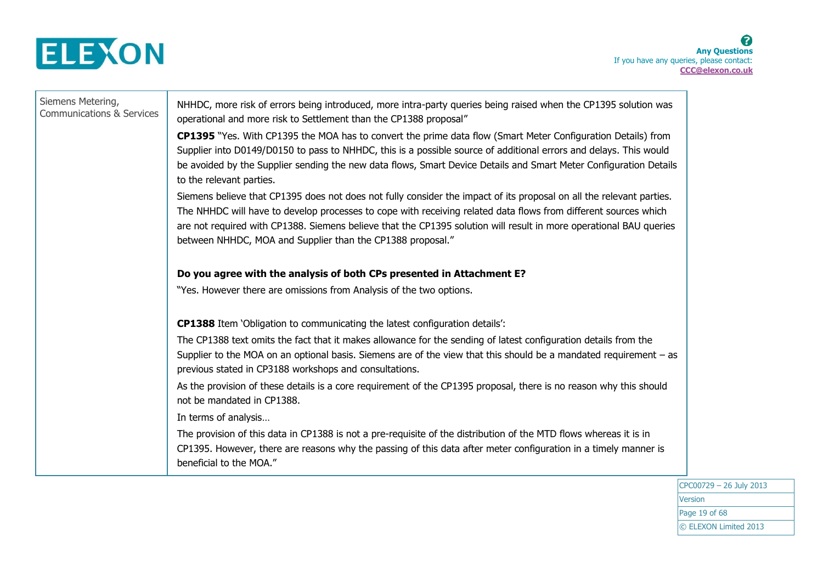

| Siemens Metering,<br><b>Communications &amp; Services</b> | NHHDC, more risk of errors being introduced, more intra-party queries being raised when the CP1395 solution was<br>operational and more risk to Settlement than the CP1388 proposal"<br>CP1395 "Yes. With CP1395 the MOA has to convert the prime data flow (Smart Meter Configuration Details) from<br>Supplier into D0149/D0150 to pass to NHHDC, this is a possible source of additional errors and delays. This would<br>be avoided by the Supplier sending the new data flows, Smart Device Details and Smart Meter Configuration Details<br>to the relevant parties.<br>Siemens believe that CP1395 does not does not fully consider the impact of its proposal on all the relevant parties.<br>The NHHDC will have to develop processes to cope with receiving related data flows from different sources which<br>are not required with CP1388. Siemens believe that the CP1395 solution will result in more operational BAU queries<br>between NHHDC, MOA and Supplier than the CP1388 proposal." |
|-----------------------------------------------------------|-----------------------------------------------------------------------------------------------------------------------------------------------------------------------------------------------------------------------------------------------------------------------------------------------------------------------------------------------------------------------------------------------------------------------------------------------------------------------------------------------------------------------------------------------------------------------------------------------------------------------------------------------------------------------------------------------------------------------------------------------------------------------------------------------------------------------------------------------------------------------------------------------------------------------------------------------------------------------------------------------------------|
|                                                           | Do you agree with the analysis of both CPs presented in Attachment E?<br>"Yes. However there are omissions from Analysis of the two options.                                                                                                                                                                                                                                                                                                                                                                                                                                                                                                                                                                                                                                                                                                                                                                                                                                                              |
|                                                           | <b>CP1388</b> Item 'Obligation to communicating the latest configuration details':                                                                                                                                                                                                                                                                                                                                                                                                                                                                                                                                                                                                                                                                                                                                                                                                                                                                                                                        |
|                                                           | The CP1388 text omits the fact that it makes allowance for the sending of latest configuration details from the<br>Supplier to the MOA on an optional basis. Siemens are of the view that this should be a mandated requirement – as<br>previous stated in CP3188 workshops and consultations.                                                                                                                                                                                                                                                                                                                                                                                                                                                                                                                                                                                                                                                                                                            |
|                                                           | As the provision of these details is a core requirement of the CP1395 proposal, there is no reason why this should<br>not be mandated in CP1388.                                                                                                                                                                                                                                                                                                                                                                                                                                                                                                                                                                                                                                                                                                                                                                                                                                                          |
|                                                           | In terms of analysis                                                                                                                                                                                                                                                                                                                                                                                                                                                                                                                                                                                                                                                                                                                                                                                                                                                                                                                                                                                      |
|                                                           | The provision of this data in CP1388 is not a pre-requisite of the distribution of the MTD flows whereas it is in<br>CP1395. However, there are reasons why the passing of this data after meter configuration in a timely manner is                                                                                                                                                                                                                                                                                                                                                                                                                                                                                                                                                                                                                                                                                                                                                                      |
|                                                           | beneficial to the MOA."                                                                                                                                                                                                                                                                                                                                                                                                                                                                                                                                                                                                                                                                                                                                                                                                                                                                                                                                                                                   |

CPC00729 – 26 July 2013 **Version** Page 19 of 68 © ELEXON Limited 2013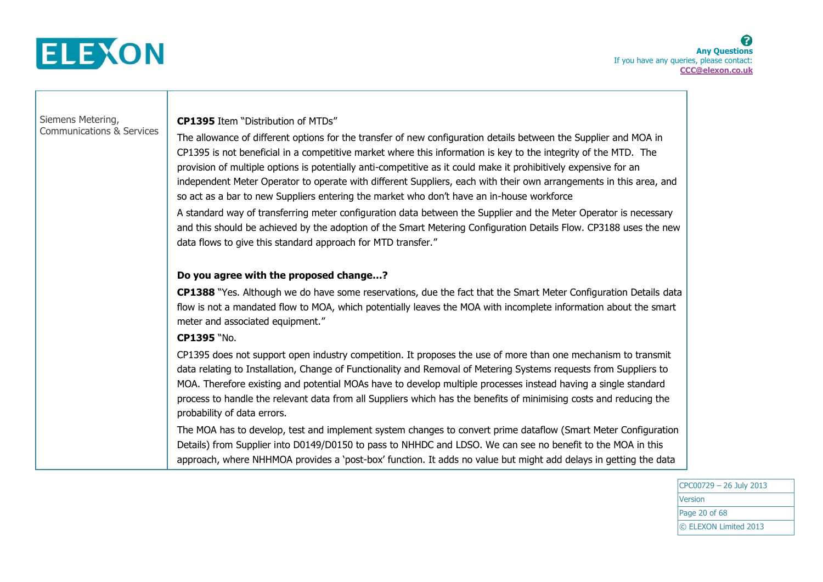

Siemens Metering, Communications & Services **CP1395** Item "Distribution of MTDs"

The allowance of different options for the transfer of new configuration details between the Supplier and MOA in CP1395 is not beneficial in a competitive market where this information is key to the integrity of the MTD. The provision of multiple options is potentially anti-competitive as it could make it prohibitively expensive for an independent Meter Operator to operate with different Suppliers, each with their own arrangements in this area, and so act as a bar to new Suppliers entering the market who don't have an in-house workforce

A standard way of transferring meter configuration data between the Supplier and the Meter Operator is necessary and this should be achieved by the adoption of the Smart Metering Configuration Details Flow. CP3188 uses the new data flows to give this standard approach for MTD transfer."

### **Do you agree with the proposed change…?**

**CP1388** "Yes. Although we do have some reservations, due the fact that the Smart Meter Configuration Details data flow is not a mandated flow to MOA, which potentially leaves the MOA with incomplete information about the smart meter and associated equipment."

### **CP1395** "No.

CP1395 does not support open industry competition. It proposes the use of more than one mechanism to transmit data relating to Installation, Change of Functionality and Removal of Metering Systems requests from Suppliers to MOA. Therefore existing and potential MOAs have to develop multiple processes instead having a single standard process to handle the relevant data from all Suppliers which has the benefits of minimising costs and reducing the probability of data errors.

The MOA has to develop, test and implement system changes to convert prime dataflow (Smart Meter Configuration Details) from Supplier into D0149/D0150 to pass to NHHDC and LDSO. We can see no benefit to the MOA in this approach, where NHHMOA provides a 'post-box' function. It adds no value but might add delays in getting the data

> CPC00729 – 26 July 2013 Version Page 20 of 68 © ELEXON Limited 2013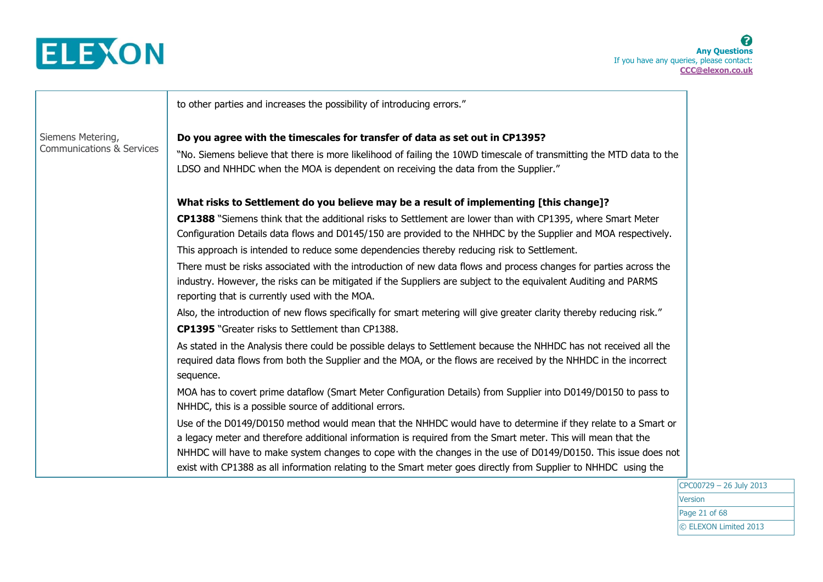

|                                      | to other parties and increases the possibility of introducing errors."                                                                                                                                                                                                                                                                             |
|--------------------------------------|----------------------------------------------------------------------------------------------------------------------------------------------------------------------------------------------------------------------------------------------------------------------------------------------------------------------------------------------------|
| Siemens Metering,                    | Do you agree with the timescales for transfer of data as set out in CP1395?                                                                                                                                                                                                                                                                        |
| <b>Communications &amp; Services</b> | "No. Siemens believe that there is more likelihood of failing the 10WD timescale of transmitting the MTD data to the<br>LDSO and NHHDC when the MOA is dependent on receiving the data from the Supplier."                                                                                                                                         |
|                                      | What risks to Settlement do you believe may be a result of implementing [this change]?                                                                                                                                                                                                                                                             |
|                                      | CP1388 "Siemens think that the additional risks to Settlement are lower than with CP1395, where Smart Meter<br>Configuration Details data flows and D0145/150 are provided to the NHHDC by the Supplier and MOA respectively.                                                                                                                      |
|                                      | This approach is intended to reduce some dependencies thereby reducing risk to Settlement.                                                                                                                                                                                                                                                         |
|                                      | There must be risks associated with the introduction of new data flows and process changes for parties across the<br>industry. However, the risks can be mitigated if the Suppliers are subject to the equivalent Auditing and PARMS<br>reporting that is currently used with the MOA.                                                             |
|                                      | Also, the introduction of new flows specifically for smart metering will give greater clarity thereby reducing risk."                                                                                                                                                                                                                              |
|                                      | <b>CP1395</b> "Greater risks to Settlement than CP1388.                                                                                                                                                                                                                                                                                            |
|                                      | As stated in the Analysis there could be possible delays to Settlement because the NHHDC has not received all the<br>required data flows from both the Supplier and the MOA, or the flows are received by the NHHDC in the incorrect<br>sequence.                                                                                                  |
|                                      | MOA has to covert prime dataflow (Smart Meter Configuration Details) from Supplier into D0149/D0150 to pass to<br>NHHDC, this is a possible source of additional errors.                                                                                                                                                                           |
|                                      | Use of the D0149/D0150 method would mean that the NHHDC would have to determine if they relate to a Smart or                                                                                                                                                                                                                                       |
|                                      | a legacy meter and therefore additional information is required from the Smart meter. This will mean that the<br>NHHDC will have to make system changes to cope with the changes in the use of D0149/D0150. This issue does not<br>exist with CP1388 as all information relating to the Smart meter goes directly from Supplier to NHHDC using the |
|                                      |                                                                                                                                                                                                                                                                                                                                                    |

CPC00729 – 26 July 2013 Version Page 21 of 68 © ELEXON Limited 2013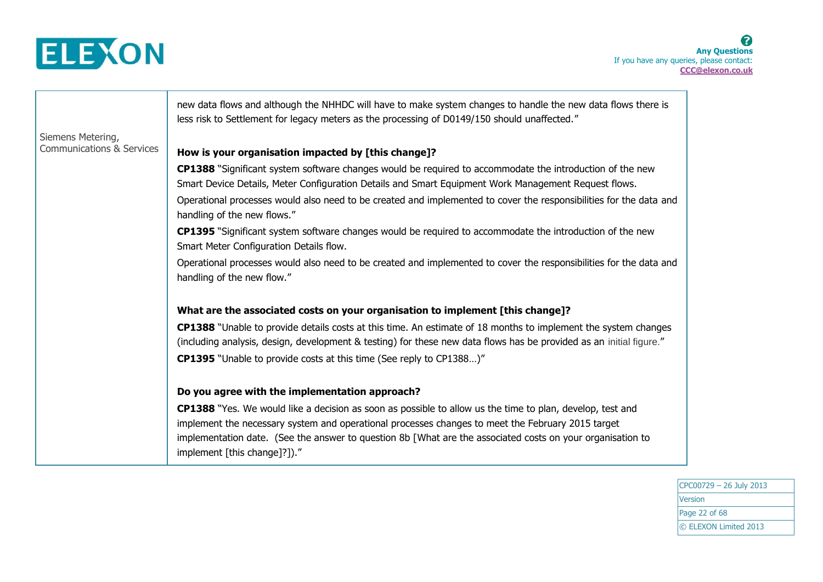

Siemens Metering, Communications & Services new data flows and although the NHHDC will have to make system changes to handle the new data flows there is less risk to Settlement for legacy meters as the processing of D0149/150 should unaffected." **How is your organisation impacted by [this change]? CP1388** "Significant system software changes would be required to accommodate the introduction of the new Smart Device Details, Meter Configuration Details and Smart Equipment Work Management Request flows. Operational processes would also need to be created and implemented to cover the responsibilities for the data and handling of the new flows." **CP1395** "Significant system software changes would be required to accommodate the introduction of the new Smart Meter Configuration Details flow. Operational processes would also need to be created and implemented to cover the responsibilities for the data and handling of the new flow." **What are the associated costs on your organisation to implement [this change]? CP1388** "Unable to provide details costs at this time. An estimate of 18 months to implement the system changes (including analysis, design, development & testing) for these new data flows has be provided as an initial figure." **CP1395** "Unable to provide costs at this time (See reply to CP1388…)" **Do you agree with the implementation approach? CP1388** "Yes. We would like a decision as soon as possible to allow us the time to plan, develop, test and implement the necessary system and operational processes changes to meet the February 2015 target implementation date. (See the answer to question 8b [What are the associated costs on your organisation to implement [this change]?])."

> CPC00729 – 26 July 2013 Version Page 22 of 68 © ELEXON Limited 2013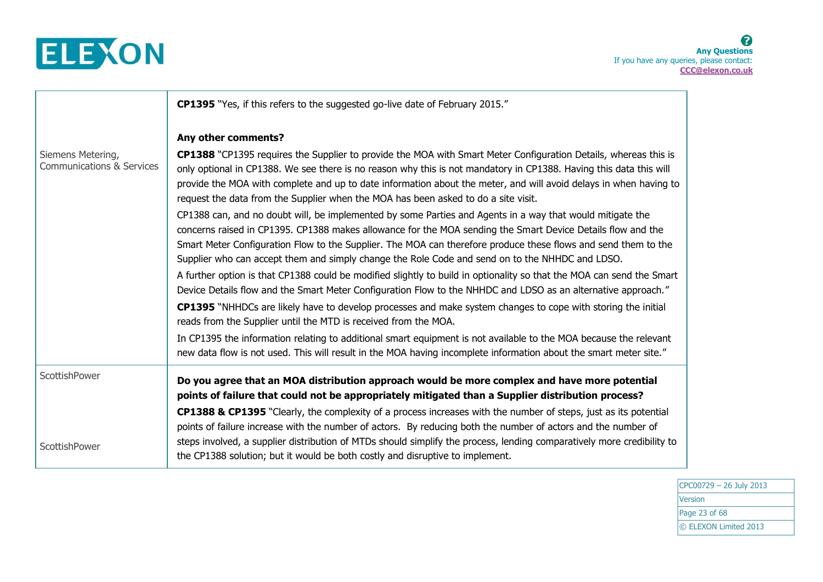

|                                                           | <b>CP1395</b> "Yes, if this refers to the suggested go-live date of February 2015."                                                                                                                                                                                                                                                                                                                                                                                                                                                                                                                                                                                                                                                                                                                                                                                                                                                                                                                                                                                                                                                                                                                                                                                                                                                                                                                                                                                                                                                                                                             |
|-----------------------------------------------------------|-------------------------------------------------------------------------------------------------------------------------------------------------------------------------------------------------------------------------------------------------------------------------------------------------------------------------------------------------------------------------------------------------------------------------------------------------------------------------------------------------------------------------------------------------------------------------------------------------------------------------------------------------------------------------------------------------------------------------------------------------------------------------------------------------------------------------------------------------------------------------------------------------------------------------------------------------------------------------------------------------------------------------------------------------------------------------------------------------------------------------------------------------------------------------------------------------------------------------------------------------------------------------------------------------------------------------------------------------------------------------------------------------------------------------------------------------------------------------------------------------------------------------------------------------------------------------------------------------|
| Siemens Metering,<br><b>Communications &amp; Services</b> | Any other comments?<br>CP1388 "CP1395 requires the Supplier to provide the MOA with Smart Meter Configuration Details, whereas this is<br>only optional in CP1388. We see there is no reason why this is not mandatory in CP1388. Having this data this will<br>provide the MOA with complete and up to date information about the meter, and will avoid delays in when having to<br>request the data from the Supplier when the MOA has been asked to do a site visit.<br>CP1388 can, and no doubt will, be implemented by some Parties and Agents in a way that would mitigate the<br>concerns raised in CP1395. CP1388 makes allowance for the MOA sending the Smart Device Details flow and the<br>Smart Meter Configuration Flow to the Supplier. The MOA can therefore produce these flows and send them to the<br>Supplier who can accept them and simply change the Role Code and send on to the NHHDC and LDSO.<br>A further option is that CP1388 could be modified slightly to build in optionality so that the MOA can send the Smart<br>Device Details flow and the Smart Meter Configuration Flow to the NHHDC and LDSO as an alternative approach."<br>CP1395 "NHHDCs are likely have to develop processes and make system changes to cope with storing the initial<br>reads from the Supplier until the MTD is received from the MOA.<br>In CP1395 the information relating to additional smart equipment is not available to the MOA because the relevant<br>new data flow is not used. This will result in the MOA having incomplete information about the smart meter site." |
| ScottishPower<br>ScottishPower                            | Do you agree that an MOA distribution approach would be more complex and have more potential<br>points of failure that could not be appropriately mitigated than a Supplier distribution process?<br>CP1388 & CP1395 "Clearly, the complexity of a process increases with the number of steps, just as its potential<br>points of failure increase with the number of actors. By reducing both the number of actors and the number of<br>steps involved, a supplier distribution of MTDs should simplify the process, lending comparatively more credibility to<br>the CP1388 solution; but it would be both costly and disruptive to implement.                                                                                                                                                                                                                                                                                                                                                                                                                                                                                                                                                                                                                                                                                                                                                                                                                                                                                                                                                |

CPC00729 – 26 July 2013 **Version** Page 23 of 68 © ELEXON Limited 2013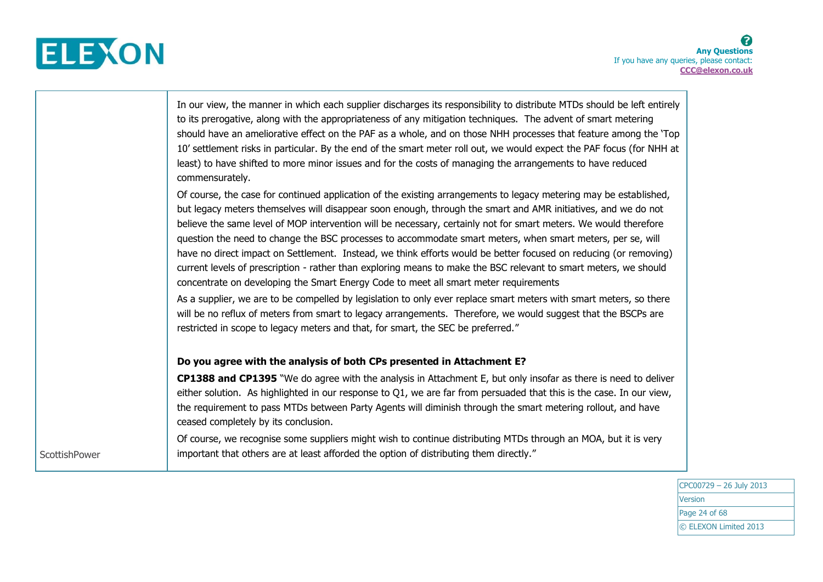

|                      | In our view, the manner in which each supplier discharges its responsibility to distribute MTDs should be left entirely<br>to its prerogative, along with the appropriateness of any mitigation techniques. The advent of smart metering<br>should have an ameliorative effect on the PAF as a whole, and on those NHH processes that feature among the 'Top<br>10' settlement risks in particular. By the end of the smart meter roll out, we would expect the PAF focus (for NHH at<br>least) to have shifted to more minor issues and for the costs of managing the arrangements to have reduced<br>commensurately.                                                                                                                                                                               |
|----------------------|------------------------------------------------------------------------------------------------------------------------------------------------------------------------------------------------------------------------------------------------------------------------------------------------------------------------------------------------------------------------------------------------------------------------------------------------------------------------------------------------------------------------------------------------------------------------------------------------------------------------------------------------------------------------------------------------------------------------------------------------------------------------------------------------------|
|                      | Of course, the case for continued application of the existing arrangements to legacy metering may be established,<br>but legacy meters themselves will disappear soon enough, through the smart and AMR initiatives, and we do not<br>believe the same level of MOP intervention will be necessary, certainly not for smart meters. We would therefore<br>question the need to change the BSC processes to accommodate smart meters, when smart meters, per se, will<br>have no direct impact on Settlement. Instead, we think efforts would be better focused on reducing (or removing)<br>current levels of prescription - rather than exploring means to make the BSC relevant to smart meters, we should<br>concentrate on developing the Smart Energy Code to meet all smart meter requirements |
|                      | As a supplier, we are to be compelled by legislation to only ever replace smart meters with smart meters, so there<br>will be no reflux of meters from smart to legacy arrangements. Therefore, we would suggest that the BSCPs are<br>restricted in scope to legacy meters and that, for smart, the SEC be preferred."                                                                                                                                                                                                                                                                                                                                                                                                                                                                              |
|                      | Do you agree with the analysis of both CPs presented in Attachment E?                                                                                                                                                                                                                                                                                                                                                                                                                                                                                                                                                                                                                                                                                                                                |
|                      | <b>CP1388 and CP1395</b> "We do agree with the analysis in Attachment E, but only insofar as there is need to deliver<br>either solution. As highlighted in our response to Q1, we are far from persuaded that this is the case. In our view,<br>the requirement to pass MTDs between Party Agents will diminish through the smart metering rollout, and have<br>ceased completely by its conclusion.                                                                                                                                                                                                                                                                                                                                                                                                |
| <b>ScottishPower</b> | Of course, we recognise some suppliers might wish to continue distributing MTDs through an MOA, but it is very<br>important that others are at least afforded the option of distributing them directly."                                                                                                                                                                                                                                                                                                                                                                                                                                                                                                                                                                                             |

CPC00729 – 26 July 2013 Version Page 24 of 68 © ELEXON Limited 2013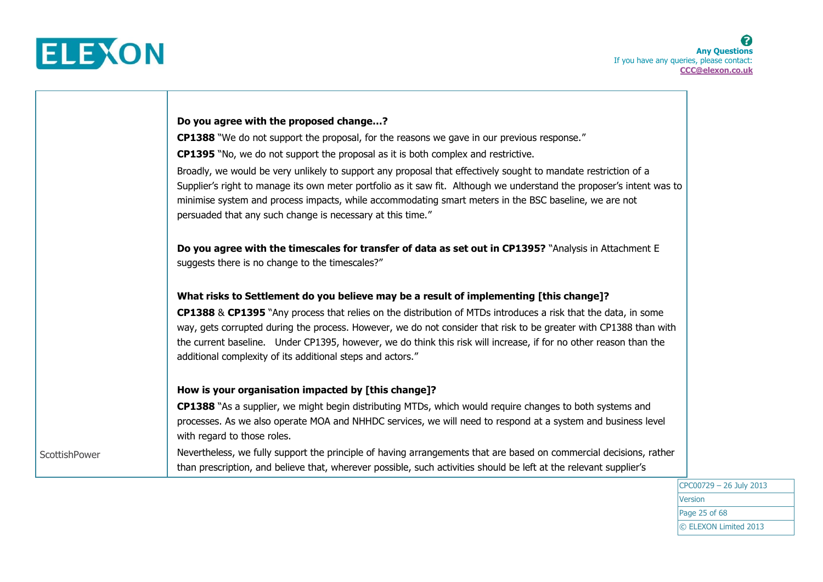

|               | Do you agree with the proposed change?                                                                                                                                                                                                                                                                                                                                                                                |
|---------------|-----------------------------------------------------------------------------------------------------------------------------------------------------------------------------------------------------------------------------------------------------------------------------------------------------------------------------------------------------------------------------------------------------------------------|
|               | CP1388 "We do not support the proposal, for the reasons we gave in our previous response."                                                                                                                                                                                                                                                                                                                            |
|               | <b>CP1395</b> "No, we do not support the proposal as it is both complex and restrictive.                                                                                                                                                                                                                                                                                                                              |
|               | Broadly, we would be very unlikely to support any proposal that effectively sought to mandate restriction of a<br>Supplier's right to manage its own meter portfolio as it saw fit. Although we understand the proposer's intent was to<br>minimise system and process impacts, while accommodating smart meters in the BSC baseline, we are not<br>persuaded that any such change is necessary at this time."        |
|               | Do you agree with the timescales for transfer of data as set out in CP1395? "Analysis in Attachment E<br>suggests there is no change to the timescales?"                                                                                                                                                                                                                                                              |
|               | What risks to Settlement do you believe may be a result of implementing [this change]?                                                                                                                                                                                                                                                                                                                                |
|               | CP1388 & CP1395 "Any process that relies on the distribution of MTDs introduces a risk that the data, in some<br>way, gets corrupted during the process. However, we do not consider that risk to be greater with CP1388 than with<br>the current baseline. Under CP1395, however, we do think this risk will increase, if for no other reason than the<br>additional complexity of its additional steps and actors." |
|               | How is your organisation impacted by [this change]?                                                                                                                                                                                                                                                                                                                                                                   |
|               | CP1388 "As a supplier, we might begin distributing MTDs, which would require changes to both systems and<br>processes. As we also operate MOA and NHHDC services, we will need to respond at a system and business level<br>with regard to those roles.                                                                                                                                                               |
| ScottishPower | Nevertheless, we fully support the principle of having arrangements that are based on commercial decisions, rather<br>than prescription, and believe that, wherever possible, such activities should be left at the relevant supplier's                                                                                                                                                                               |

CPC00729 – 26 July 2013 **Version** Page 25 of 68 © ELEXON Limited 2013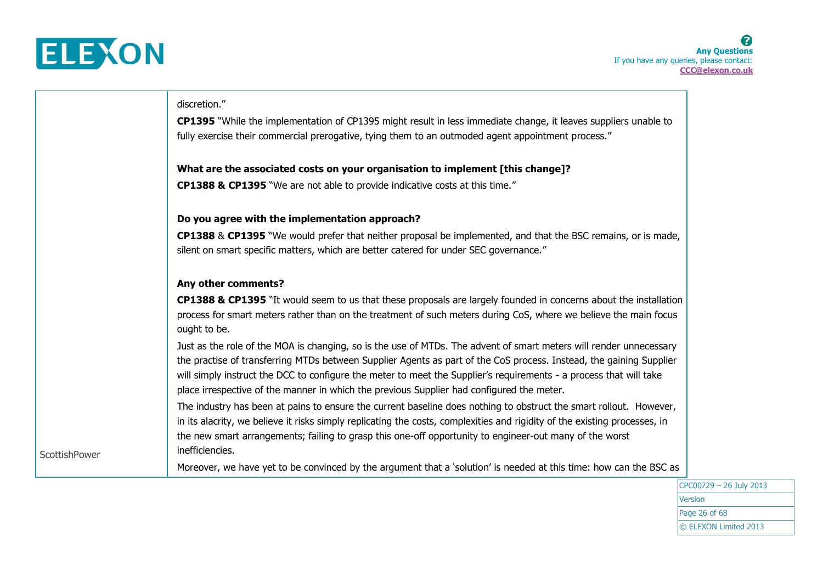

**ScottishPower** 

# discretion."

**CP1395** "While the implementation of CP1395 might result in less immediate change, it leaves suppliers unable to fully exercise their commercial prerogative, tying them to an outmoded agent appointment process."

### **What are the associated costs on your organisation to implement [this change]?**

**CP1388 & CP1395** "We are not able to provide indicative costs at this time."

### **Do you agree with the implementation approach?**

**CP1388** & **CP1395** "We would prefer that neither proposal be implemented, and that the BSC remains, or is made, silent on smart specific matters, which are better catered for under SEC governance."

### **Any other comments?**

**CP1388 & CP1395** "It would seem to us that these proposals are largely founded in concerns about the installation process for smart meters rather than on the treatment of such meters during CoS, where we believe the main focus ought to be.

Just as the role of the MOA is changing, so is the use of MTDs. The advent of smart meters will render unnecessary the practise of transferring MTDs between Supplier Agents as part of the CoS process. Instead, the gaining Supplier will simply instruct the DCC to configure the meter to meet the Supplier's requirements - a process that will take place irrespective of the manner in which the previous Supplier had configured the meter.

The industry has been at pains to ensure the current baseline does nothing to obstruct the smart rollout. However, in its alacrity, we believe it risks simply replicating the costs, complexities and rigidity of the existing processes, in the new smart arrangements; failing to grasp this one-off opportunity to engineer-out many of the worst inefficiencies.

Moreover, we have yet to be convinced by the argument that a 'solution' is needed at this time: how can the BSC as

CPC00729 – 26 July 2013 Version Page 26 of 68 © ELEXON Limited 2013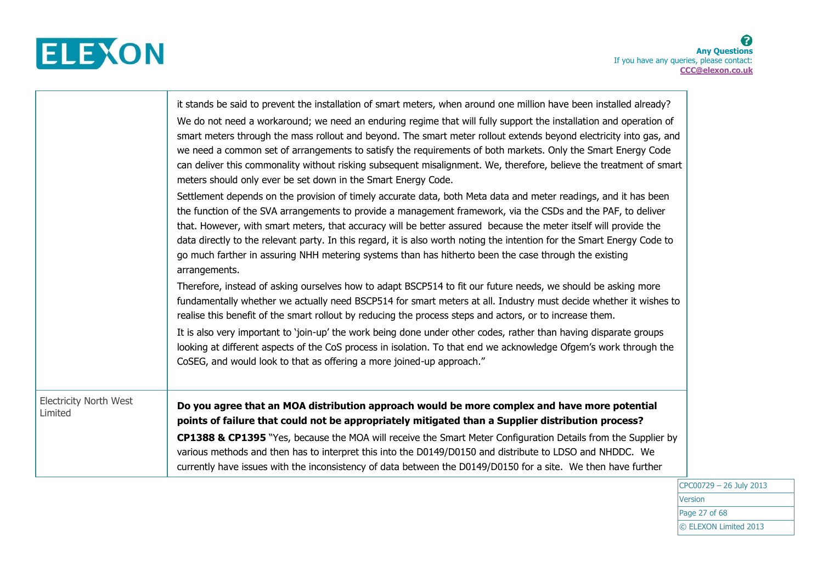

|                                          | it stands be said to prevent the installation of smart meters, when around one million have been installed already?<br>We do not need a workaround; we need an enduring regime that will fully support the installation and operation of<br>smart meters through the mass rollout and beyond. The smart meter rollout extends beyond electricity into gas, and<br>we need a common set of arrangements to satisfy the requirements of both markets. Only the Smart Energy Code<br>can deliver this commonality without risking subsequent misalignment. We, therefore, believe the treatment of smart<br>meters should only ever be set down in the Smart Energy Code.<br>Settlement depends on the provision of timely accurate data, both Meta data and meter readings, and it has been<br>the function of the SVA arrangements to provide a management framework, via the CSDs and the PAF, to deliver<br>that. However, with smart meters, that accuracy will be better assured because the meter itself will provide the<br>data directly to the relevant party. In this regard, it is also worth noting the intention for the Smart Energy Code to<br>go much farther in assuring NHH metering systems than has hitherto been the case through the existing<br>arrangements.<br>Therefore, instead of asking ourselves how to adapt BSCP514 to fit our future needs, we should be asking more<br>fundamentally whether we actually need BSCP514 for smart meters at all. Industry must decide whether it wishes to<br>realise this benefit of the smart rollout by reducing the process steps and actors, or to increase them.<br>It is also very important to 'join-up' the work being done under other codes, rather than having disparate groups<br>looking at different aspects of the CoS process in isolation. To that end we acknowledge Ofgem's work through the<br>CoSEG, and would look to that as offering a more joined-up approach." |
|------------------------------------------|---------------------------------------------------------------------------------------------------------------------------------------------------------------------------------------------------------------------------------------------------------------------------------------------------------------------------------------------------------------------------------------------------------------------------------------------------------------------------------------------------------------------------------------------------------------------------------------------------------------------------------------------------------------------------------------------------------------------------------------------------------------------------------------------------------------------------------------------------------------------------------------------------------------------------------------------------------------------------------------------------------------------------------------------------------------------------------------------------------------------------------------------------------------------------------------------------------------------------------------------------------------------------------------------------------------------------------------------------------------------------------------------------------------------------------------------------------------------------------------------------------------------------------------------------------------------------------------------------------------------------------------------------------------------------------------------------------------------------------------------------------------------------------------------------------------------------------------------------------------------------------------------------------------------------------------------------------|
| <b>Electricity North West</b><br>Limited | Do you agree that an MOA distribution approach would be more complex and have more potential<br>points of failure that could not be appropriately mitigated than a Supplier distribution process?<br>CP1388 & CP1395 "Yes, because the MOA will receive the Smart Meter Configuration Details from the Supplier by<br>various methods and then has to interpret this into the D0149/D0150 and distribute to LDSO and NHDDC. We<br>currently have issues with the inconsistency of data between the D0149/D0150 for a site. We then have further                                                                                                                                                                                                                                                                                                                                                                                                                                                                                                                                                                                                                                                                                                                                                                                                                                                                                                                                                                                                                                                                                                                                                                                                                                                                                                                                                                                                         |

CPC00729 – 26 July 2013 **Version** Page 27 of 68 © ELEXON Limited 2013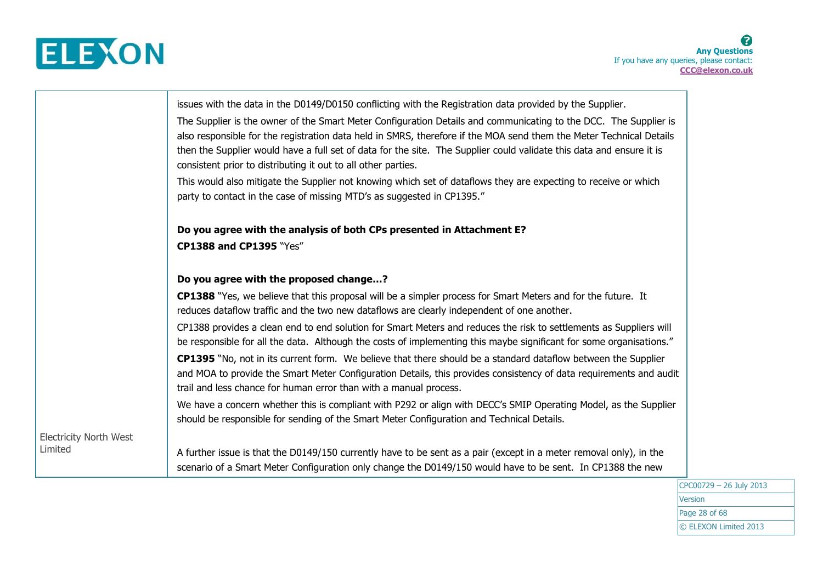

|                                          | issues with the data in the D0149/D0150 conflicting with the Registration data provided by the Supplier.<br>The Supplier is the owner of the Smart Meter Configuration Details and communicating to the DCC. The Supplier is<br>also responsible for the registration data held in SMRS, therefore if the MOA send them the Meter Technical Details<br>then the Supplier would have a full set of data for the site. The Supplier could validate this data and ensure it is<br>consistent prior to distributing it out to all other parties.<br>This would also mitigate the Supplier not knowing which set of dataflows they are expecting to receive or which<br>party to contact in the case of missing MTD's as suggested in CP1395." |
|------------------------------------------|-------------------------------------------------------------------------------------------------------------------------------------------------------------------------------------------------------------------------------------------------------------------------------------------------------------------------------------------------------------------------------------------------------------------------------------------------------------------------------------------------------------------------------------------------------------------------------------------------------------------------------------------------------------------------------------------------------------------------------------------|
|                                          | Do you agree with the analysis of both CPs presented in Attachment E?<br>CP1388 and CP1395 "Yes"                                                                                                                                                                                                                                                                                                                                                                                                                                                                                                                                                                                                                                          |
|                                          | Do you agree with the proposed change?<br>CP1388 "Yes, we believe that this proposal will be a simpler process for Smart Meters and for the future. It                                                                                                                                                                                                                                                                                                                                                                                                                                                                                                                                                                                    |
|                                          | reduces dataflow traffic and the two new dataflows are clearly independent of one another.<br>CP1388 provides a clean end to end solution for Smart Meters and reduces the risk to settlements as Suppliers will<br>be responsible for all the data. Although the costs of implementing this maybe significant for some organisations."                                                                                                                                                                                                                                                                                                                                                                                                   |
|                                          | CP1395 "No, not in its current form. We believe that there should be a standard dataflow between the Supplier<br>and MOA to provide the Smart Meter Configuration Details, this provides consistency of data requirements and audit<br>trail and less chance for human error than with a manual process.                                                                                                                                                                                                                                                                                                                                                                                                                                  |
|                                          | We have a concern whether this is compliant with P292 or align with DECC's SMIP Operating Model, as the Supplier<br>should be responsible for sending of the Smart Meter Configuration and Technical Details.                                                                                                                                                                                                                                                                                                                                                                                                                                                                                                                             |
| <b>Electricity North West</b><br>Limited | A further issue is that the D0149/150 currently have to be sent as a pair (except in a meter removal only), in the<br>scenario of a Smart Meter Configuration only change the D0149/150 would have to be sent. In CP1388 the new                                                                                                                                                                                                                                                                                                                                                                                                                                                                                                          |

CPC00729 – 26 July 2013 Version Page 28 of 68 © ELEXON Limited 2013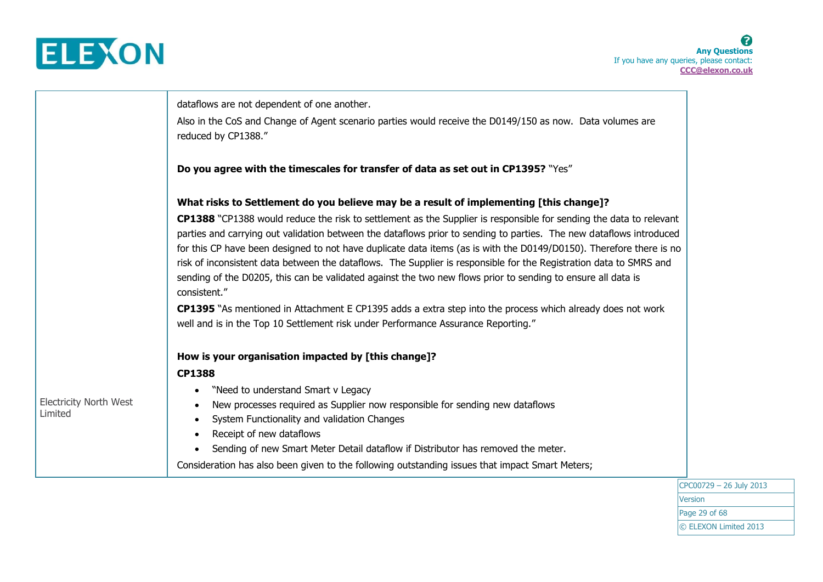

|                                          | dataflows are not dependent of one another.                                                                                                                                                                                                                                                                                                                                                                                                                                                                                                                                                                            |
|------------------------------------------|------------------------------------------------------------------------------------------------------------------------------------------------------------------------------------------------------------------------------------------------------------------------------------------------------------------------------------------------------------------------------------------------------------------------------------------------------------------------------------------------------------------------------------------------------------------------------------------------------------------------|
|                                          | Also in the CoS and Change of Agent scenario parties would receive the D0149/150 as now. Data volumes are<br>reduced by CP1388."                                                                                                                                                                                                                                                                                                                                                                                                                                                                                       |
|                                          | Do you agree with the timescales for transfer of data as set out in CP1395? "Yes"                                                                                                                                                                                                                                                                                                                                                                                                                                                                                                                                      |
|                                          | What risks to Settlement do you believe may be a result of implementing [this change]?                                                                                                                                                                                                                                                                                                                                                                                                                                                                                                                                 |
|                                          | CP1388 "CP1388 would reduce the risk to settlement as the Supplier is responsible for sending the data to relevant<br>parties and carrying out validation between the dataflows prior to sending to parties. The new dataflows introduced<br>for this CP have been designed to not have duplicate data items (as is with the D0149/D0150). Therefore there is no<br>risk of inconsistent data between the dataflows. The Supplier is responsible for the Registration data to SMRS and<br>sending of the D0205, this can be validated against the two new flows prior to sending to ensure all data is<br>consistent." |
|                                          | CP1395 "As mentioned in Attachment E CP1395 adds a extra step into the process which already does not work<br>well and is in the Top 10 Settlement risk under Performance Assurance Reporting."                                                                                                                                                                                                                                                                                                                                                                                                                        |
|                                          | How is your organisation impacted by [this change]?                                                                                                                                                                                                                                                                                                                                                                                                                                                                                                                                                                    |
|                                          | <b>CP1388</b>                                                                                                                                                                                                                                                                                                                                                                                                                                                                                                                                                                                                          |
|                                          | "Need to understand Smart v Legacy                                                                                                                                                                                                                                                                                                                                                                                                                                                                                                                                                                                     |
| <b>Electricity North West</b><br>Limited | New processes required as Supplier now responsible for sending new dataflows                                                                                                                                                                                                                                                                                                                                                                                                                                                                                                                                           |
|                                          | System Functionality and validation Changes                                                                                                                                                                                                                                                                                                                                                                                                                                                                                                                                                                            |
|                                          | Receipt of new dataflows<br>$\bullet$<br>Sending of new Smart Meter Detail dataflow if Distributor has removed the meter.<br>$\bullet$                                                                                                                                                                                                                                                                                                                                                                                                                                                                                 |
|                                          | Consideration has also been given to the following outstanding issues that impact Smart Meters;                                                                                                                                                                                                                                                                                                                                                                                                                                                                                                                        |
|                                          |                                                                                                                                                                                                                                                                                                                                                                                                                                                                                                                                                                                                                        |

CPC00729 – 26 July 2013 Version Page 29 of 68 © ELEXON Limited 2013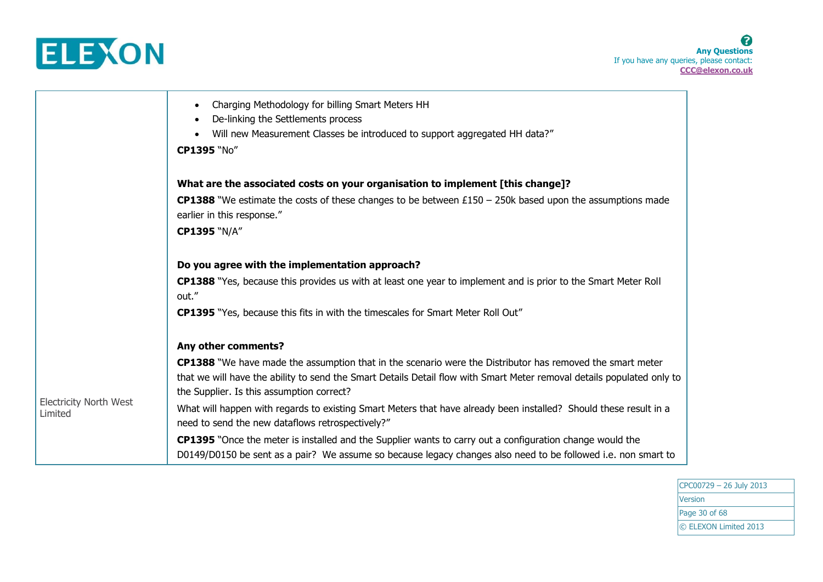

|                                          | Charging Methodology for billing Smart Meters HH<br>De-linking the Settlements process<br>Will new Measurement Classes be introduced to support aggregated HH data?"<br>CP1395 "No"                                       |
|------------------------------------------|---------------------------------------------------------------------------------------------------------------------------------------------------------------------------------------------------------------------------|
|                                          | What are the associated costs on your organisation to implement [this change]?                                                                                                                                            |
|                                          | <b>CP1388</b> "We estimate the costs of these changes to be between £150 – 250k based upon the assumptions made<br>earlier in this response."                                                                             |
|                                          | <b>CP1395 "N/A"</b>                                                                                                                                                                                                       |
|                                          | Do you agree with the implementation approach?                                                                                                                                                                            |
|                                          | <b>CP1388</b> "Yes, because this provides us with at least one year to implement and is prior to the Smart Meter Roll<br>out."                                                                                            |
|                                          | <b>CP1395</b> "Yes, because this fits in with the timescales for Smart Meter Roll Out"                                                                                                                                    |
|                                          | Any other comments?                                                                                                                                                                                                       |
|                                          | <b>CP1388</b> "We have made the assumption that in the scenario were the Distributor has removed the smart meter                                                                                                          |
| <b>Electricity North West</b><br>Limited | that we will have the ability to send the Smart Details Detail flow with Smart Meter removal details populated only to<br>the Supplier. Is this assumption correct?                                                       |
|                                          | What will happen with regards to existing Smart Meters that have already been installed? Should these result in a<br>need to send the new dataflows retrospectively?"                                                     |
|                                          | CP1395 "Once the meter is installed and the Supplier wants to carry out a configuration change would the<br>D0149/D0150 be sent as a pair? We assume so because legacy changes also need to be followed i.e. non smart to |

CPC00729 – 26 July 2013 **Version** Page 30 of 68 © ELEXON Limited 2013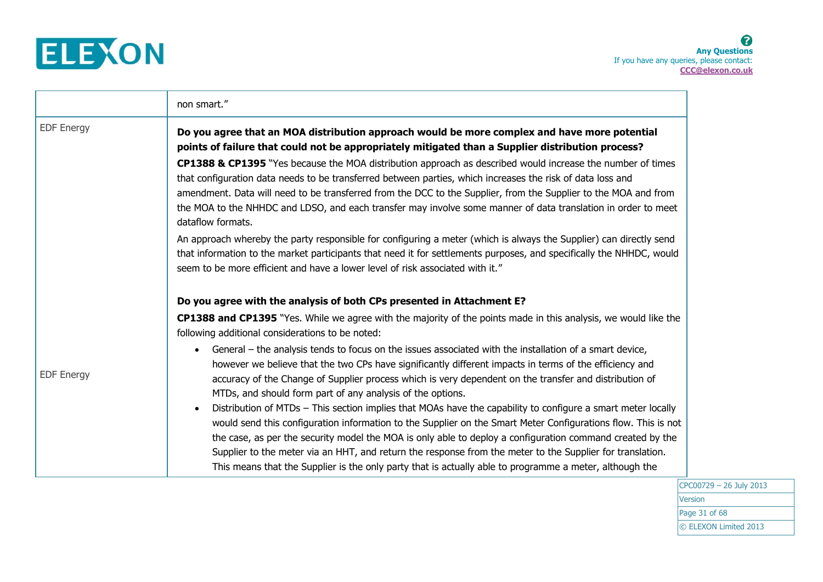

|                   | non smart."                                                                                                                                                                                                                                                                                                                                                                                                                                                                                                                                                                                                                 |
|-------------------|-----------------------------------------------------------------------------------------------------------------------------------------------------------------------------------------------------------------------------------------------------------------------------------------------------------------------------------------------------------------------------------------------------------------------------------------------------------------------------------------------------------------------------------------------------------------------------------------------------------------------------|
| EDF Energy        | Do you agree that an MOA distribution approach would be more complex and have more potential<br>points of failure that could not be appropriately mitigated than a Supplier distribution process?                                                                                                                                                                                                                                                                                                                                                                                                                           |
|                   | CP1388 & CP1395 "Yes because the MOA distribution approach as described would increase the number of times<br>that configuration data needs to be transferred between parties, which increases the risk of data loss and<br>amendment. Data will need to be transferred from the DCC to the Supplier, from the Supplier to the MOA and from<br>the MOA to the NHHDC and LDSO, and each transfer may involve some manner of data translation in order to meet<br>dataflow formats.                                                                                                                                           |
|                   | An approach whereby the party responsible for configuring a meter (which is always the Supplier) can directly send<br>that information to the market participants that need it for settlements purposes, and specifically the NHHDC, would<br>seem to be more efficient and have a lower level of risk associated with it."                                                                                                                                                                                                                                                                                                 |
|                   | Do you agree with the analysis of both CPs presented in Attachment E?                                                                                                                                                                                                                                                                                                                                                                                                                                                                                                                                                       |
|                   | <b>CP1388 and CP1395</b> "Yes. While we agree with the majority of the points made in this analysis, we would like the<br>following additional considerations to be noted:                                                                                                                                                                                                                                                                                                                                                                                                                                                  |
| <b>EDF Energy</b> | General – the analysis tends to focus on the issues associated with the installation of a smart device,<br>however we believe that the two CPs have significantly different impacts in terms of the efficiency and<br>accuracy of the Change of Supplier process which is very dependent on the transfer and distribution of<br>MTDs, and should form part of any analysis of the options.<br>Distribution of MTDs - This section implies that MOAs have the capability to configure a smart meter locally<br>would send this configuration information to the Supplier on the Smart Meter Configurations flow. This is not |
|                   | the case, as per the security model the MOA is only able to deploy a configuration command created by the<br>Supplier to the meter via an HHT, and return the response from the meter to the Supplier for translation.<br>This means that the Supplier is the only party that is actually able to programme a meter, although the                                                                                                                                                                                                                                                                                           |

CPC00729 – 26 July 2013 **Version** Page 31 of 68 © ELEXON Limited 2013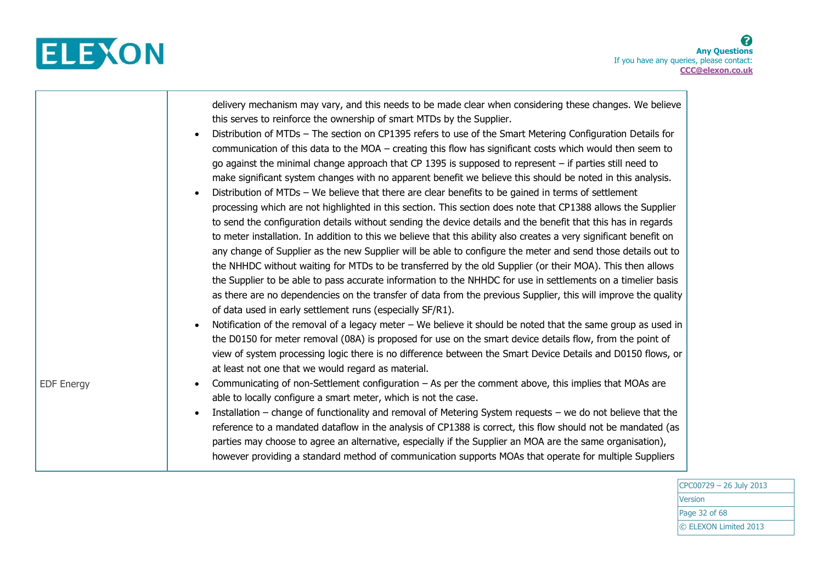

|                   | delivery mechanism may vary, and this needs to be made clear when considering these changes. We believe<br>this serves to reinforce the ownership of smart MTDs by the Supplier.<br>Distribution of MTDs - The section on CP1395 refers to use of the Smart Metering Configuration Details for<br>communication of this data to the $MOA$ – creating this flow has significant costs which would then seem to<br>go against the minimal change approach that CP 1395 is supposed to represent $-$ if parties still need to<br>make significant system changes with no apparent benefit we believe this should be noted in this analysis.<br>Distribution of MTDs - We believe that there are clear benefits to be gained in terms of settlement<br>processing which are not highlighted in this section. This section does note that CP1388 allows the Supplier<br>to send the configuration details without sending the device details and the benefit that this has in regards<br>to meter installation. In addition to this we believe that this ability also creates a very significant benefit on<br>any change of Supplier as the new Supplier will be able to configure the meter and send those details out to<br>the NHHDC without waiting for MTDs to be transferred by the old Supplier (or their MOA). This then allows<br>the Supplier to be able to pass accurate information to the NHHDC for use in settlements on a timelier basis<br>as there are no dependencies on the transfer of data from the previous Supplier, this will improve the quality<br>of data used in early settlement runs (especially SF/R1).<br>Notification of the removal of a legacy meter – We believe it should be noted that the same group as used in<br>the D0150 for meter removal (08A) is proposed for use on the smart device details flow, from the point of<br>view of system processing logic there is no difference between the Smart Device Details and D0150 flows, or<br>at least not one that we would regard as material. |
|-------------------|--------------------------------------------------------------------------------------------------------------------------------------------------------------------------------------------------------------------------------------------------------------------------------------------------------------------------------------------------------------------------------------------------------------------------------------------------------------------------------------------------------------------------------------------------------------------------------------------------------------------------------------------------------------------------------------------------------------------------------------------------------------------------------------------------------------------------------------------------------------------------------------------------------------------------------------------------------------------------------------------------------------------------------------------------------------------------------------------------------------------------------------------------------------------------------------------------------------------------------------------------------------------------------------------------------------------------------------------------------------------------------------------------------------------------------------------------------------------------------------------------------------------------------------------------------------------------------------------------------------------------------------------------------------------------------------------------------------------------------------------------------------------------------------------------------------------------------------------------------------------------------------------------------------------------------------------------------------------------------------------------------------------------------------|
| <b>EDF Energy</b> | Communicating of non-Settlement configuration – As per the comment above, this implies that MOAs are<br>able to locally configure a smart meter, which is not the case.<br>Installation – change of functionality and removal of Metering System requests – we do not believe that the<br>reference to a mandated dataflow in the analysis of CP1388 is correct, this flow should not be mandated (as<br>parties may choose to agree an alternative, especially if the Supplier an MOA are the same organisation),<br>however providing a standard method of communication supports MOAs that operate for multiple Suppliers                                                                                                                                                                                                                                                                                                                                                                                                                                                                                                                                                                                                                                                                                                                                                                                                                                                                                                                                                                                                                                                                                                                                                                                                                                                                                                                                                                                                         |

CPC00729 – 26 July 2013 Version Page 32 of 68 © ELEXON Limited 2013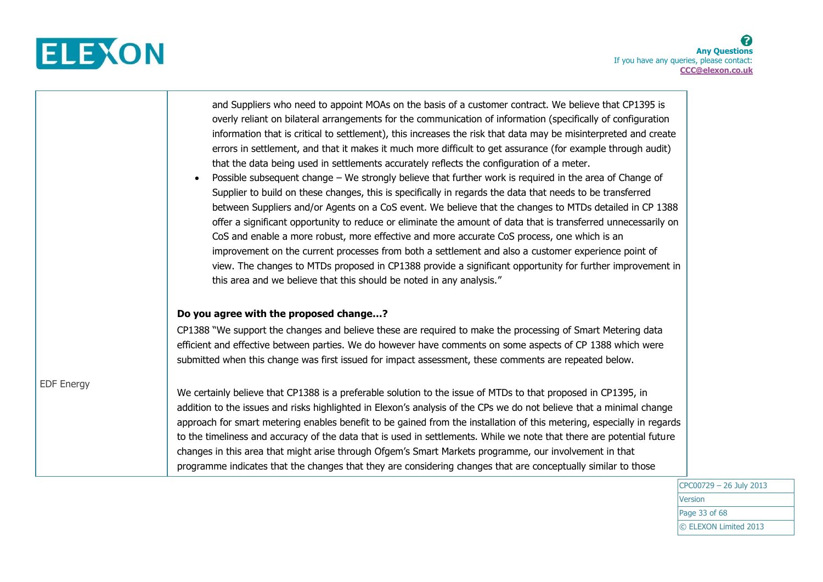

┰

|                   | and Suppliers who need to appoint MOAs on the basis of a customer contract. We believe that CP1395 is<br>overly reliant on bilateral arrangements for the communication of information (specifically of configuration<br>information that is critical to settlement), this increases the risk that data may be misinterpreted and create<br>errors in settlement, and that it makes it much more difficult to get assurance (for example through audit)<br>that the data being used in settlements accurately reflects the configuration of a meter.<br>Possible subsequent change – We strongly believe that further work is required in the area of Change of<br>$\bullet$<br>Supplier to build on these changes, this is specifically in regards the data that needs to be transferred<br>between Suppliers and/or Agents on a CoS event. We believe that the changes to MTDs detailed in CP 1388<br>offer a significant opportunity to reduce or eliminate the amount of data that is transferred unnecessarily on<br>CoS and enable a more robust, more effective and more accurate CoS process, one which is an<br>improvement on the current processes from both a settlement and also a customer experience point of<br>view. The changes to MTDs proposed in CP1388 provide a significant opportunity for further improvement in<br>this area and we believe that this should be noted in any analysis." |
|-------------------|-------------------------------------------------------------------------------------------------------------------------------------------------------------------------------------------------------------------------------------------------------------------------------------------------------------------------------------------------------------------------------------------------------------------------------------------------------------------------------------------------------------------------------------------------------------------------------------------------------------------------------------------------------------------------------------------------------------------------------------------------------------------------------------------------------------------------------------------------------------------------------------------------------------------------------------------------------------------------------------------------------------------------------------------------------------------------------------------------------------------------------------------------------------------------------------------------------------------------------------------------------------------------------------------------------------------------------------------------------------------------------------------------------------------|
|                   | Do you agree with the proposed change?<br>CP1388 "We support the changes and believe these are required to make the processing of Smart Metering data<br>efficient and effective between parties. We do however have comments on some aspects of CP 1388 which were<br>submitted when this change was first issued for impact assessment, these comments are repeated below.                                                                                                                                                                                                                                                                                                                                                                                                                                                                                                                                                                                                                                                                                                                                                                                                                                                                                                                                                                                                                                      |
| <b>EDF Energy</b> | We certainly believe that CP1388 is a preferable solution to the issue of MTDs to that proposed in CP1395, in<br>addition to the issues and risks highlighted in Elexon's analysis of the CPs we do not believe that a minimal change<br>approach for smart metering enables benefit to be gained from the installation of this metering, especially in regards<br>to the timeliness and accuracy of the data that is used in settlements. While we note that there are potential future<br>changes in this area that might arise through Ofgem's Smart Markets programme, our involvement in that<br>programme indicates that the changes that they are considering changes that are conceptually similar to those                                                                                                                                                                                                                                                                                                                                                                                                                                                                                                                                                                                                                                                                                               |

CPC00729 – 26 July 2013 Version Page 33 of 68 © ELEXON Limited 2013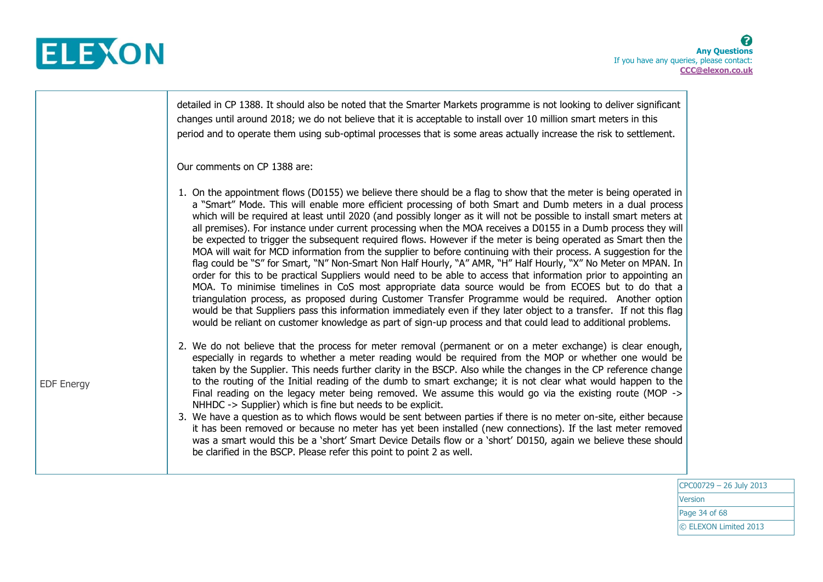

|                   | detailed in CP 1388. It should also be noted that the Smarter Markets programme is not looking to deliver significant<br>changes until around 2018; we do not believe that it is acceptable to install over 10 million smart meters in this<br>period and to operate them using sub-optimal processes that is some areas actually increase the risk to settlement.                                                                                                                                                                                                                                                                                                                                                                                                                                                                                                                                                                                                                                                                                                                                                                                                                                                                                                                                                                                                                                                |
|-------------------|-------------------------------------------------------------------------------------------------------------------------------------------------------------------------------------------------------------------------------------------------------------------------------------------------------------------------------------------------------------------------------------------------------------------------------------------------------------------------------------------------------------------------------------------------------------------------------------------------------------------------------------------------------------------------------------------------------------------------------------------------------------------------------------------------------------------------------------------------------------------------------------------------------------------------------------------------------------------------------------------------------------------------------------------------------------------------------------------------------------------------------------------------------------------------------------------------------------------------------------------------------------------------------------------------------------------------------------------------------------------------------------------------------------------|
|                   | Our comments on CP 1388 are:                                                                                                                                                                                                                                                                                                                                                                                                                                                                                                                                                                                                                                                                                                                                                                                                                                                                                                                                                                                                                                                                                                                                                                                                                                                                                                                                                                                      |
|                   | 1. On the appointment flows (D0155) we believe there should be a flag to show that the meter is being operated in<br>a "Smart" Mode. This will enable more efficient processing of both Smart and Dumb meters in a dual process<br>which will be required at least until 2020 (and possibly longer as it will not be possible to install smart meters at<br>all premises). For instance under current processing when the MOA receives a D0155 in a Dumb process they will<br>be expected to trigger the subsequent required flows. However if the meter is being operated as Smart then the<br>MOA will wait for MCD information from the supplier to before continuing with their process. A suggestion for the<br>flag could be "S" for Smart, "N" Non-Smart Non Half Hourly, "A" AMR, "H" Half Hourly, "X" No Meter on MPAN. In<br>order for this to be practical Suppliers would need to be able to access that information prior to appointing an<br>MOA. To minimise timelines in CoS most appropriate data source would be from ECOES but to do that a<br>triangulation process, as proposed during Customer Transfer Programme would be required. Another option<br>would be that Suppliers pass this information immediately even if they later object to a transfer. If not this flag<br>would be reliant on customer knowledge as part of sign-up process and that could lead to additional problems. |
| <b>EDF Energy</b> | 2. We do not believe that the process for meter removal (permanent or on a meter exchange) is clear enough,<br>especially in regards to whether a meter reading would be required from the MOP or whether one would be<br>taken by the Supplier. This needs further clarity in the BSCP. Also while the changes in the CP reference change<br>to the routing of the Initial reading of the dumb to smart exchange; it is not clear what would happen to the<br>Final reading on the legacy meter being removed. We assume this would go via the existing route (MOP -><br>NHHDC -> Supplier) which is fine but needs to be explicit.<br>3. We have a question as to which flows would be sent between parties if there is no meter on-site, either because<br>it has been removed or because no meter has yet been installed (new connections). If the last meter removed<br>was a smart would this be a 'short' Smart Device Details flow or a 'short' D0150, again we believe these should<br>be clarified in the BSCP. Please refer this point to point 2 as well.                                                                                                                                                                                                                                                                                                                                             |
|                   |                                                                                                                                                                                                                                                                                                                                                                                                                                                                                                                                                                                                                                                                                                                                                                                                                                                                                                                                                                                                                                                                                                                                                                                                                                                                                                                                                                                                                   |

CPC00729 – 26 July 2013 **Version** Page 34 of 68 © ELEXON Limited 2013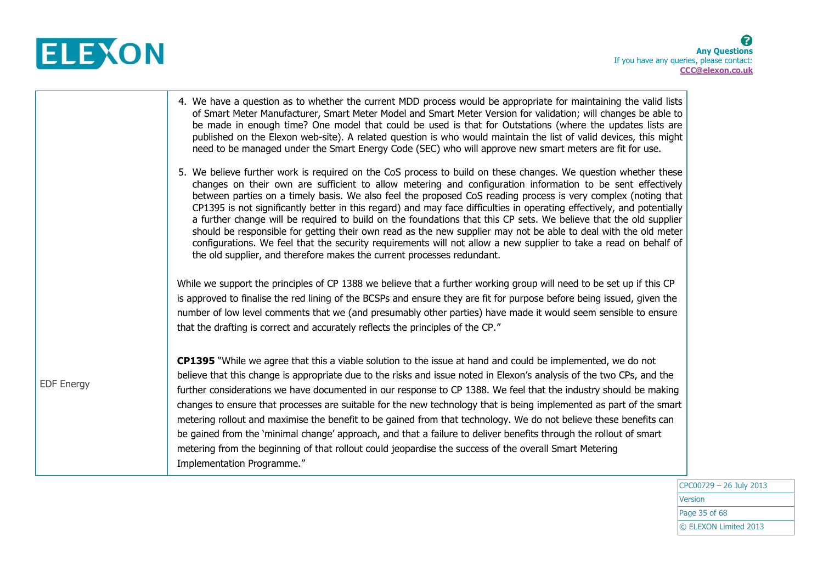

|                   | 4. We have a question as to whether the current MDD process would be appropriate for maintaining the valid lists<br>of Smart Meter Manufacturer, Smart Meter Model and Smart Meter Version for validation; will changes be able to<br>be made in enough time? One model that could be used is that for Outstations (where the updates lists are<br>published on the Elexon web-site). A related question is who would maintain the list of valid devices, this might<br>need to be managed under the Smart Energy Code (SEC) who will approve new smart meters are fit for use.                                                                                                                                                                                                                                                                                                                               |  |
|-------------------|---------------------------------------------------------------------------------------------------------------------------------------------------------------------------------------------------------------------------------------------------------------------------------------------------------------------------------------------------------------------------------------------------------------------------------------------------------------------------------------------------------------------------------------------------------------------------------------------------------------------------------------------------------------------------------------------------------------------------------------------------------------------------------------------------------------------------------------------------------------------------------------------------------------|--|
|                   | 5. We believe further work is required on the CoS process to build on these changes. We question whether these<br>changes on their own are sufficient to allow metering and configuration information to be sent effectively<br>between parties on a timely basis. We also feel the proposed CoS reading process is very complex (noting that<br>CP1395 is not significantly better in this regard) and may face difficulties in operating effectively, and potentially<br>a further change will be required to build on the foundations that this CP sets. We believe that the old supplier<br>should be responsible for getting their own read as the new supplier may not be able to deal with the old meter<br>configurations. We feel that the security requirements will not allow a new supplier to take a read on behalf of<br>the old supplier, and therefore makes the current processes redundant. |  |
|                   | While we support the principles of CP 1388 we believe that a further working group will need to be set up if this CP<br>is approved to finalise the red lining of the BCSPs and ensure they are fit for purpose before being issued, given the<br>number of low level comments that we (and presumably other parties) have made it would seem sensible to ensure<br>that the drafting is correct and accurately reflects the principles of the CP."                                                                                                                                                                                                                                                                                                                                                                                                                                                           |  |
| <b>EDF Energy</b> | <b>CP1395</b> "While we agree that this a viable solution to the issue at hand and could be implemented, we do not<br>believe that this change is appropriate due to the risks and issue noted in Elexon's analysis of the two CPs, and the<br>further considerations we have documented in our response to CP 1388. We feel that the industry should be making<br>changes to ensure that processes are suitable for the new technology that is being implemented as part of the smart<br>metering rollout and maximise the benefit to be gained from that technology. We do not believe these benefits can<br>be gained from the 'minimal change' approach, and that a failure to deliver benefits through the rollout of smart<br>metering from the beginning of that rollout could jeopardise the success of the overall Smart Metering<br>Implementation Programme."                                      |  |

CPC00729 – 26 July 2013 Version Page 35 of 68 © ELEXON Limited 2013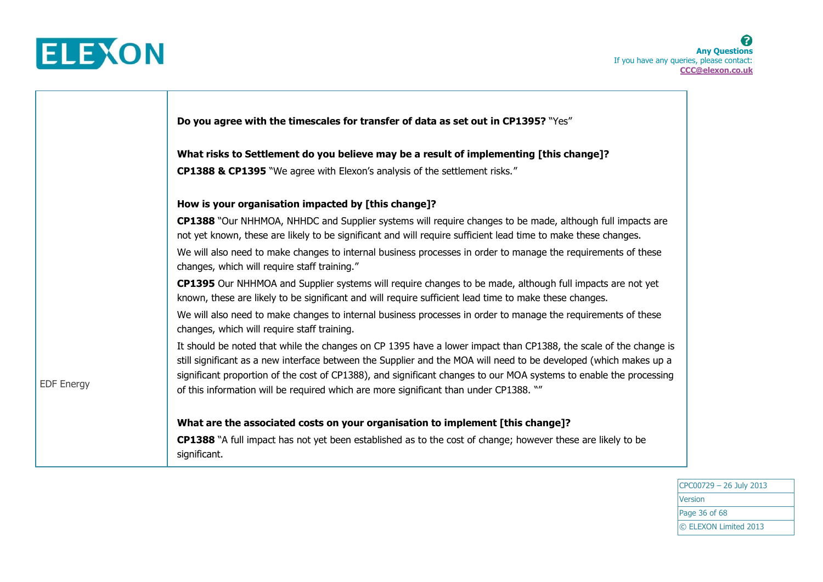

┱

|                   | Do you agree with the timescales for transfer of data as set out in CP1395? "Yes"                                                                                                                                                                                                                                                                                                                                                                    |
|-------------------|------------------------------------------------------------------------------------------------------------------------------------------------------------------------------------------------------------------------------------------------------------------------------------------------------------------------------------------------------------------------------------------------------------------------------------------------------|
|                   | What risks to Settlement do you believe may be a result of implementing [this change]?                                                                                                                                                                                                                                                                                                                                                               |
|                   | <b>CP1388 &amp; CP1395</b> "We agree with Elexon's analysis of the settlement risks."                                                                                                                                                                                                                                                                                                                                                                |
|                   | How is your organisation impacted by [this change]?                                                                                                                                                                                                                                                                                                                                                                                                  |
|                   | CP1388 "Our NHHMOA, NHHDC and Supplier systems will require changes to be made, although full impacts are<br>not yet known, these are likely to be significant and will require sufficient lead time to make these changes.                                                                                                                                                                                                                          |
|                   | We will also need to make changes to internal business processes in order to manage the requirements of these<br>changes, which will require staff training."                                                                                                                                                                                                                                                                                        |
|                   | <b>CP1395</b> Our NHHMOA and Supplier systems will require changes to be made, although full impacts are not yet<br>known, these are likely to be significant and will require sufficient lead time to make these changes.                                                                                                                                                                                                                           |
|                   | We will also need to make changes to internal business processes in order to manage the requirements of these<br>changes, which will require staff training.                                                                                                                                                                                                                                                                                         |
| <b>EDF Energy</b> | It should be noted that while the changes on CP 1395 have a lower impact than CP1388, the scale of the change is<br>still significant as a new interface between the Supplier and the MOA will need to be developed (which makes up a<br>significant proportion of the cost of CP1388), and significant changes to our MOA systems to enable the processing<br>of this information will be required which are more significant than under CP1388. "" |
|                   | What are the associated costs on your organisation to implement [this change]?                                                                                                                                                                                                                                                                                                                                                                       |
|                   | <b>CP1388</b> "A full impact has not yet been established as to the cost of change; however these are likely to be<br>significant.                                                                                                                                                                                                                                                                                                                   |

CPC00729 – 26 July 2013 **Version** Page 36 of 68 © ELEXON Limited 2013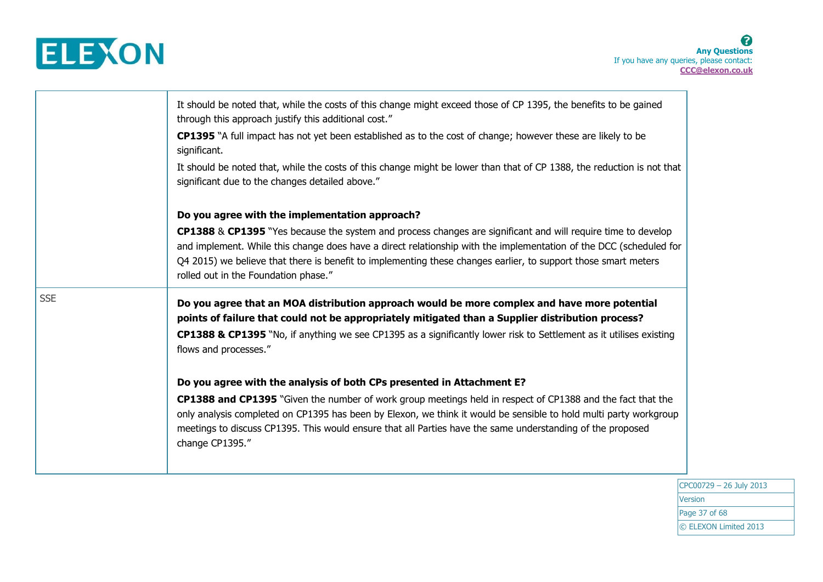

|            | It should be noted that, while the costs of this change might exceed those of CP 1395, the benefits to be gained<br>through this approach justify this additional cost."<br>CP1395 "A full impact has not yet been established as to the cost of change; however these are likely to be<br>significant.<br>It should be noted that, while the costs of this change might be lower than that of CP 1388, the reduction is not that<br>significant due to the changes detailed above." |
|------------|--------------------------------------------------------------------------------------------------------------------------------------------------------------------------------------------------------------------------------------------------------------------------------------------------------------------------------------------------------------------------------------------------------------------------------------------------------------------------------------|
|            | Do you agree with the implementation approach?                                                                                                                                                                                                                                                                                                                                                                                                                                       |
|            | CP1388 & CP1395 "Yes because the system and process changes are significant and will require time to develop<br>and implement. While this change does have a direct relationship with the implementation of the DCC (scheduled for<br>Q4 2015) we believe that there is benefit to implementing these changes earlier, to support those smart meters<br>rolled out in the Foundation phase."                                                                                         |
| <b>SSE</b> | Do you agree that an MOA distribution approach would be more complex and have more potential<br>points of failure that could not be appropriately mitigated than a Supplier distribution process?                                                                                                                                                                                                                                                                                    |
|            | CP1388 & CP1395 "No, if anything we see CP1395 as a significantly lower risk to Settlement as it utilises existing<br>flows and processes."                                                                                                                                                                                                                                                                                                                                          |
|            | Do you agree with the analysis of both CPs presented in Attachment E?                                                                                                                                                                                                                                                                                                                                                                                                                |
|            | CP1388 and CP1395 "Given the number of work group meetings held in respect of CP1388 and the fact that the<br>only analysis completed on CP1395 has been by Elexon, we think it would be sensible to hold multi party workgroup<br>meetings to discuss CP1395. This would ensure that all Parties have the same understanding of the proposed<br>change CP1395."                                                                                                                     |

CPC00729 – 26 July 2013 **Version** Page 37 of 68 © ELEXON Limited 2013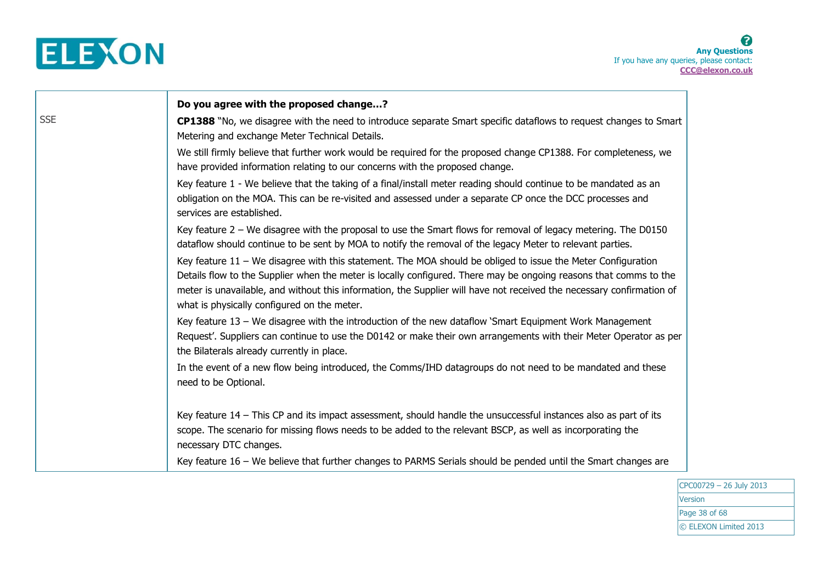

|            | Do you agree with the proposed change?                                                                                                                                                                                                                                                                                                                                                                    |
|------------|-----------------------------------------------------------------------------------------------------------------------------------------------------------------------------------------------------------------------------------------------------------------------------------------------------------------------------------------------------------------------------------------------------------|
| <b>SSE</b> | CP1388 "No, we disagree with the need to introduce separate Smart specific dataflows to request changes to Smart<br>Metering and exchange Meter Technical Details.                                                                                                                                                                                                                                        |
|            | We still firmly believe that further work would be required for the proposed change CP1388. For completeness, we<br>have provided information relating to our concerns with the proposed change.                                                                                                                                                                                                          |
|            | Key feature 1 - We believe that the taking of a final/install meter reading should continue to be mandated as an<br>obligation on the MOA. This can be re-visited and assessed under a separate CP once the DCC processes and<br>services are established.                                                                                                                                                |
|            | Key feature 2 - We disagree with the proposal to use the Smart flows for removal of legacy metering. The D0150<br>dataflow should continue to be sent by MOA to notify the removal of the legacy Meter to relevant parties.                                                                                                                                                                               |
|            | Key feature 11 - We disagree with this statement. The MOA should be obliged to issue the Meter Configuration<br>Details flow to the Supplier when the meter is locally configured. There may be ongoing reasons that comms to the<br>meter is unavailable, and without this information, the Supplier will have not received the necessary confirmation of<br>what is physically configured on the meter. |
|            | Key feature 13 – We disagree with the introduction of the new dataflow 'Smart Equipment Work Management<br>Request'. Suppliers can continue to use the D0142 or make their own arrangements with their Meter Operator as per<br>the Bilaterals already currently in place.                                                                                                                                |
|            | In the event of a new flow being introduced, the Comms/IHD datagroups do not need to be mandated and these<br>need to be Optional.                                                                                                                                                                                                                                                                        |
|            | Key feature 14 - This CP and its impact assessment, should handle the unsuccessful instances also as part of its<br>scope. The scenario for missing flows needs to be added to the relevant BSCP, as well as incorporating the<br>necessary DTC changes.                                                                                                                                                  |
|            | Key feature 16 - We believe that further changes to PARMS Serials should be pended until the Smart changes are                                                                                                                                                                                                                                                                                            |

CPC00729 – 26 July 2013 **Version** Page 38 of 68 © ELEXON Limited 2013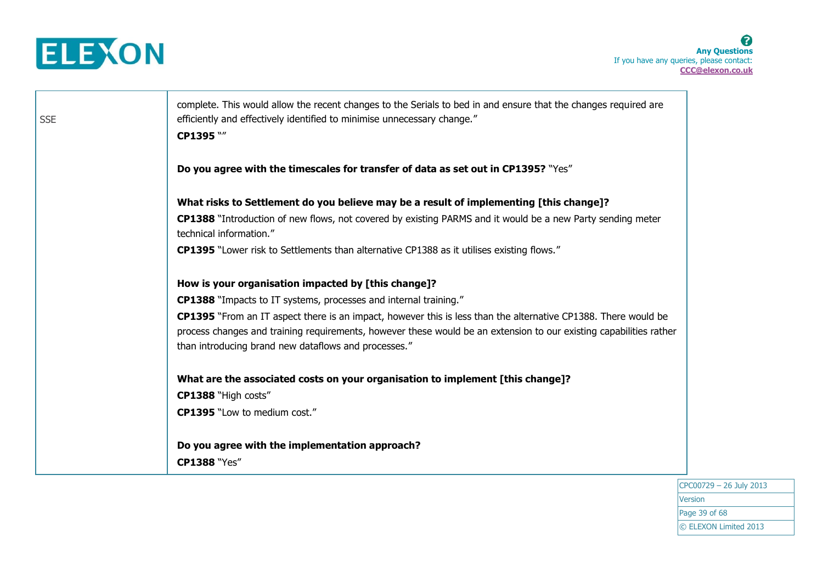



CPC00729 – 26 July 2013 Version Page 39 of 68 © ELEXON Limited 2013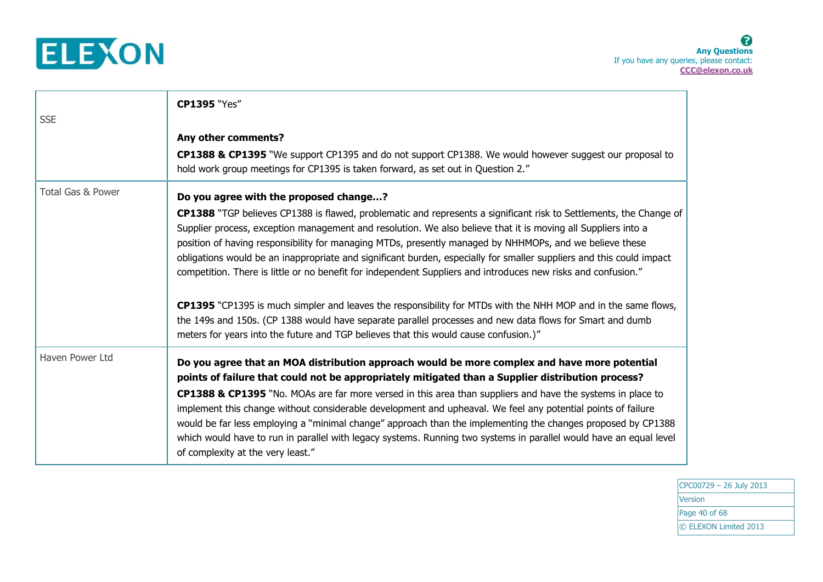

| <b>SSE</b>        | <b>CP1395 "Yes"</b>                                                                                                                                                                                                                                                                                                                                                                                                                                                                                                                                                                                                                                                                                                                                                                                                                                                                                                                                           |
|-------------------|---------------------------------------------------------------------------------------------------------------------------------------------------------------------------------------------------------------------------------------------------------------------------------------------------------------------------------------------------------------------------------------------------------------------------------------------------------------------------------------------------------------------------------------------------------------------------------------------------------------------------------------------------------------------------------------------------------------------------------------------------------------------------------------------------------------------------------------------------------------------------------------------------------------------------------------------------------------|
|                   | Any other comments?<br>CP1388 & CP1395 "We support CP1395 and do not support CP1388. We would however suggest our proposal to<br>hold work group meetings for CP1395 is taken forward, as set out in Question 2."                                                                                                                                                                                                                                                                                                                                                                                                                                                                                                                                                                                                                                                                                                                                             |
| Total Gas & Power | Do you agree with the proposed change?<br>CP1388 "TGP believes CP1388 is flawed, problematic and represents a significant risk to Settlements, the Change of<br>Supplier process, exception management and resolution. We also believe that it is moving all Suppliers into a<br>position of having responsibility for managing MTDs, presently managed by NHHMOPs, and we believe these<br>obligations would be an inappropriate and significant burden, especially for smaller suppliers and this could impact<br>competition. There is little or no benefit for independent Suppliers and introduces new risks and confusion."<br><b>CP1395</b> "CP1395 is much simpler and leaves the responsibility for MTDs with the NHH MOP and in the same flows,<br>the 149s and 150s. (CP 1388 would have separate parallel processes and new data flows for Smart and dumb<br>meters for years into the future and TGP believes that this would cause confusion.)" |
| Haven Power Ltd   | Do you agree that an MOA distribution approach would be more complex and have more potential<br>points of failure that could not be appropriately mitigated than a Supplier distribution process?<br>CP1388 & CP1395 "No. MOAs are far more versed in this area than suppliers and have the systems in place to<br>implement this change without considerable development and upheaval. We feel any potential points of failure<br>would be far less employing a "minimal change" approach than the implementing the changes proposed by CP1388<br>which would have to run in parallel with legacy systems. Running two systems in parallel would have an equal level<br>of complexity at the very least."                                                                                                                                                                                                                                                    |

CPC00729 – 26 July 2013 **Version** Page 40 of 68 © ELEXON Limited 2013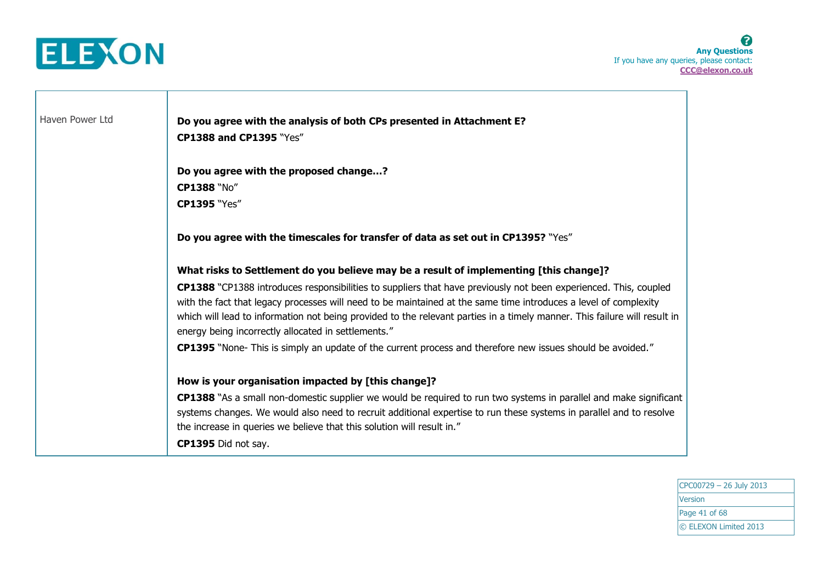

Haven Power Ltd **Do you agree with the analysis of both CPs presented in Attachment E? CP1388 and CP1395** "Yes" **Do you agree with the proposed change…? CP1388** "No" **CP1395** "Yes" **Do you agree with the timescales for transfer of data as set out in CP1395?** "Yes" **What risks to Settlement do you believe may be a result of implementing [this change]? CP1388** "CP1388 introduces responsibilities to suppliers that have previously not been experienced. This, coupled with the fact that legacy processes will need to be maintained at the same time introduces a level of complexity which will lead to information not being provided to the relevant parties in a timely manner. This failure will result in energy being incorrectly allocated in settlements." **CP1395** "None- This is simply an update of the current process and therefore new issues should be avoided." **How is your organisation impacted by [this change]? CP1388** "As a small non-domestic supplier we would be required to run two systems in parallel and make significant systems changes. We would also need to recruit additional expertise to run these systems in parallel and to resolve the increase in queries we believe that this solution will result in." **CP1395** Did not say.

> CPC00729 – 26 July 2013 Version Page 41 of 68 © ELEXON Limited 2013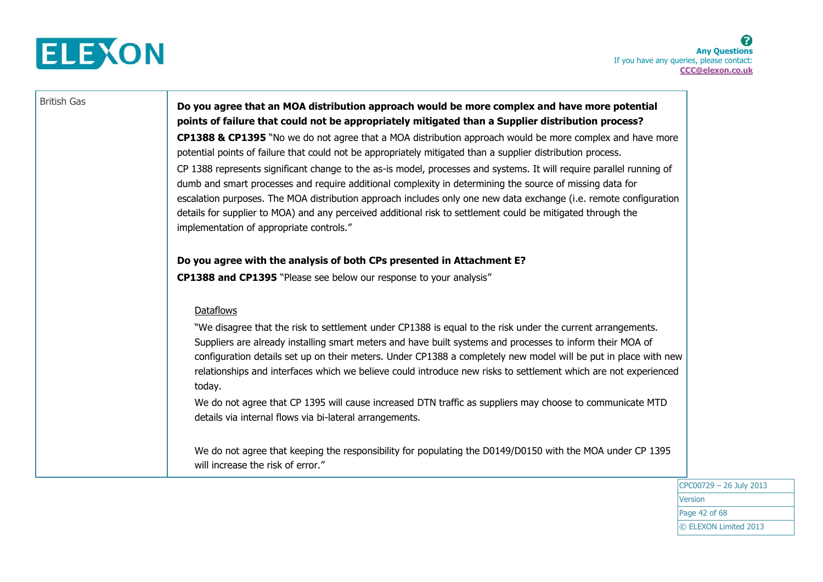

## British Gas **Do you agree that an MOA distribution approach would be more complex and have more potential points of failure that could not be appropriately mitigated than a Supplier distribution process?**

**CP1388 & CP1395** "No we do not agree that a MOA distribution approach would be more complex and have more potential points of failure that could not be appropriately mitigated than a supplier distribution process. CP 1388 represents significant change to the as-is model, processes and systems. It will require parallel running of dumb and smart processes and require additional complexity in determining the source of missing data for escalation purposes. The MOA distribution approach includes only one new data exchange (i.e. remote configuration details for supplier to MOA) and any perceived additional risk to settlement could be mitigated through the implementation of appropriate controls."

### **Do you agree with the analysis of both CPs presented in Attachment E?**

**CP1388 and CP1395** "Please see below our response to your analysis"

### **Dataflows**

"We disagree that the risk to settlement under CP1388 is equal to the risk under the current arrangements. Suppliers are already installing smart meters and have built systems and processes to inform their MOA of configuration details set up on their meters. Under CP1388 a completely new model will be put in place with new relationships and interfaces which we believe could introduce new risks to settlement which are not experienced today.

We do not agree that CP 1395 will cause increased DTN traffic as suppliers may choose to communicate MTD details via internal flows via bi-lateral arrangements.

We do not agree that keeping the responsibility for populating the D0149/D0150 with the MOA under CP 1395 will increase the risk of error."

> CPC00729 – 26 July 2013 Version Page 42 of 68 © ELEXON Limited 2013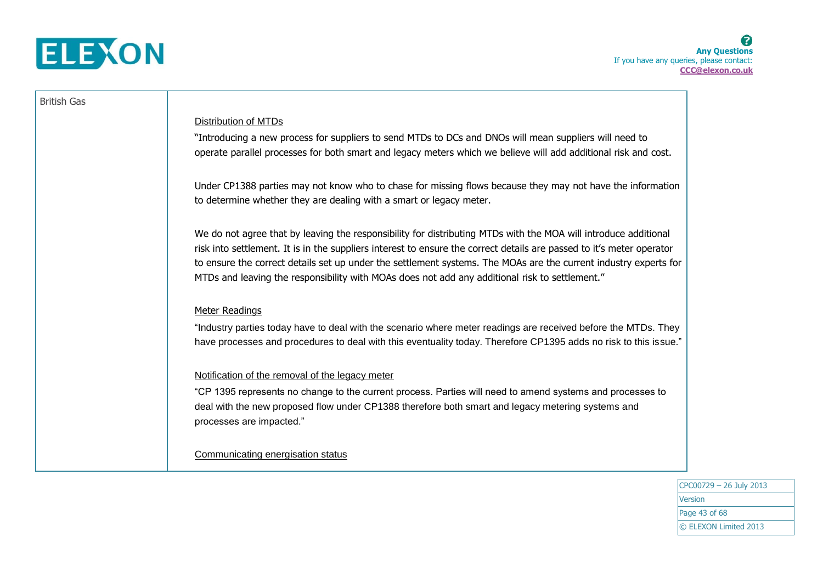

### British Gas

### Distribution of MTDs

"Introducing a new process for suppliers to send MTDs to DCs and DNOs will mean suppliers will need to operate parallel processes for both smart and legacy meters which we believe will add additional risk and cost.

Under CP1388 parties may not know who to chase for missing flows because they may not have the information to determine whether they are dealing with a smart or legacy meter.

We do not agree that by leaving the responsibility for distributing MTDs with the MOA will introduce additional risk into settlement. It is in the suppliers interest to ensure the correct details are passed to it's meter operator to ensure the correct details set up under the settlement systems. The MOAs are the current industry experts for MTDs and leaving the responsibility with MOAs does not add any additional risk to settlement."

### Meter Readings

"Industry parties today have to deal with the scenario where meter readings are received before the MTDs. They have processes and procedures to deal with this eventuality today. Therefore CP1395 adds no risk to this issue."

### Notification of the removal of the legacy meter

"CP 1395 represents no change to the current process. Parties will need to amend systems and processes to deal with the new proposed flow under CP1388 therefore both smart and legacy metering systems and processes are impacted."

Communicating energisation status

CPC00729 – 26 July 2013 Version Page 43 of 68 © ELEXON Limited 2013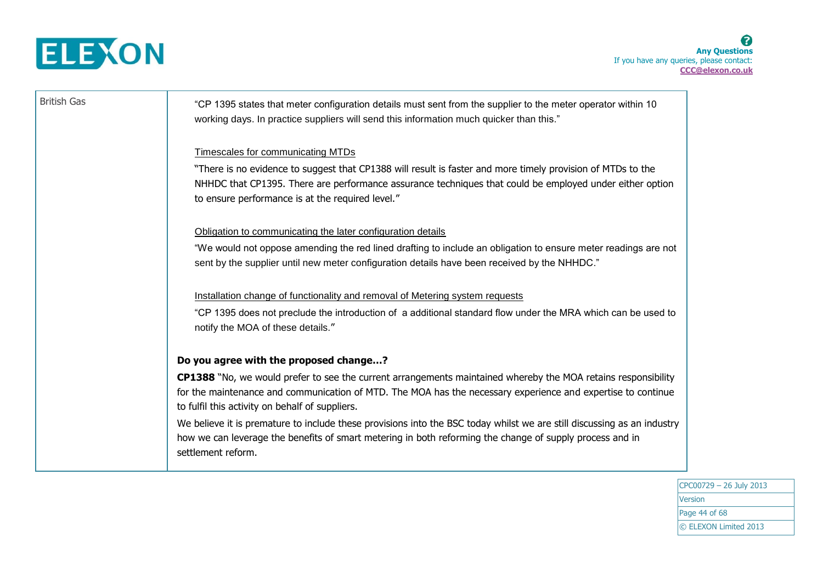

| <b>British Gas</b> | "CP 1395 states that meter configuration details must sent from the supplier to the meter operator within 10<br>working days. In practice suppliers will send this information much quicker than this."                                                                          |
|--------------------|----------------------------------------------------------------------------------------------------------------------------------------------------------------------------------------------------------------------------------------------------------------------------------|
|                    | <b>Timescales for communicating MTDs</b>                                                                                                                                                                                                                                         |
|                    | "There is no evidence to suggest that CP1388 will result is faster and more timely provision of MTDs to the<br>NHHDC that CP1395. There are performance assurance techniques that could be employed under either option<br>to ensure performance is at the required level."      |
|                    | Obligation to communicating the later configuration details                                                                                                                                                                                                                      |
|                    | "We would not oppose amending the red lined drafting to include an obligation to ensure meter readings are not<br>sent by the supplier until new meter configuration details have been received by the NHHDC."                                                                   |
|                    | Installation change of functionality and removal of Metering system requests                                                                                                                                                                                                     |
|                    | "CP 1395 does not preclude the introduction of a additional standard flow under the MRA which can be used to<br>notify the MOA of these details."                                                                                                                                |
|                    | Do you agree with the proposed change?                                                                                                                                                                                                                                           |
|                    | CP1388 "No, we would prefer to see the current arrangements maintained whereby the MOA retains responsibility<br>for the maintenance and communication of MTD. The MOA has the necessary experience and expertise to continue<br>to fulfil this activity on behalf of suppliers. |
|                    | We believe it is premature to include these provisions into the BSC today whilst we are still discussing as an industry<br>how we can leverage the benefits of smart metering in both reforming the change of supply process and in<br>settlement reform.                        |

CPC00729 – 26 July 2013 **Version** Page 44 of 68 © ELEXON Limited 2013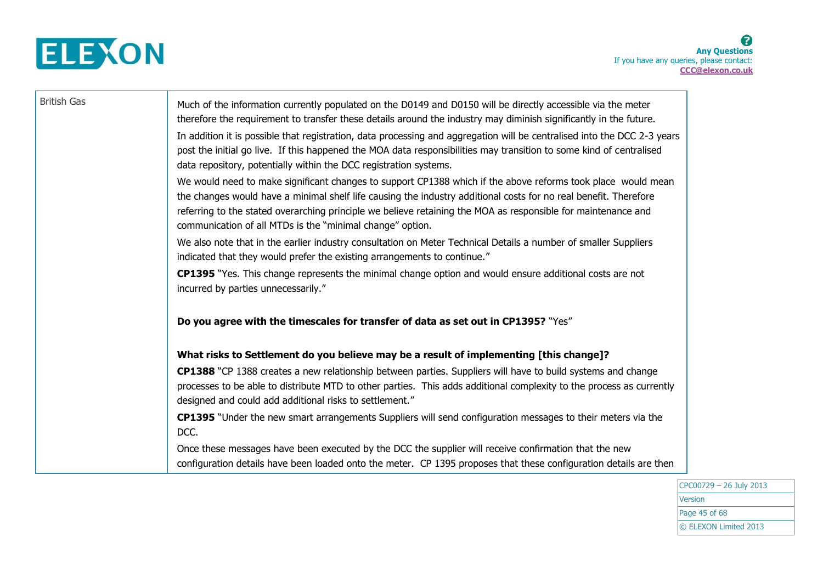

| <b>British Gas</b> | Much of the information currently populated on the D0149 and D0150 will be directly accessible via the meter<br>therefore the requirement to transfer these details around the industry may diminish significantly in the future.                                                                                                                                                                              |
|--------------------|----------------------------------------------------------------------------------------------------------------------------------------------------------------------------------------------------------------------------------------------------------------------------------------------------------------------------------------------------------------------------------------------------------------|
|                    | In addition it is possible that registration, data processing and aggregation will be centralised into the DCC 2-3 years<br>post the initial go live. If this happened the MOA data responsibilities may transition to some kind of centralised<br>data repository, potentially within the DCC registration systems.                                                                                           |
|                    | We would need to make significant changes to support CP1388 which if the above reforms took place would mean<br>the changes would have a minimal shelf life causing the industry additional costs for no real benefit. Therefore<br>referring to the stated overarching principle we believe retaining the MOA as responsible for maintenance and<br>communication of all MTDs is the "minimal change" option. |
|                    | We also note that in the earlier industry consultation on Meter Technical Details a number of smaller Suppliers<br>indicated that they would prefer the existing arrangements to continue."                                                                                                                                                                                                                    |
|                    | <b>CP1395</b> "Yes. This change represents the minimal change option and would ensure additional costs are not<br>incurred by parties unnecessarily."                                                                                                                                                                                                                                                          |
|                    | Do you agree with the timescales for transfer of data as set out in CP1395? "Yes"                                                                                                                                                                                                                                                                                                                              |
|                    | What risks to Settlement do you believe may be a result of implementing [this change]?                                                                                                                                                                                                                                                                                                                         |
|                    | CP1388 "CP 1388 creates a new relationship between parties. Suppliers will have to build systems and change<br>processes to be able to distribute MTD to other parties. This adds additional complexity to the process as currently<br>designed and could add additional risks to settlement."                                                                                                                 |
|                    | CP1395 "Under the new smart arrangements Suppliers will send configuration messages to their meters via the<br>DCC.                                                                                                                                                                                                                                                                                            |
|                    | Once these messages have been executed by the DCC the supplier will receive confirmation that the new<br>configuration details have been loaded onto the meter. CP 1395 proposes that these configuration details are then                                                                                                                                                                                     |

CPC00729 – 26 July 2013 **Version** Page 45 of 68 © ELEXON Limited 2013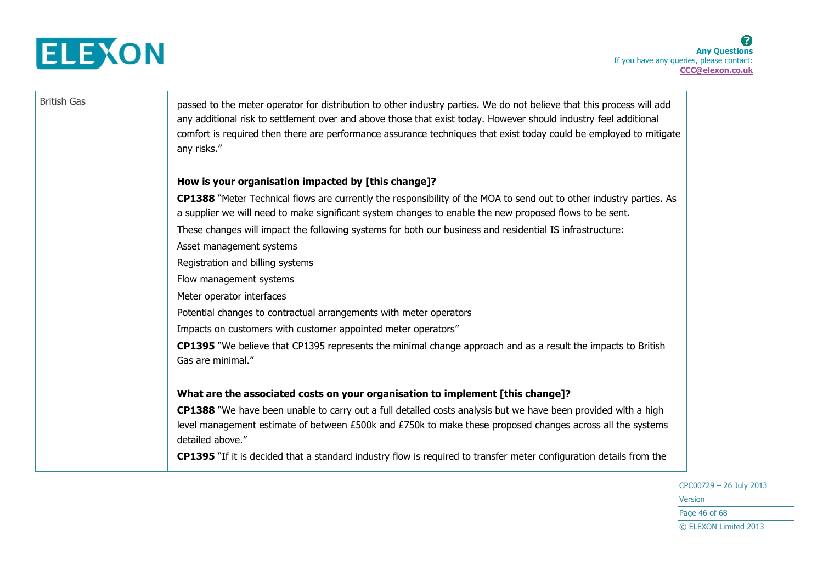

British Gas **passed to the meter operator for distribution to other industry parties. We do not believe that this process will add** any additional risk to settlement over and above those that exist today. However should industry feel additional comfort is required then there are performance assurance techniques that exist today could be employed to mitigate any risks."

### **How is your organisation impacted by [this change]?**

**CP1388** "Meter Technical flows are currently the responsibility of the MOA to send out to other industry parties. As a supplier we will need to make significant system changes to enable the new proposed flows to be sent. These changes will impact the following systems for both our business and residential IS infrastructure: Asset management systems Registration and billing systems Flow management systems

Meter operator interfaces

Potential changes to contractual arrangements with meter operators

Impacts on customers with customer appointed meter operators"

**CP1395** "We believe that CP1395 represents the minimal change approach and as a result the impacts to British Gas are minimal."

### **What are the associated costs on your organisation to implement [this change]?**

**CP1388** "We have been unable to carry out a full detailed costs analysis but we have been provided with a high level management estimate of between £500k and £750k to make these proposed changes across all the systems detailed above."

**CP1395** "If it is decided that a standard industry flow is required to transfer meter configuration details from the

CPC00729 – 26 July 2013 Version Page 46 of 68 © ELEXON Limited 2013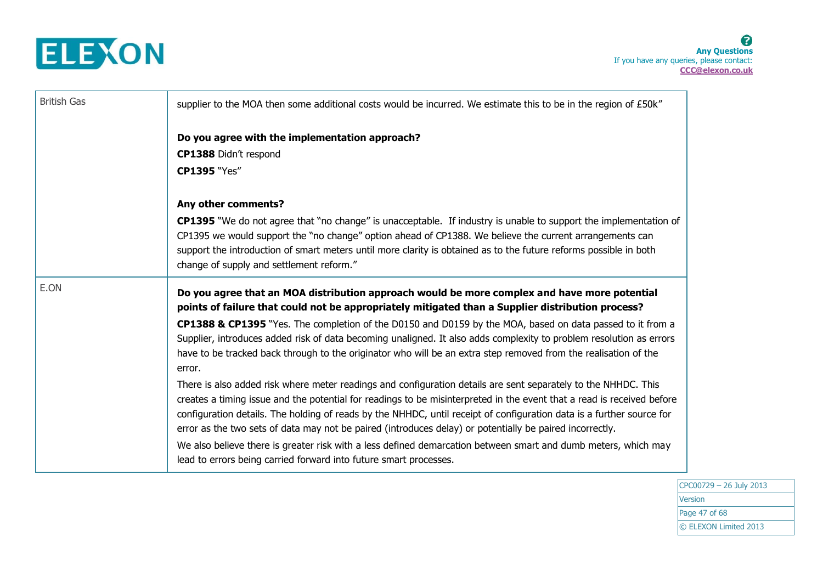

| <b>British Gas</b> | supplier to the MOA then some additional costs would be incurred. We estimate this to be in the region of £50k"                                                                                                                                                                                                                                                                                                                                                               |
|--------------------|-------------------------------------------------------------------------------------------------------------------------------------------------------------------------------------------------------------------------------------------------------------------------------------------------------------------------------------------------------------------------------------------------------------------------------------------------------------------------------|
|                    | Do you agree with the implementation approach?                                                                                                                                                                                                                                                                                                                                                                                                                                |
|                    | CP1388 Didn't respond                                                                                                                                                                                                                                                                                                                                                                                                                                                         |
|                    | <b>CP1395 "Yes"</b>                                                                                                                                                                                                                                                                                                                                                                                                                                                           |
|                    | Any other comments?                                                                                                                                                                                                                                                                                                                                                                                                                                                           |
|                    | <b>CP1395</b> "We do not agree that "no change" is unacceptable. If industry is unable to support the implementation of<br>CP1395 we would support the "no change" option ahead of CP1388. We believe the current arrangements can<br>support the introduction of smart meters until more clarity is obtained as to the future reforms possible in both<br>change of supply and settlement reform."                                                                           |
| E.ON               | Do you agree that an MOA distribution approach would be more complex and have more potential<br>points of failure that could not be appropriately mitigated than a Supplier distribution process?                                                                                                                                                                                                                                                                             |
|                    | CP1388 & CP1395 "Yes. The completion of the D0150 and D0159 by the MOA, based on data passed to it from a<br>Supplier, introduces added risk of data becoming unaligned. It also adds complexity to problem resolution as errors<br>have to be tracked back through to the originator who will be an extra step removed from the realisation of the<br>error.                                                                                                                 |
|                    | There is also added risk where meter readings and configuration details are sent separately to the NHHDC. This<br>creates a timing issue and the potential for readings to be misinterpreted in the event that a read is received before<br>configuration details. The holding of reads by the NHHDC, until receipt of configuration data is a further source for<br>error as the two sets of data may not be paired (introduces delay) or potentially be paired incorrectly. |
|                    | We also believe there is greater risk with a less defined demarcation between smart and dumb meters, which may<br>lead to errors being carried forward into future smart processes.                                                                                                                                                                                                                                                                                           |

CPC00729 – 26 July 2013 **Version** Page 47 of 68 © ELEXON Limited 2013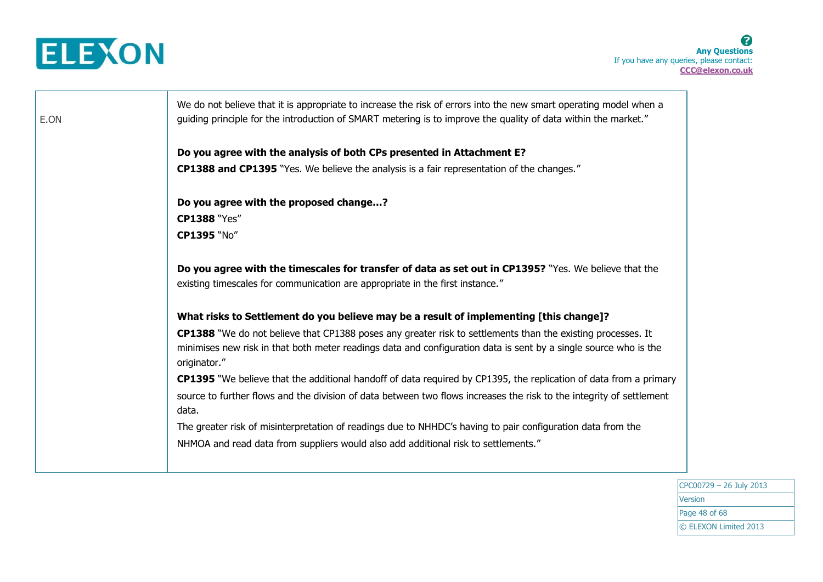

┱

| Do you agree with the analysis of both CPs presented in Attachment E?<br><b>CP1388 and CP1395</b> "Yes. We believe the analysis is a fair representation of the changes."<br>Do you agree with the proposed change?<br><b>CP1388 "Yes"</b><br>CP1395 "No"<br>Do you agree with the timescales for transfer of data as set out in CP1395? "Yes. We believe that the<br>existing timescales for communication are appropriate in the first instance." |
|-----------------------------------------------------------------------------------------------------------------------------------------------------------------------------------------------------------------------------------------------------------------------------------------------------------------------------------------------------------------------------------------------------------------------------------------------------|
|                                                                                                                                                                                                                                                                                                                                                                                                                                                     |
|                                                                                                                                                                                                                                                                                                                                                                                                                                                     |
|                                                                                                                                                                                                                                                                                                                                                                                                                                                     |
|                                                                                                                                                                                                                                                                                                                                                                                                                                                     |
|                                                                                                                                                                                                                                                                                                                                                                                                                                                     |
|                                                                                                                                                                                                                                                                                                                                                                                                                                                     |
| What risks to Settlement do you believe may be a result of implementing [this change]?                                                                                                                                                                                                                                                                                                                                                              |
| CP1388 "We do not believe that CP1388 poses any greater risk to settlements than the existing processes. It<br>minimises new risk in that both meter readings data and configuration data is sent by a single source who is the<br>originator."                                                                                                                                                                                                     |
| CP1395 "We believe that the additional handoff of data required by CP1395, the replication of data from a primary                                                                                                                                                                                                                                                                                                                                   |
| source to further flows and the division of data between two flows increases the risk to the integrity of settlement<br>data.                                                                                                                                                                                                                                                                                                                       |
| The greater risk of misinterpretation of readings due to NHHDC's having to pair configuration data from the                                                                                                                                                                                                                                                                                                                                         |
| NHMOA and read data from suppliers would also add additional risk to settlements."                                                                                                                                                                                                                                                                                                                                                                  |
|                                                                                                                                                                                                                                                                                                                                                                                                                                                     |

CPC00729 – 26 July 2013 **Version** Page 48 of 68 © ELEXON Limited 2013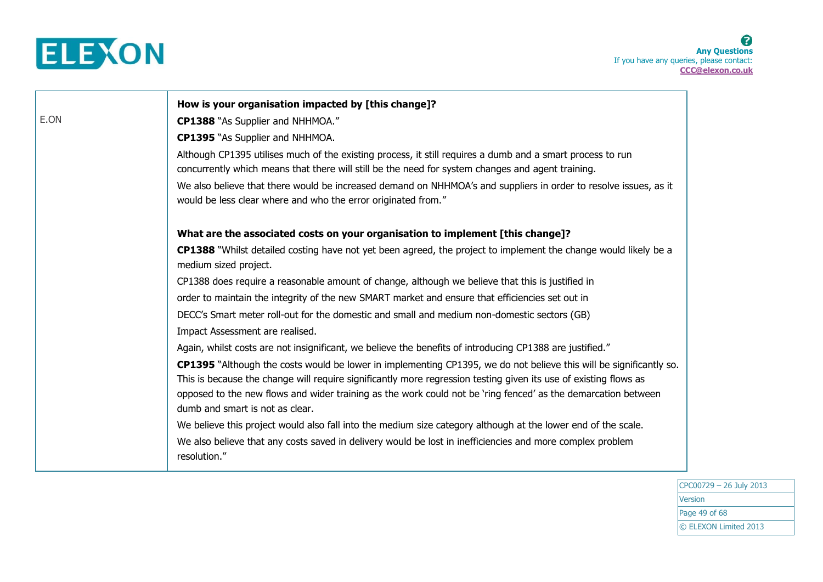

|      | How is your organisation impacted by [this change]?                                                                                                                                                                                                                                                                                                                                        |
|------|--------------------------------------------------------------------------------------------------------------------------------------------------------------------------------------------------------------------------------------------------------------------------------------------------------------------------------------------------------------------------------------------|
| E.ON | <b>CP1388</b> "As Supplier and NHHMOA."                                                                                                                                                                                                                                                                                                                                                    |
|      | <b>CP1395</b> "As Supplier and NHHMOA.                                                                                                                                                                                                                                                                                                                                                     |
|      | Although CP1395 utilises much of the existing process, it still requires a dumb and a smart process to run<br>concurrently which means that there will still be the need for system changes and agent training.                                                                                                                                                                            |
|      | We also believe that there would be increased demand on NHHMOA's and suppliers in order to resolve issues, as it<br>would be less clear where and who the error originated from."                                                                                                                                                                                                          |
|      | What are the associated costs on your organisation to implement [this change]?                                                                                                                                                                                                                                                                                                             |
|      | <b>CP1388</b> "Whilst detailed costing have not yet been agreed, the project to implement the change would likely be a<br>medium sized project.                                                                                                                                                                                                                                            |
|      | CP1388 does require a reasonable amount of change, although we believe that this is justified in                                                                                                                                                                                                                                                                                           |
|      | order to maintain the integrity of the new SMART market and ensure that efficiencies set out in                                                                                                                                                                                                                                                                                            |
|      | DECC's Smart meter roll-out for the domestic and small and medium non-domestic sectors (GB)                                                                                                                                                                                                                                                                                                |
|      | Impact Assessment are realised.                                                                                                                                                                                                                                                                                                                                                            |
|      | Again, whilst costs are not insignificant, we believe the benefits of introducing CP1388 are justified."                                                                                                                                                                                                                                                                                   |
|      | CP1395 "Although the costs would be lower in implementing CP1395, we do not believe this will be significantly so.<br>This is because the change will require significantly more regression testing given its use of existing flows as<br>opposed to the new flows and wider training as the work could not be 'ring fenced' as the demarcation between<br>dumb and smart is not as clear. |
|      | We believe this project would also fall into the medium size category although at the lower end of the scale.                                                                                                                                                                                                                                                                              |
|      | We also believe that any costs saved in delivery would be lost in inefficiencies and more complex problem<br>resolution."                                                                                                                                                                                                                                                                  |

CPC00729 – 26 July 2013 Version Page 49 of 68 © ELEXON Limited 2013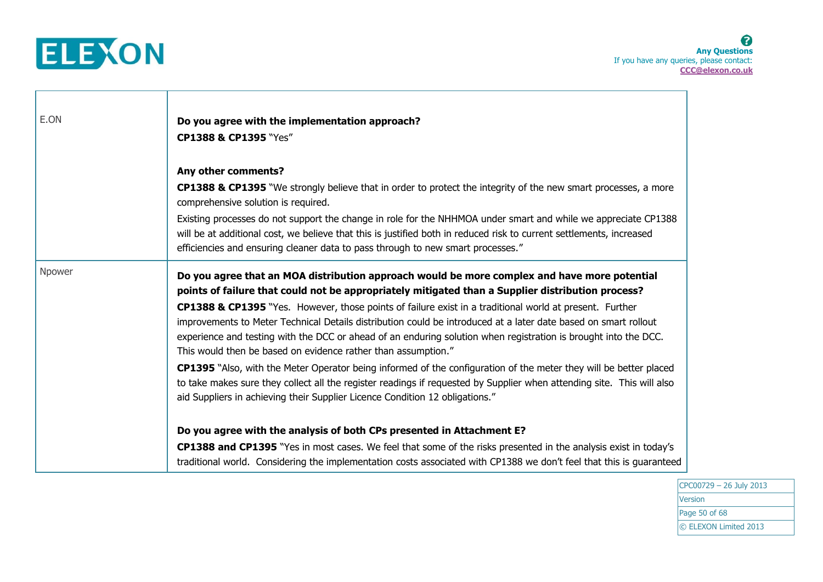

Т

| E.ON   | Do you agree with the implementation approach?<br>CP1388 & CP1395 "Yes"                                                                                                                                                                                                                                                                                                                                                   |  |  |
|--------|---------------------------------------------------------------------------------------------------------------------------------------------------------------------------------------------------------------------------------------------------------------------------------------------------------------------------------------------------------------------------------------------------------------------------|--|--|
|        | Any other comments?<br>CP1388 & CP1395 "We strongly believe that in order to protect the integrity of the new smart processes, a more                                                                                                                                                                                                                                                                                     |  |  |
|        | comprehensive solution is required.                                                                                                                                                                                                                                                                                                                                                                                       |  |  |
|        | Existing processes do not support the change in role for the NHHMOA under smart and while we appreciate CP1388<br>will be at additional cost, we believe that this is justified both in reduced risk to current settlements, increased<br>efficiencies and ensuring cleaner data to pass through to new smart processes."                                                                                                 |  |  |
| Npower | Do you agree that an MOA distribution approach would be more complex and have more potential<br>points of failure that could not be appropriately mitigated than a Supplier distribution process?                                                                                                                                                                                                                         |  |  |
|        | <b>CP1388 &amp; CP1395</b> "Yes. However, those points of failure exist in a traditional world at present. Further<br>improvements to Meter Technical Details distribution could be introduced at a later date based on smart rollout<br>experience and testing with the DCC or ahead of an enduring solution when registration is brought into the DCC.<br>This would then be based on evidence rather than assumption." |  |  |
|        | CP1395 "Also, with the Meter Operator being informed of the configuration of the meter they will be better placed<br>to take makes sure they collect all the register readings if requested by Supplier when attending site. This will also<br>aid Suppliers in achieving their Supplier Licence Condition 12 obligations."                                                                                               |  |  |
|        | Do you agree with the analysis of both CPs presented in Attachment E?                                                                                                                                                                                                                                                                                                                                                     |  |  |
|        | CP1388 and CP1395 "Yes in most cases. We feel that some of the risks presented in the analysis exist in today's<br>traditional world. Considering the implementation costs associated with CP1388 we don't feel that this is guaranteed                                                                                                                                                                                   |  |  |

CPC00729 – 26 July 2013 **Version** Page 50 of 68 © ELEXON Limited 2013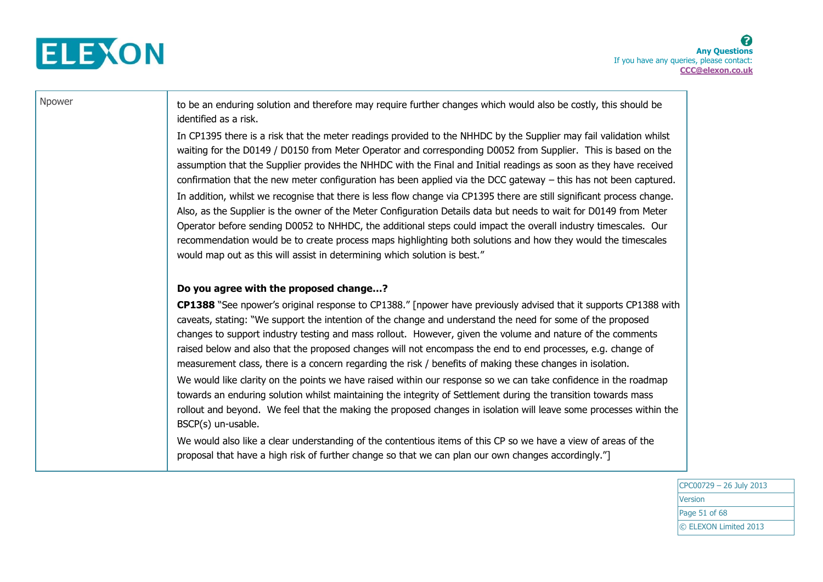

Npower  $\parallel$  to be an enduring solution and therefore may require further changes which would also be costly, this should be identified as a risk.

> In CP1395 there is a risk that the meter readings provided to the NHHDC by the Supplier may fail validation whilst waiting for the D0149 / D0150 from Meter Operator and corresponding D0052 from Supplier. This is based on the assumption that the Supplier provides the NHHDC with the Final and Initial readings as soon as they have received confirmation that the new meter configuration has been applied via the DCC gateway – this has not been captured. In addition, whilst we recognise that there is less flow change via CP1395 there are still significant process change. Also, as the Supplier is the owner of the Meter Configuration Details data but needs to wait for D0149 from Meter Operator before sending D0052 to NHHDC, the additional steps could impact the overall industry timescales. Our recommendation would be to create process maps highlighting both solutions and how they would the timescales would map out as this will assist in determining which solution is best."

### **Do you agree with the proposed change…?**

**CP1388** "See npower's original response to CP1388." [npower have previously advised that it supports CP1388 with caveats, stating: "We support the intention of the change and understand the need for some of the proposed changes to support industry testing and mass rollout. However, given the volume and nature of the comments raised below and also that the proposed changes will not encompass the end to end processes, e.g. change of measurement class, there is a concern regarding the risk / benefits of making these changes in isolation.

We would like clarity on the points we have raised within our response so we can take confidence in the roadmap towards an enduring solution whilst maintaining the integrity of Settlement during the transition towards mass rollout and beyond. We feel that the making the proposed changes in isolation will leave some processes within the BSCP(s) un-usable.

We would also like a clear understanding of the contentious items of this CP so we have a view of areas of the proposal that have a high risk of further change so that we can plan our own changes accordingly."]

> CPC00729 – 26 July 2013 Version Page 51 of 68 © ELEXON Limited 2013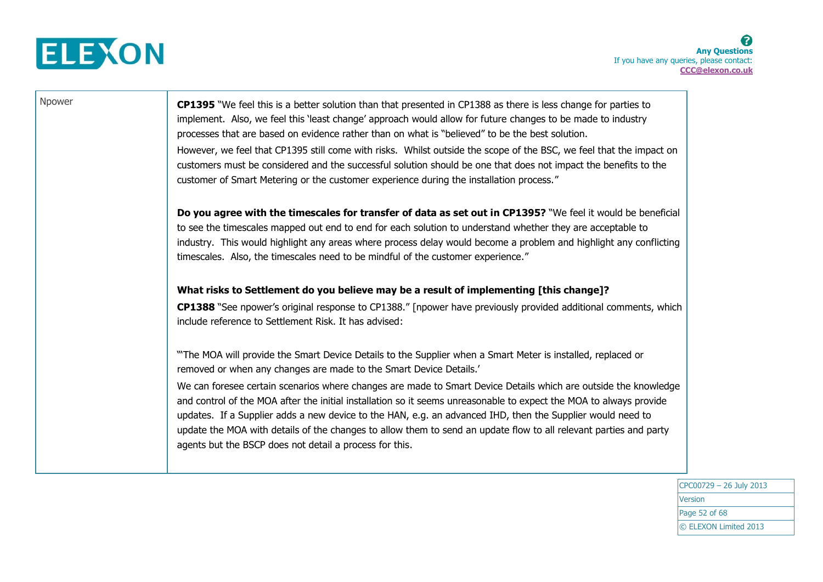

Npower **CP1395** "We feel this is a better solution than that presented in CP1388 as there is less change for parties to implement. Also, we feel this 'least change' approach would allow for future changes to be made to industry processes that are based on evidence rather than on what is "believed" to be the best solution. However, we feel that CP1395 still come with risks. Whilst outside the scope of the BSC, we feel that the impact on customers must be considered and the successful solution should be one that does not impact the benefits to the customer of Smart Metering or the customer experience during the installation process." **Do you agree with the timescales for transfer of data as set out in CP1395?** "We feel it would be beneficial to see the timescales mapped out end to end for each solution to understand whether they are acceptable to industry. This would highlight any areas where process delay would become a problem and highlight any conflicting timescales. Also, the timescales need to be mindful of the customer experience." **What risks to Settlement do you believe may be a result of implementing [this change]? CP1388** "See npower's original response to CP1388." [npower have previously provided additional comments, which include reference to Settlement Risk. It has advised: "'The MOA will provide the Smart Device Details to the Supplier when a Smart Meter is installed, replaced or removed or when any changes are made to the Smart Device Details.' We can foresee certain scenarios where changes are made to Smart Device Details which are outside the knowledge and control of the MOA after the initial installation so it seems unreasonable to expect the MOA to always provide updates. If a Supplier adds a new device to the HAN, e.g. an advanced IHD, then the Supplier would need to update the MOA with details of the changes to allow them to send an update flow to all relevant parties and party agents but the BSCP does not detail a process for this.

> CPC00729 – 26 July 2013 Version Page 52 of 68 © ELEXON Limited 2013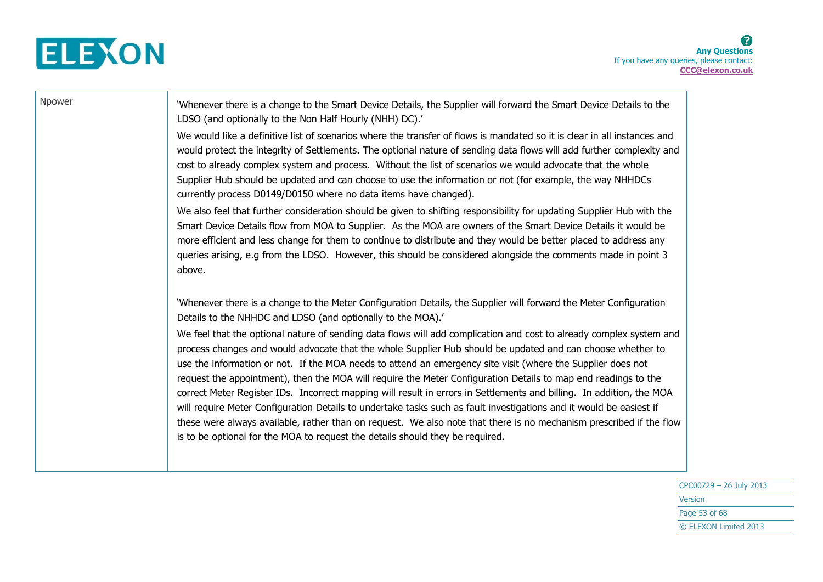

Npower \\ \times\\ \times\\ \times\\ \times\\ \times\\ \times\\ \times\\ \times\\ \times\\ \times\\ \times\\ \times\\ \times\\ \times\\ \times\\ \times\\ \times\\ \times\\ \times\\ \times\\ \times\\ \times\\ \times\\ \time LDSO (and optionally to the Non Half Hourly (NHH) DC).' We would like a definitive list of scenarios where the transfer of flows is mandated so it is clear in all instances and would protect the integrity of Settlements. The optional nature of sending data flows will add further complexity and cost to already complex system and process. Without the list of scenarios we would advocate that the whole Supplier Hub should be updated and can choose to use the information or not (for example, the way NHHDCs currently process D0149/D0150 where no data items have changed). We also feel that further consideration should be given to shifting responsibility for updating Supplier Hub with the Smart Device Details flow from MOA to Supplier. As the MOA are owners of the Smart Device Details it would be more efficient and less change for them to continue to distribute and they would be better placed to address any queries arising, e.g from the LDSO. However, this should be considered alongside the comments made in point 3 above. 'Whenever there is a change to the Meter Configuration Details, the Supplier will forward the Meter Configuration Details to the NHHDC and LDSO (and optionally to the MOA).' We feel that the optional nature of sending data flows will add complication and cost to already complex system and process changes and would advocate that the whole Supplier Hub should be updated and can choose whether to use the information or not. If the MOA needs to attend an emergency site visit (where the Supplier does not request the appointment), then the MOA will require the Meter Configuration Details to map end readings to the correct Meter Register IDs. Incorrect mapping will result in errors in Settlements and billing. In addition, the MOA will require Meter Configuration Details to undertake tasks such as fault investigations and it would be easiest if these were always available, rather than on request. We also note that there is no mechanism prescribed if the flow is to be optional for the MOA to request the details should they be required.

> CPC00729 – 26 July 2013 Version Page 53 of 68 © ELEXON Limited 2013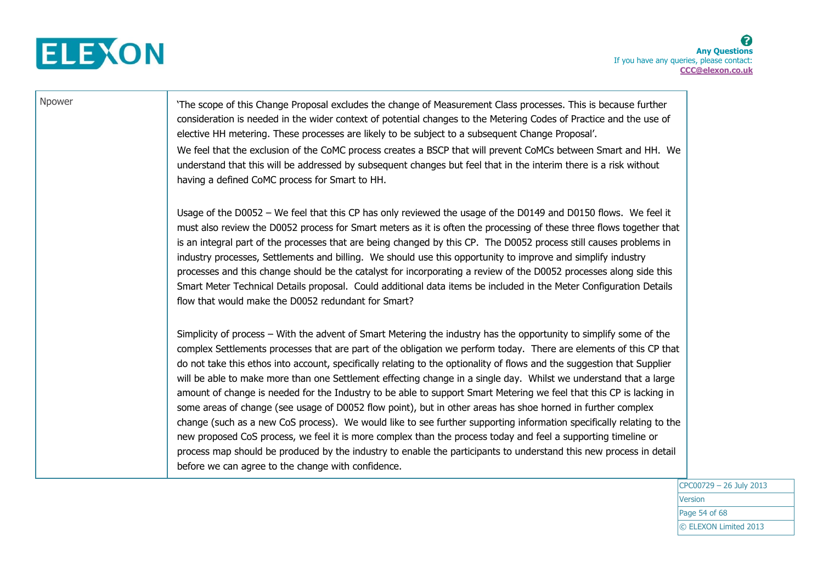

| Npower | The scope of this Change Proposal excludes the change of Measurement Class processes. This is because further<br>consideration is needed in the wider context of potential changes to the Metering Codes of Practice and the use of<br>elective HH metering. These processes are likely to be subject to a subsequent Change Proposal'.<br>We feel that the exclusion of the CoMC process creates a BSCP that will prevent CoMCs between Smart and HH. We<br>understand that this will be addressed by subsequent changes but feel that in the interim there is a risk without<br>having a defined CoMC process for Smart to HH.                                                                                                                                                                                                                                                                                                                                                                                                                                                                                                                    |
|--------|-----------------------------------------------------------------------------------------------------------------------------------------------------------------------------------------------------------------------------------------------------------------------------------------------------------------------------------------------------------------------------------------------------------------------------------------------------------------------------------------------------------------------------------------------------------------------------------------------------------------------------------------------------------------------------------------------------------------------------------------------------------------------------------------------------------------------------------------------------------------------------------------------------------------------------------------------------------------------------------------------------------------------------------------------------------------------------------------------------------------------------------------------------|
|        | Usage of the D0052 - We feel that this CP has only reviewed the usage of the D0149 and D0150 flows. We feel it<br>must also review the D0052 process for Smart meters as it is often the processing of these three flows together that<br>is an integral part of the processes that are being changed by this CP. The D0052 process still causes problems in<br>industry processes, Settlements and billing. We should use this opportunity to improve and simplify industry<br>processes and this change should be the catalyst for incorporating a review of the D0052 processes along side this<br>Smart Meter Technical Details proposal. Could additional data items be included in the Meter Configuration Details<br>flow that would make the D0052 redundant for Smart?                                                                                                                                                                                                                                                                                                                                                                     |
|        | Simplicity of process – With the advent of Smart Metering the industry has the opportunity to simplify some of the<br>complex Settlements processes that are part of the obligation we perform today. There are elements of this CP that<br>do not take this ethos into account, specifically relating to the optionality of flows and the suggestion that Supplier<br>will be able to make more than one Settlement effecting change in a single day. Whilst we understand that a large<br>amount of change is needed for the Industry to be able to support Smart Metering we feel that this CP is lacking in<br>some areas of change (see usage of D0052 flow point), but in other areas has shoe horned in further complex<br>change (such as a new CoS process). We would like to see further supporting information specifically relating to the<br>new proposed CoS process, we feel it is more complex than the process today and feel a supporting timeline or<br>process map should be produced by the industry to enable the participants to understand this new process in detail<br>before we can agree to the change with confidence. |

CPC00729 – 26 July 2013 Version Page 54 of 68 © ELEXON Limited 2013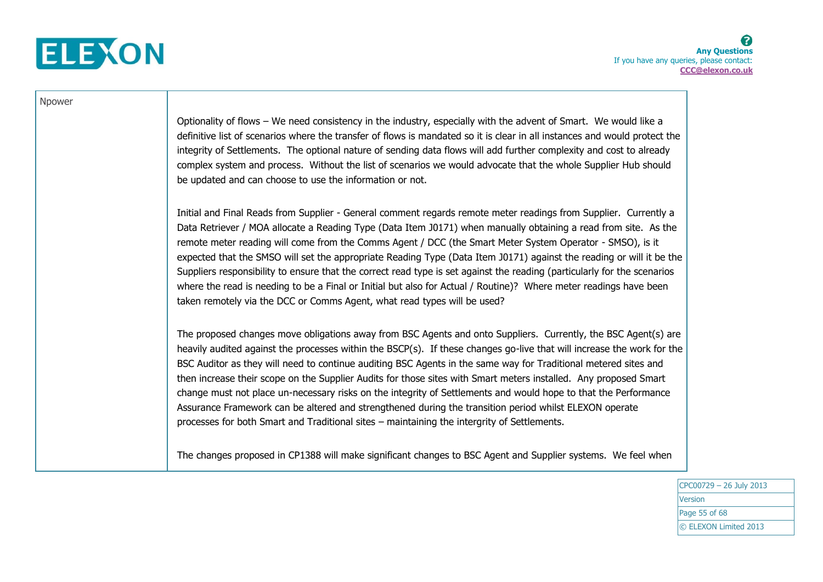

| Npower |                                                                                                                                                                                                                                                                                                                                                                                                                                                                                                                                                                                                                                                                                                                                                                                                             |
|--------|-------------------------------------------------------------------------------------------------------------------------------------------------------------------------------------------------------------------------------------------------------------------------------------------------------------------------------------------------------------------------------------------------------------------------------------------------------------------------------------------------------------------------------------------------------------------------------------------------------------------------------------------------------------------------------------------------------------------------------------------------------------------------------------------------------------|
|        | Optionality of flows - We need consistency in the industry, especially with the advent of Smart. We would like a<br>definitive list of scenarios where the transfer of flows is mandated so it is clear in all instances and would protect the<br>integrity of Settlements. The optional nature of sending data flows will add further complexity and cost to already<br>complex system and process. Without the list of scenarios we would advocate that the whole Supplier Hub should<br>be updated and can choose to use the information or not.                                                                                                                                                                                                                                                         |
|        | Initial and Final Reads from Supplier - General comment regards remote meter readings from Supplier. Currently a<br>Data Retriever / MOA allocate a Reading Type (Data Item J0171) when manually obtaining a read from site. As the<br>remote meter reading will come from the Comms Agent / DCC (the Smart Meter System Operator - SMSO), is it<br>expected that the SMSO will set the appropriate Reading Type (Data Item J0171) against the reading or will it be the<br>Suppliers responsibility to ensure that the correct read type is set against the reading (particularly for the scenarios<br>where the read is needing to be a Final or Initial but also for Actual / Routine)? Where meter readings have been<br>taken remotely via the DCC or Comms Agent, what read types will be used?       |
|        | The proposed changes move obligations away from BSC Agents and onto Suppliers. Currently, the BSC Agent(s) are<br>heavily audited against the processes within the BSCP(s). If these changes go-live that will increase the work for the<br>BSC Auditor as they will need to continue auditing BSC Agents in the same way for Traditional metered sites and<br>then increase their scope on the Supplier Audits for those sites with Smart meters installed. Any proposed Smart<br>change must not place un-necessary risks on the integrity of Settlements and would hope to that the Performance<br>Assurance Framework can be altered and strengthened during the transition period whilst ELEXON operate<br>processes for both Smart and Traditional sites - maintaining the intergrity of Settlements. |
|        | The changes proposed in CP1388 will make significant changes to BSC Agent and Supplier systems. We feel when                                                                                                                                                                                                                                                                                                                                                                                                                                                                                                                                                                                                                                                                                                |

CPC00729 – 26 July 2013 Version Page 55 of 68 © ELEXON Limited 2013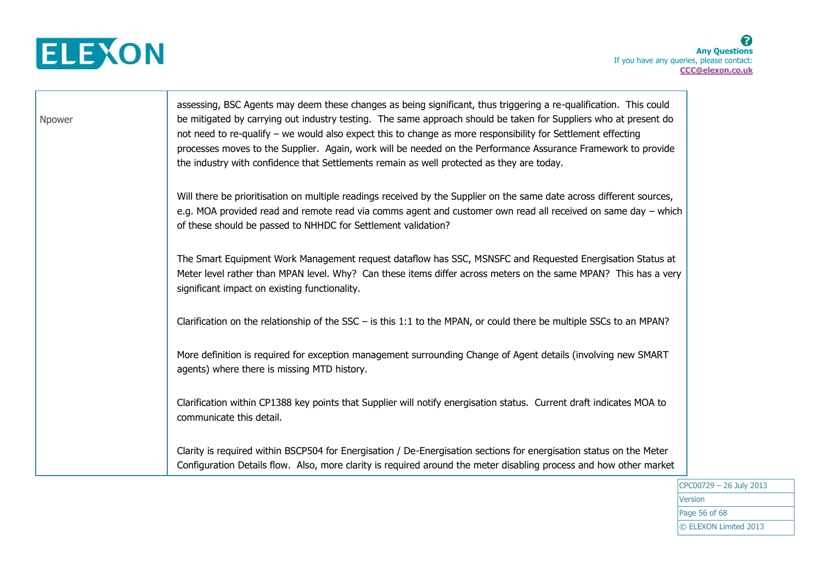

Т

| Npower | assessing, BSC Agents may deem these changes as being significant, thus triggering a re-qualification. This could<br>be mitigated by carrying out industry testing. The same approach should be taken for Suppliers who at present do<br>not need to re-qualify - we would also expect this to change as more responsibility for Settlement effecting<br>processes moves to the Supplier. Again, work will be needed on the Performance Assurance Framework to provide<br>the industry with confidence that Settlements remain as well protected as they are today. |
|--------|---------------------------------------------------------------------------------------------------------------------------------------------------------------------------------------------------------------------------------------------------------------------------------------------------------------------------------------------------------------------------------------------------------------------------------------------------------------------------------------------------------------------------------------------------------------------|
|        | Will there be prioritisation on multiple readings received by the Supplier on the same date across different sources,<br>e.g. MOA provided read and remote read via comms agent and customer own read all received on same day - which<br>of these should be passed to NHHDC for Settlement validation?                                                                                                                                                                                                                                                             |
|        | The Smart Equipment Work Management request dataflow has SSC, MSNSFC and Requested Energisation Status at<br>Meter level rather than MPAN level. Why? Can these items differ across meters on the same MPAN? This has a very<br>significant impact on existing functionality.                                                                                                                                                                                                                                                                                       |
|        | Clarification on the relationship of the $SSC -$ is this 1:1 to the MPAN, or could there be multiple SSCs to an MPAN?                                                                                                                                                                                                                                                                                                                                                                                                                                               |
|        | More definition is required for exception management surrounding Change of Agent details (involving new SMART<br>agents) where there is missing MTD history.                                                                                                                                                                                                                                                                                                                                                                                                        |
|        | Clarification within CP1388 key points that Supplier will notify energisation status. Current draft indicates MOA to<br>communicate this detail.                                                                                                                                                                                                                                                                                                                                                                                                                    |
|        | Clarity is required within BSCP504 for Energisation / De-Energisation sections for energisation status on the Meter<br>Configuration Details flow. Also, more clarity is required around the meter disabling process and how other market                                                                                                                                                                                                                                                                                                                           |

CPC00729 – 26 July 2013 Version Page 56 of 68 © ELEXON Limited 2013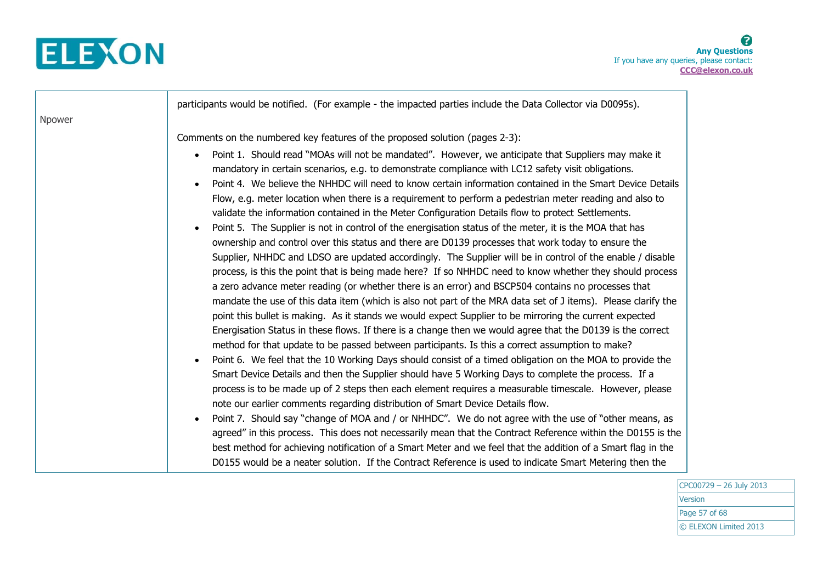

|        | participants would be notified. (For example - the impacted parties include the Data Collector via D0095s).                                                                                                                                                                                                                                                                                                                                                                                                                                                                                                                                                                                                                                                                                                                                                                                                                                                                                                                                                                                                                                                                                                                                                                                                                                                                                                                       |
|--------|-----------------------------------------------------------------------------------------------------------------------------------------------------------------------------------------------------------------------------------------------------------------------------------------------------------------------------------------------------------------------------------------------------------------------------------------------------------------------------------------------------------------------------------------------------------------------------------------------------------------------------------------------------------------------------------------------------------------------------------------------------------------------------------------------------------------------------------------------------------------------------------------------------------------------------------------------------------------------------------------------------------------------------------------------------------------------------------------------------------------------------------------------------------------------------------------------------------------------------------------------------------------------------------------------------------------------------------------------------------------------------------------------------------------------------------|
| Npower |                                                                                                                                                                                                                                                                                                                                                                                                                                                                                                                                                                                                                                                                                                                                                                                                                                                                                                                                                                                                                                                                                                                                                                                                                                                                                                                                                                                                                                   |
|        | Comments on the numbered key features of the proposed solution (pages 2-3):                                                                                                                                                                                                                                                                                                                                                                                                                                                                                                                                                                                                                                                                                                                                                                                                                                                                                                                                                                                                                                                                                                                                                                                                                                                                                                                                                       |
|        | Point 1. Should read "MOAs will not be mandated". However, we anticipate that Suppliers may make it<br>mandatory in certain scenarios, e.g. to demonstrate compliance with LC12 safety visit obligations.<br>Point 4. We believe the NHHDC will need to know certain information contained in the Smart Device Details<br>Flow, e.g. meter location when there is a requirement to perform a pedestrian meter reading and also to<br>validate the information contained in the Meter Configuration Details flow to protect Settlements.<br>Point 5. The Supplier is not in control of the energisation status of the meter, it is the MOA that has<br>ownership and control over this status and there are D0139 processes that work today to ensure the<br>Supplier, NHHDC and LDSO are updated accordingly. The Supplier will be in control of the enable / disable<br>process, is this the point that is being made here? If so NHHDC need to know whether they should process<br>a zero advance meter reading (or whether there is an error) and BSCP504 contains no processes that<br>mandate the use of this data item (which is also not part of the MRA data set of J items). Please clarify the<br>point this bullet is making. As it stands we would expect Supplier to be mirroring the current expected<br>Energisation Status in these flows. If there is a change then we would agree that the D0139 is the correct |
|        | method for that update to be passed between participants. Is this a correct assumption to make?                                                                                                                                                                                                                                                                                                                                                                                                                                                                                                                                                                                                                                                                                                                                                                                                                                                                                                                                                                                                                                                                                                                                                                                                                                                                                                                                   |
|        | Point 6. We feel that the 10 Working Days should consist of a timed obligation on the MOA to provide the<br>Smart Device Details and then the Supplier should have 5 Working Days to complete the process. If a<br>process is to be made up of 2 steps then each element requires a measurable timescale. However, please<br>note our earlier comments regarding distribution of Smart Device Details flow.                                                                                                                                                                                                                                                                                                                                                                                                                                                                                                                                                                                                                                                                                                                                                                                                                                                                                                                                                                                                                       |
|        | Point 7. Should say "change of MOA and / or NHHDC". We do not agree with the use of "other means, as<br>agreed" in this process. This does not necessarily mean that the Contract Reference within the D0155 is the<br>best method for achieving notification of a Smart Meter and we feel that the addition of a Smart flag in the<br>D0155 would be a neater solution. If the Contract Reference is used to indicate Smart Metering then the                                                                                                                                                                                                                                                                                                                                                                                                                                                                                                                                                                                                                                                                                                                                                                                                                                                                                                                                                                                    |

CPC00729 – 26 July 2013 **Version** Page 57 of 68 © ELEXON Limited 2013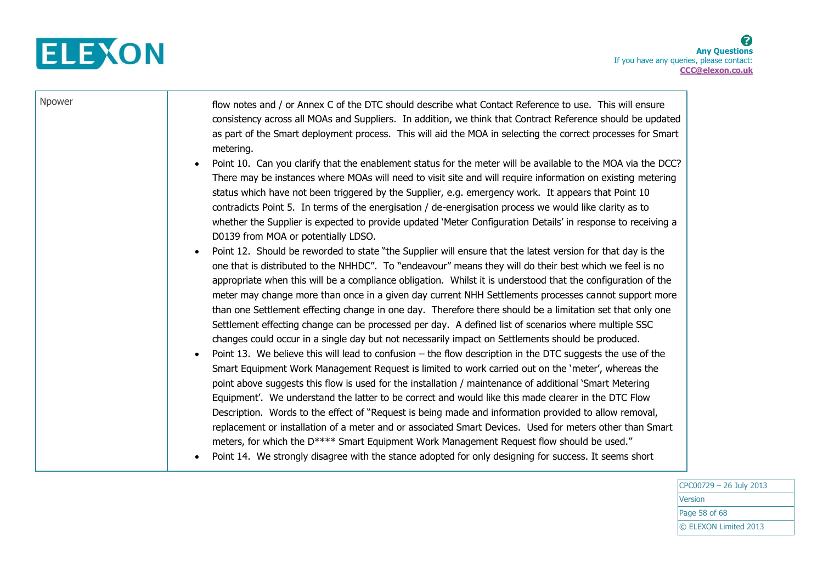

┰

| Npower | flow notes and / or Annex C of the DTC should describe what Contact Reference to use. This will ensure<br>consistency across all MOAs and Suppliers. In addition, we think that Contract Reference should be updated<br>as part of the Smart deployment process. This will aid the MOA in selecting the correct processes for Smart<br>metering.                                                                                                                                                                                                                                                                                                                                                                                                                                                                                                                                                                                                                                                                                                                                                                                                                                                                                                                                                                                                                                                                                                                |
|--------|-----------------------------------------------------------------------------------------------------------------------------------------------------------------------------------------------------------------------------------------------------------------------------------------------------------------------------------------------------------------------------------------------------------------------------------------------------------------------------------------------------------------------------------------------------------------------------------------------------------------------------------------------------------------------------------------------------------------------------------------------------------------------------------------------------------------------------------------------------------------------------------------------------------------------------------------------------------------------------------------------------------------------------------------------------------------------------------------------------------------------------------------------------------------------------------------------------------------------------------------------------------------------------------------------------------------------------------------------------------------------------------------------------------------------------------------------------------------|
|        | Point 10. Can you clarify that the enablement status for the meter will be available to the MOA via the DCC?<br>$\bullet$<br>There may be instances where MOAs will need to visit site and will require information on existing metering<br>status which have not been triggered by the Supplier, e.g. emergency work. It appears that Point 10<br>contradicts Point 5. In terms of the energisation / de-energisation process we would like clarity as to<br>whether the Supplier is expected to provide updated 'Meter Configuration Details' in response to receiving a<br>D0139 from MOA or potentially LDSO.                                                                                                                                                                                                                                                                                                                                                                                                                                                                                                                                                                                                                                                                                                                                                                                                                                               |
|        | Point 12. Should be reworded to state "the Supplier will ensure that the latest version for that day is the<br>$\bullet$<br>one that is distributed to the NHHDC". To "endeavour" means they will do their best which we feel is no<br>appropriate when this will be a compliance obligation. Whilst it is understood that the configuration of the<br>meter may change more than once in a given day current NHH Settlements processes cannot support more<br>than one Settlement effecting change in one day. Therefore there should be a limitation set that only one<br>Settlement effecting change can be processed per day. A defined list of scenarios where multiple SSC<br>changes could occur in a single day but not necessarily impact on Settlements should be produced.<br>Point 13. We believe this will lead to confusion $-$ the flow description in the DTC suggests the use of the<br>$\bullet$<br>Smart Equipment Work Management Request is limited to work carried out on the 'meter', whereas the<br>point above suggests this flow is used for the installation / maintenance of additional `Smart Metering<br>Equipment'. We understand the latter to be correct and would like this made clearer in the DTC Flow<br>Description. Words to the effect of "Request is being made and information provided to allow removal,<br>replacement or installation of a meter and or associated Smart Devices. Used for meters other than Smart |
|        | meters, for which the D**** Smart Equipment Work Management Request flow should be used."<br>Point 14. We strongly disagree with the stance adopted for only designing for success. It seems short                                                                                                                                                                                                                                                                                                                                                                                                                                                                                                                                                                                                                                                                                                                                                                                                                                                                                                                                                                                                                                                                                                                                                                                                                                                              |

CPC00729 – 26 July 2013 **Version** Page 58 of 68 © ELEXON Limited 2013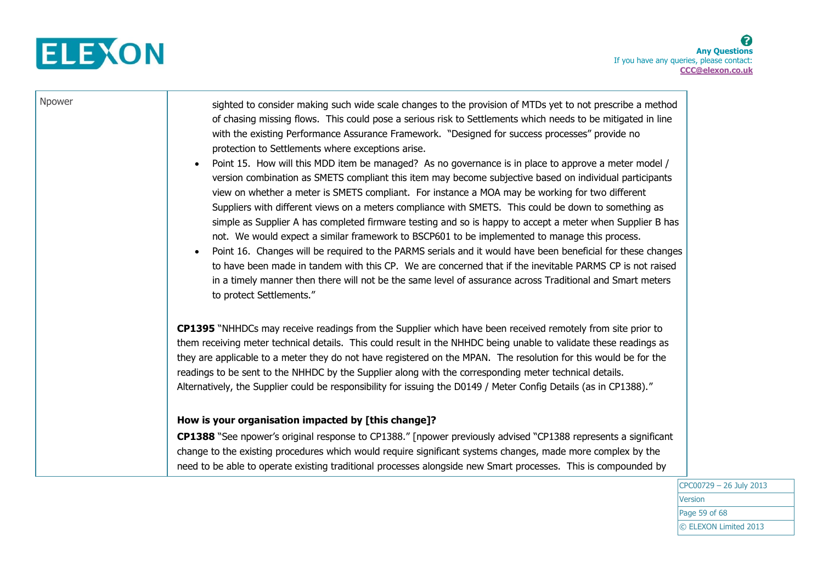

┰

| Npower | sighted to consider making such wide scale changes to the provision of MTDs yet to not prescribe a method                |  |
|--------|--------------------------------------------------------------------------------------------------------------------------|--|
|        | of chasing missing flows. This could pose a serious risk to Settlements which needs to be mitigated in line              |  |
|        | with the existing Performance Assurance Framework. "Designed for success processes" provide no                           |  |
|        | protection to Settlements where exceptions arise.                                                                        |  |
|        | Point 15. How will this MDD item be managed? As no governance is in place to approve a meter model /<br>$\bullet$        |  |
|        | version combination as SMETS compliant this item may become subjective based on individual participants                  |  |
|        | view on whether a meter is SMETS compliant. For instance a MOA may be working for two different                          |  |
|        | Suppliers with different views on a meters compliance with SMETS. This could be down to something as                     |  |
|        | simple as Supplier A has completed firmware testing and so is happy to accept a meter when Supplier B has                |  |
|        | not. We would expect a similar framework to BSCP601 to be implemented to manage this process.                            |  |
|        | Point 16. Changes will be required to the PARMS serials and it would have been beneficial for these changes<br>$\bullet$ |  |
|        | to have been made in tandem with this CP. We are concerned that if the inevitable PARMS CP is not raised                 |  |
|        | in a timely manner then there will not be the same level of assurance across Traditional and Smart meters                |  |
|        | to protect Settlements."                                                                                                 |  |
|        |                                                                                                                          |  |
|        | CP1395 "NHHDCs may receive readings from the Supplier which have been received remotely from site prior to               |  |
|        | them receiving meter technical details. This could result in the NHHDC being unable to validate these readings as        |  |
|        | they are applicable to a meter they do not have registered on the MPAN. The resolution for this would be for the         |  |
|        | readings to be sent to the NHHDC by the Supplier along with the corresponding meter technical details.                   |  |
|        | Alternatively, the Supplier could be responsibility for issuing the D0149 / Meter Config Details (as in CP1388)."        |  |
|        | How is your organisation impacted by [this change]?                                                                      |  |
|        | CP1388 "See npower's original response to CP1388." [npower previously advised "CP1388 represents a significant           |  |
|        | change to the existing procedures which would require significant systems changes, made more complex by the              |  |
|        | need to be able to operate existing traditional processes alongside new Smart processes. This is compounded by           |  |
|        |                                                                                                                          |  |

CPC00729 – 26 July 2013 Version Page 59 of 68 © ELEXON Limited 2013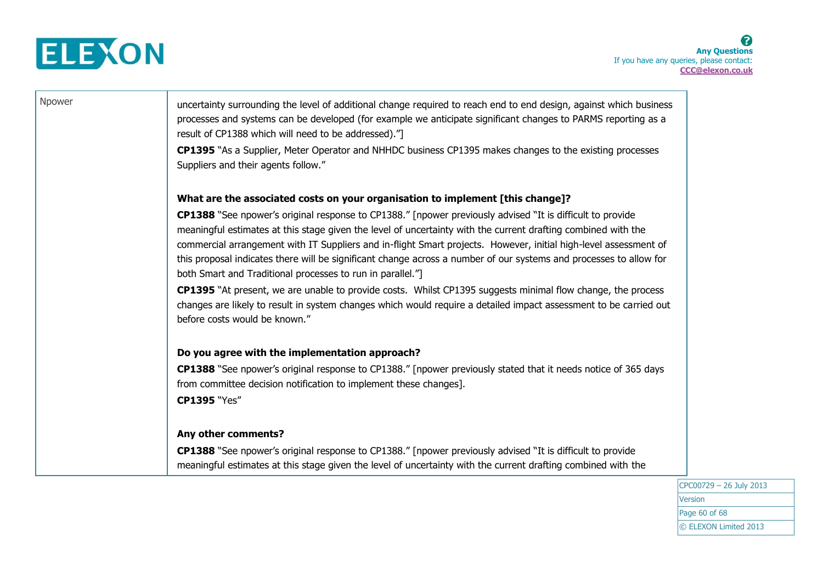

| Npower | uncertainty surrounding the level of additional change required to reach end to end design, against which business<br>processes and systems can be developed (for example we anticipate significant changes to PARMS reporting as a<br>result of CP1388 which will need to be addressed)."<br><b>CP1395</b> "As a Supplier, Meter Operator and NHHDC business CP1395 makes changes to the existing processes<br>Suppliers and their agents follow."                                                                                                                                                                                                                                                                                                                                                            |
|--------|----------------------------------------------------------------------------------------------------------------------------------------------------------------------------------------------------------------------------------------------------------------------------------------------------------------------------------------------------------------------------------------------------------------------------------------------------------------------------------------------------------------------------------------------------------------------------------------------------------------------------------------------------------------------------------------------------------------------------------------------------------------------------------------------------------------|
|        | What are the associated costs on your organisation to implement [this change]?                                                                                                                                                                                                                                                                                                                                                                                                                                                                                                                                                                                                                                                                                                                                 |
|        | <b>CP1388</b> "See npower's original response to CP1388." [npower previously advised "It is difficult to provide<br>meaningful estimates at this stage given the level of uncertainty with the current drafting combined with the<br>commercial arrangement with IT Suppliers and in-flight Smart projects. However, initial high-level assessment of<br>this proposal indicates there will be significant change across a number of our systems and processes to allow for<br>both Smart and Traditional processes to run in parallel."]<br>CP1395 "At present, we are unable to provide costs. Whilst CP1395 suggests minimal flow change, the process<br>changes are likely to result in system changes which would require a detailed impact assessment to be carried out<br>before costs would be known." |
|        | Do you agree with the implementation approach?                                                                                                                                                                                                                                                                                                                                                                                                                                                                                                                                                                                                                                                                                                                                                                 |
|        | <b>CP1388</b> "See npower's original response to CP1388." [npower previously stated that it needs notice of 365 days<br>from committee decision notification to implement these changes].<br><b>CP1395 "Yes"</b>                                                                                                                                                                                                                                                                                                                                                                                                                                                                                                                                                                                               |
|        | Any other comments?                                                                                                                                                                                                                                                                                                                                                                                                                                                                                                                                                                                                                                                                                                                                                                                            |
|        | CP1388 "See npower's original response to CP1388." [npower previously advised "It is difficult to provide<br>meaningful estimates at this stage given the level of uncertainty with the current drafting combined with the                                                                                                                                                                                                                                                                                                                                                                                                                                                                                                                                                                                     |

CPC00729 – 26 July 2013 Version Page 60 of 68 © ELEXON Limited 2013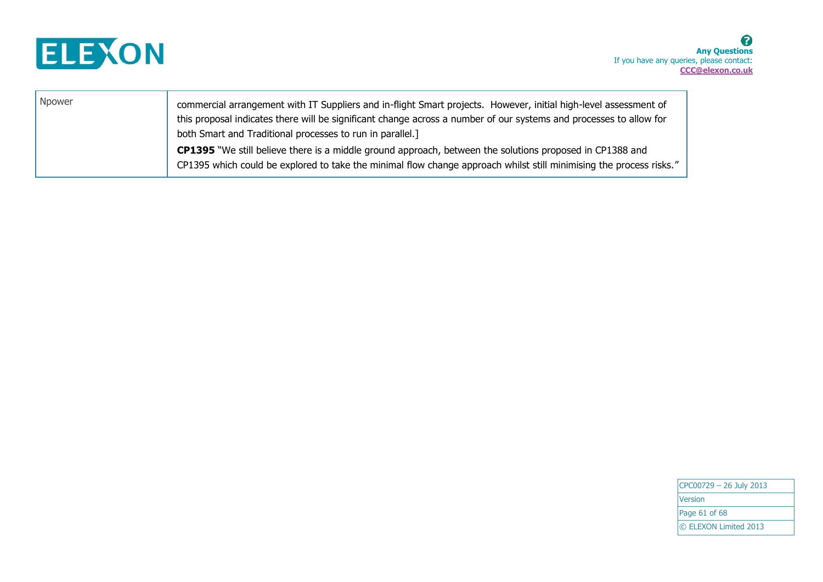

| Npower | commercial arrangement with IT Suppliers and in-flight Smart projects. However, initial high-level assessment of                                                                                                                |
|--------|---------------------------------------------------------------------------------------------------------------------------------------------------------------------------------------------------------------------------------|
|        | this proposal indicates there will be significant change across a number of our systems and processes to allow for                                                                                                              |
|        | both Smart and Traditional processes to run in parallel.]                                                                                                                                                                       |
|        | CP1395 "We still believe there is a middle ground approach, between the solutions proposed in CP1388 and<br>CP1395 which could be explored to take the minimal flow change approach whilst still minimising the process risks." |

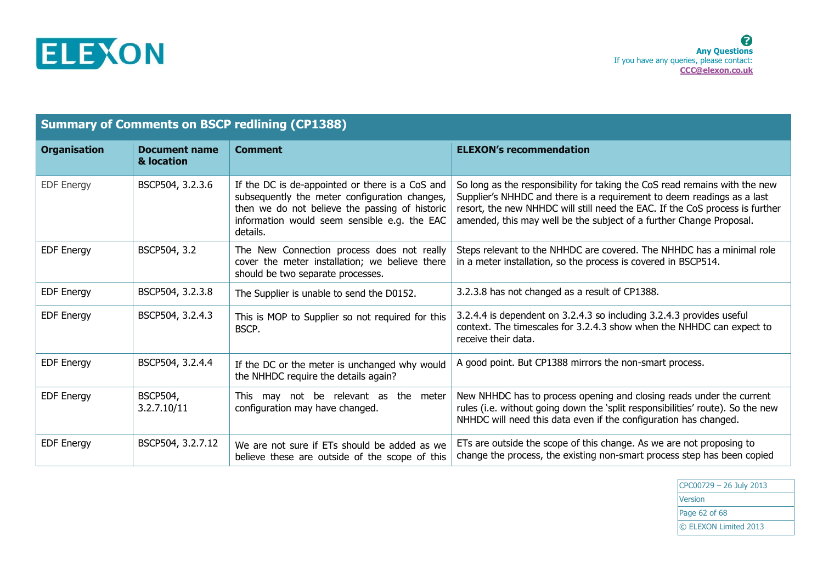

| <b>Summary of Comments on BSCP redlining (CP1388)</b> |                                    |                                                                                                                                                                                                                |                                                                                                                                                                                                                                                                                                             |  |
|-------------------------------------------------------|------------------------------------|----------------------------------------------------------------------------------------------------------------------------------------------------------------------------------------------------------------|-------------------------------------------------------------------------------------------------------------------------------------------------------------------------------------------------------------------------------------------------------------------------------------------------------------|--|
| <b>Organisation</b>                                   | <b>Document name</b><br>& location | <b>Comment</b>                                                                                                                                                                                                 | <b>ELEXON's recommendation</b>                                                                                                                                                                                                                                                                              |  |
| <b>EDF Energy</b>                                     | BSCP504, 3.2.3.6                   | If the DC is de-appointed or there is a CoS and<br>subsequently the meter configuration changes,<br>then we do not believe the passing of historic<br>information would seem sensible e.g. the EAC<br>details. | So long as the responsibility for taking the CoS read remains with the new<br>Supplier's NHHDC and there is a requirement to deem readings as a last<br>resort, the new NHHDC will still need the EAC. If the CoS process is further<br>amended, this may well be the subject of a further Change Proposal. |  |
| <b>EDF Energy</b>                                     | BSCP504, 3.2                       | The New Connection process does not really<br>cover the meter installation; we believe there<br>should be two separate processes.                                                                              | Steps relevant to the NHHDC are covered. The NHHDC has a minimal role<br>in a meter installation, so the process is covered in BSCP514.                                                                                                                                                                     |  |
| <b>EDF Energy</b>                                     | BSCP504, 3.2.3.8                   | The Supplier is unable to send the D0152.                                                                                                                                                                      | 3.2.3.8 has not changed as a result of CP1388.                                                                                                                                                                                                                                                              |  |
| <b>EDF Energy</b>                                     | BSCP504, 3.2.4.3                   | This is MOP to Supplier so not required for this<br>BSCP.                                                                                                                                                      | 3.2.4.4 is dependent on 3.2.4.3 so including 3.2.4.3 provides useful<br>context. The timescales for 3.2.4.3 show when the NHHDC can expect to<br>receive their data.                                                                                                                                        |  |
| <b>EDF Energy</b>                                     | BSCP504, 3.2.4.4                   | If the DC or the meter is unchanged why would<br>the NHHDC require the details again?                                                                                                                          | A good point. But CP1388 mirrors the non-smart process.                                                                                                                                                                                                                                                     |  |
| <b>EDF Energy</b>                                     | <b>BSCP504,</b><br>3.2.7.10/11     | This may not be relevant as the meter<br>configuration may have changed.                                                                                                                                       | New NHHDC has to process opening and closing reads under the current<br>rules (i.e. without going down the 'split responsibilities' route). So the new<br>NHHDC will need this data even if the configuration has changed.                                                                                  |  |
| <b>EDF Energy</b>                                     | BSCP504, 3.2.7.12                  | We are not sure if ETs should be added as we<br>believe these are outside of the scope of this                                                                                                                 | ETs are outside the scope of this change. As we are not proposing to<br>change the process, the existing non-smart process step has been copied                                                                                                                                                             |  |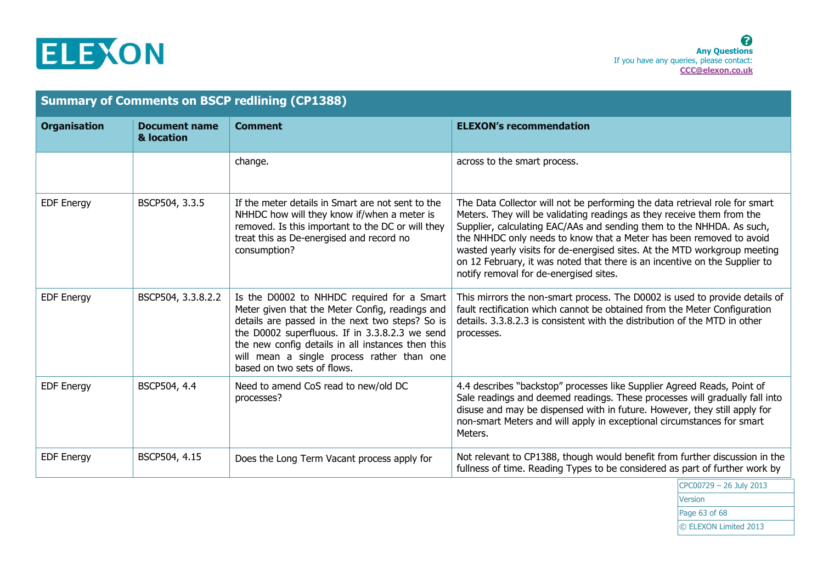

| <b>Summary of Comments on BSCP redlining (CP1388)</b>     |                                                                                                                                                                                                                                                                                                                                      |                                                                                                                                                                                                                                                                                                                                                                                                                                                                                                            |  |
|-----------------------------------------------------------|--------------------------------------------------------------------------------------------------------------------------------------------------------------------------------------------------------------------------------------------------------------------------------------------------------------------------------------|------------------------------------------------------------------------------------------------------------------------------------------------------------------------------------------------------------------------------------------------------------------------------------------------------------------------------------------------------------------------------------------------------------------------------------------------------------------------------------------------------------|--|
| <b>Organisation</b><br><b>Document name</b><br>& location | <b>Comment</b>                                                                                                                                                                                                                                                                                                                       | <b>ELEXON's recommendation</b>                                                                                                                                                                                                                                                                                                                                                                                                                                                                             |  |
| change.                                                   |                                                                                                                                                                                                                                                                                                                                      | across to the smart process.                                                                                                                                                                                                                                                                                                                                                                                                                                                                               |  |
| BSCP504, 3.3.5<br><b>EDF Energy</b>                       | If the meter details in Smart are not sent to the<br>NHHDC how will they know if/when a meter is<br>removed. Is this important to the DC or will they<br>treat this as De-energised and record no<br>consumption?                                                                                                                    | The Data Collector will not be performing the data retrieval role for smart<br>Meters. They will be validating readings as they receive them from the<br>Supplier, calculating EAC/AAs and sending them to the NHHDA. As such,<br>the NHHDC only needs to know that a Meter has been removed to avoid<br>wasted yearly visits for de-energised sites. At the MTD workgroup meeting<br>on 12 February, it was noted that there is an incentive on the Supplier to<br>notify removal for de-energised sites. |  |
| BSCP504, 3.3.8.2.2<br><b>EDF Energy</b>                   | Is the D0002 to NHHDC required for a Smart<br>Meter given that the Meter Config, readings and<br>details are passed in the next two steps? So is<br>the D0002 superfluous. If in 3.3.8.2.3 we send<br>the new config details in all instances then this<br>will mean a single process rather than one<br>based on two sets of flows. | This mirrors the non-smart process. The D0002 is used to provide details of<br>fault rectification which cannot be obtained from the Meter Configuration<br>details, 3.3.8.2.3 is consistent with the distribution of the MTD in other<br>processes.                                                                                                                                                                                                                                                       |  |
| BSCP504, 4.4<br><b>EDF Energy</b>                         | Need to amend CoS read to new/old DC<br>processes?                                                                                                                                                                                                                                                                                   | 4.4 describes "backstop" processes like Supplier Agreed Reads, Point of<br>Sale readings and deemed readings. These processes will gradually fall into<br>disuse and may be dispensed with in future. However, they still apply for<br>non-smart Meters and will apply in exceptional circumstances for smart<br>Meters.                                                                                                                                                                                   |  |
| BSCP504, 4.15<br><b>EDF Energy</b>                        | Does the Long Term Vacant process apply for                                                                                                                                                                                                                                                                                          | Not relevant to CP1388, though would benefit from further discussion in the<br>fullness of time. Reading Types to be considered as part of further work by<br>$CDCOOZ20 - 2C1.1.2012$                                                                                                                                                                                                                                                                                                                      |  |

CPC00729 – 26 July 2013 Version Page 63 of 68 © ELEXON Limited 2013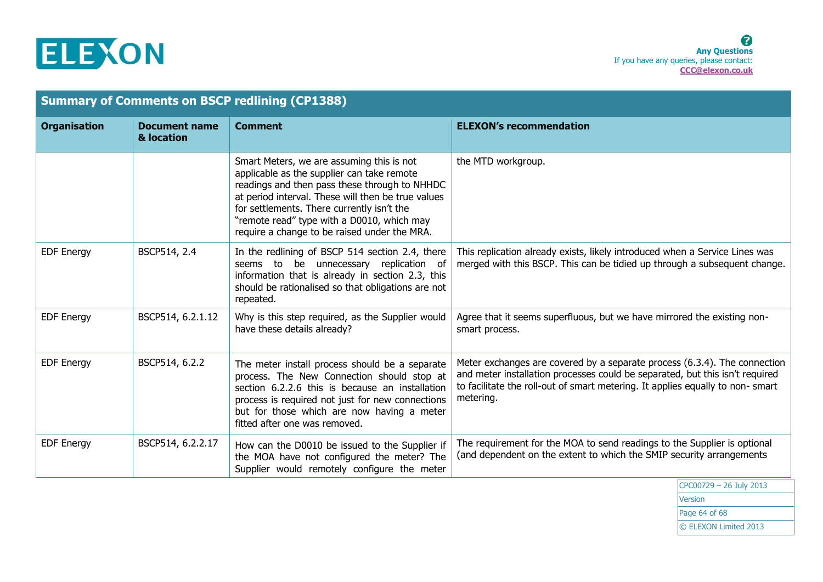

| <b>Summary of Comments on BSCP redlining (CP1388)</b> |                                    |                                                                                                                                                                                                                                                                                                                                            |                                                                                                                                                                                                                                                         |
|-------------------------------------------------------|------------------------------------|--------------------------------------------------------------------------------------------------------------------------------------------------------------------------------------------------------------------------------------------------------------------------------------------------------------------------------------------|---------------------------------------------------------------------------------------------------------------------------------------------------------------------------------------------------------------------------------------------------------|
| <b>Organisation</b>                                   | <b>Document name</b><br>& location | <b>Comment</b>                                                                                                                                                                                                                                                                                                                             | <b>ELEXON's recommendation</b>                                                                                                                                                                                                                          |
|                                                       |                                    | Smart Meters, we are assuming this is not<br>applicable as the supplier can take remote<br>readings and then pass these through to NHHDC<br>at period interval. These will then be true values<br>for settlements. There currently isn't the<br>"remote read" type with a D0010, which may<br>require a change to be raised under the MRA. | the MTD workgroup.                                                                                                                                                                                                                                      |
| <b>EDF Energy</b>                                     | BSCP514, 2.4                       | In the redlining of BSCP 514 section 2.4, there<br>seems to be unnecessary replication of<br>information that is already in section 2.3, this<br>should be rationalised so that obligations are not<br>repeated.                                                                                                                           | This replication already exists, likely introduced when a Service Lines was<br>merged with this BSCP. This can be tidied up through a subsequent change.                                                                                                |
| <b>EDF Energy</b>                                     | BSCP514, 6.2.1.12                  | Why is this step required, as the Supplier would<br>have these details already?                                                                                                                                                                                                                                                            | Agree that it seems superfluous, but we have mirrored the existing non-<br>smart process.                                                                                                                                                               |
| <b>EDF Energy</b>                                     | BSCP514, 6.2.2                     | The meter install process should be a separate<br>process. The New Connection should stop at<br>section 6.2.2.6 this is because an installation<br>process is required not just for new connections<br>but for those which are now having a meter<br>fitted after one was removed.                                                         | Meter exchanges are covered by a separate process (6.3.4). The connection<br>and meter installation processes could be separated, but this isn't required<br>to facilitate the roll-out of smart metering. It applies equally to non-smart<br>metering. |
| <b>EDF Energy</b>                                     | BSCP514, 6.2.2.17                  | How can the D0010 be issued to the Supplier if<br>the MOA have not configured the meter? The<br>Supplier would remotely configure the meter                                                                                                                                                                                                | The requirement for the MOA to send readings to the Supplier is optional<br>(and dependent on the extent to which the SMIP security arrangements                                                                                                        |
|                                                       |                                    |                                                                                                                                                                                                                                                                                                                                            | $ $ CPC00729 - 26 July 2013                                                                                                                                                                                                                             |

CPC00729 – 26 July 2013 Version Page 64 of 68 © ELEXON Limited 2013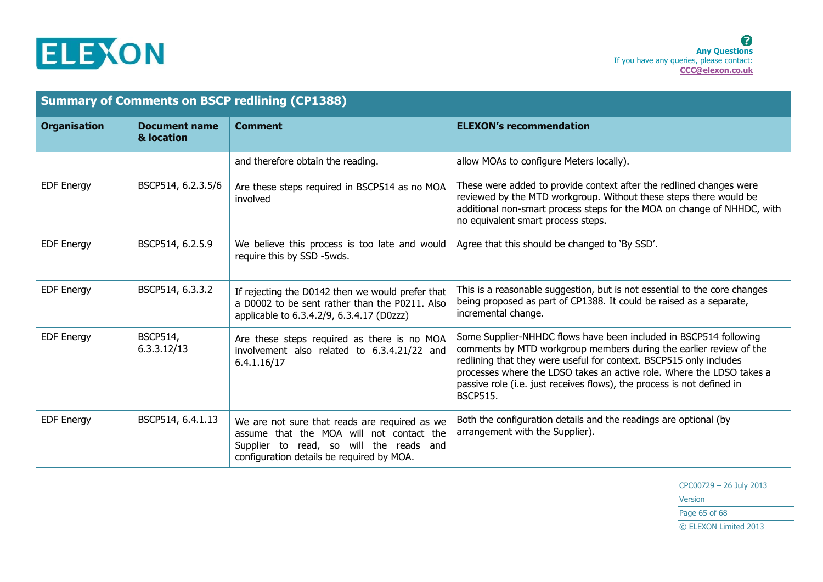

| <b>Summary of Comments on BSCP redlining (CP1388)</b> |                                    |                                                                                                                                                                                   |                                                                                                                                                                                                                                                                                                                                                                                     |
|-------------------------------------------------------|------------------------------------|-----------------------------------------------------------------------------------------------------------------------------------------------------------------------------------|-------------------------------------------------------------------------------------------------------------------------------------------------------------------------------------------------------------------------------------------------------------------------------------------------------------------------------------------------------------------------------------|
| <b>Organisation</b>                                   | <b>Document name</b><br>& location | <b>Comment</b>                                                                                                                                                                    | <b>ELEXON's recommendation</b>                                                                                                                                                                                                                                                                                                                                                      |
|                                                       |                                    | and therefore obtain the reading.                                                                                                                                                 | allow MOAs to configure Meters locally).                                                                                                                                                                                                                                                                                                                                            |
| <b>EDF Energy</b>                                     | BSCP514, 6.2.3.5/6                 | Are these steps required in BSCP514 as no MOA<br>involved                                                                                                                         | These were added to provide context after the redlined changes were<br>reviewed by the MTD workgroup. Without these steps there would be<br>additional non-smart process steps for the MOA on change of NHHDC, with<br>no equivalent smart process steps.                                                                                                                           |
| <b>EDF Energy</b>                                     | BSCP514, 6.2.5.9                   | We believe this process is too late and would<br>require this by SSD -5wds.                                                                                                       | Agree that this should be changed to 'By SSD'.                                                                                                                                                                                                                                                                                                                                      |
| <b>EDF Energy</b>                                     | BSCP514, 6.3.3.2                   | If rejecting the D0142 then we would prefer that<br>a D0002 to be sent rather than the P0211. Also<br>applicable to 6.3.4.2/9, 6.3.4.17 (D0zzz)                                   | This is a reasonable suggestion, but is not essential to the core changes<br>being proposed as part of CP1388. It could be raised as a separate,<br>incremental change.                                                                                                                                                                                                             |
| <b>EDF Energy</b>                                     | <b>BSCP514,</b><br>6.3.3.12/13     | Are these steps required as there is no MOA<br>involvement also related to 6.3.4.21/22 and<br>6.4.1.16/17                                                                         | Some Supplier-NHHDC flows have been included in BSCP514 following<br>comments by MTD workgroup members during the earlier review of the<br>redlining that they were useful for context. BSCP515 only includes<br>processes where the LDSO takes an active role. Where the LDSO takes a<br>passive role (i.e. just receives flows), the process is not defined in<br><b>BSCP515.</b> |
| <b>EDF Energy</b>                                     | BSCP514, 6.4.1.13                  | We are not sure that reads are required as we<br>assume that the MOA will not contact the<br>Supplier to read, so will the reads and<br>configuration details be required by MOA. | Both the configuration details and the readings are optional (by<br>arrangement with the Supplier).                                                                                                                                                                                                                                                                                 |

CPC00729 – 26 July 2013 **Version** Page 65 of 68 © ELEXON Limited 2013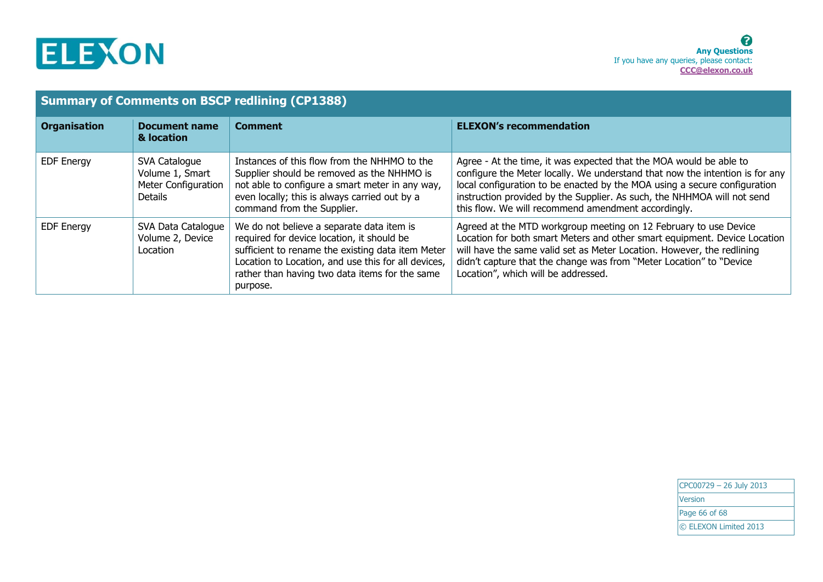

| <b>Summary of Comments on BSCP redlining (CP1388)</b> |                                                                                  |                                                                                                                                                                                                                                                                   |                                                                                                                                                                                                                                                                                                                                                                   |
|-------------------------------------------------------|----------------------------------------------------------------------------------|-------------------------------------------------------------------------------------------------------------------------------------------------------------------------------------------------------------------------------------------------------------------|-------------------------------------------------------------------------------------------------------------------------------------------------------------------------------------------------------------------------------------------------------------------------------------------------------------------------------------------------------------------|
| <b>Organisation</b>                                   | <b>Document name</b><br>& location                                               | <b>Comment</b>                                                                                                                                                                                                                                                    | <b>ELEXON's recommendation</b>                                                                                                                                                                                                                                                                                                                                    |
| <b>EDF Energy</b>                                     | SVA Catalogue<br>Volume 1, Smart<br><b>Meter Configuration</b><br><b>Details</b> | Instances of this flow from the NHHMO to the<br>Supplier should be removed as the NHHMO is<br>not able to configure a smart meter in any way,<br>even locally; this is always carried out by a<br>command from the Supplier.                                      | Agree - At the time, it was expected that the MOA would be able to<br>configure the Meter locally. We understand that now the intention is for any<br>local configuration to be enacted by the MOA using a secure configuration<br>instruction provided by the Supplier. As such, the NHHMOA will not send<br>this flow. We will recommend amendment accordingly. |
| <b>EDF Energy</b>                                     | SVA Data Catalogue<br>Volume 2, Device<br>Location                               | We do not believe a separate data item is<br>required for device location, it should be<br>sufficient to rename the existing data item Meter<br>Location to Location, and use this for all devices,<br>rather than having two data items for the same<br>purpose. | Agreed at the MTD workgroup meeting on 12 February to use Device<br>Location for both smart Meters and other smart equipment. Device Location<br>will have the same valid set as Meter Location. However, the redlining<br>didn't capture that the change was from "Meter Location" to "Device<br>Location", which will be addressed.                             |

CPC00729 – 26 July 2013 **Version** Page 66 of 68 © ELEXON Limited 2013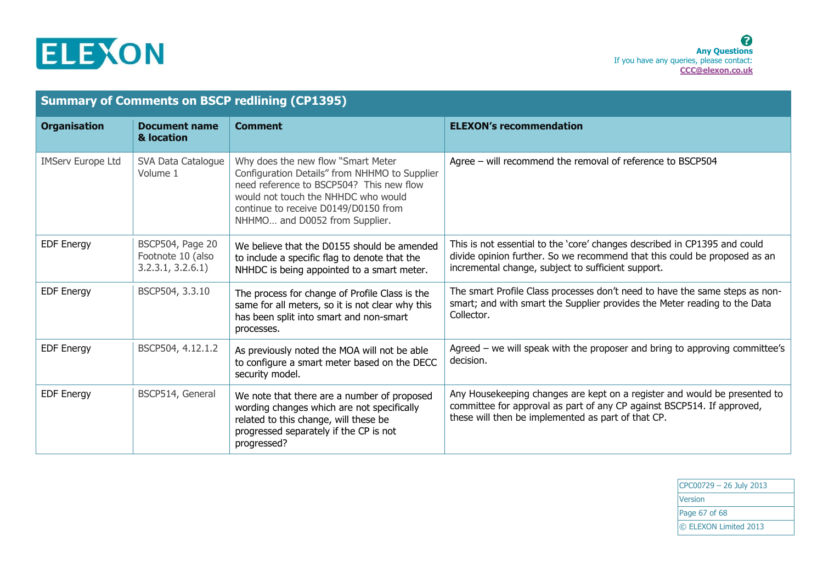

| <b>Summary of Comments on BSCP redlining (CP1395)</b> |                                                           |                                                                                                                                                                                                                                                  |                                                                                                                                                                                                              |
|-------------------------------------------------------|-----------------------------------------------------------|--------------------------------------------------------------------------------------------------------------------------------------------------------------------------------------------------------------------------------------------------|--------------------------------------------------------------------------------------------------------------------------------------------------------------------------------------------------------------|
| <b>Organisation</b>                                   | <b>Document name</b><br>& location                        | <b>Comment</b>                                                                                                                                                                                                                                   | <b>ELEXON's recommendation</b>                                                                                                                                                                               |
| <b>IMServ Europe Ltd</b>                              | SVA Data Catalogue<br>Volume 1                            | Why does the new flow "Smart Meter<br>Configuration Details" from NHHMO to Supplier<br>need reference to BSCP504? This new flow<br>would not touch the NHHDC who would<br>continue to receive D0149/D0150 from<br>NHHMO and D0052 from Supplier. | Agree - will recommend the removal of reference to BSCP504                                                                                                                                                   |
| <b>EDF Energy</b>                                     | BSCP504, Page 20<br>Footnote 10 (also<br>3.2.3.1, 3.2.6.1 | We believe that the D0155 should be amended<br>to include a specific flag to denote that the<br>NHHDC is being appointed to a smart meter.                                                                                                       | This is not essential to the 'core' changes described in CP1395 and could<br>divide opinion further. So we recommend that this could be proposed as an<br>incremental change, subject to sufficient support. |
| <b>EDF Energy</b>                                     | BSCP504, 3.3.10                                           | The process for change of Profile Class is the<br>same for all meters, so it is not clear why this<br>has been split into smart and non-smart<br>processes.                                                                                      | The smart Profile Class processes don't need to have the same steps as non-<br>smart; and with smart the Supplier provides the Meter reading to the Data<br>Collector.                                       |
| <b>EDF Energy</b>                                     | BSCP504, 4.12.1.2                                         | As previously noted the MOA will not be able<br>to configure a smart meter based on the DECC<br>security model.                                                                                                                                  | Agreed $-$ we will speak with the proposer and bring to approving committee's<br>decision.                                                                                                                   |
| <b>EDF Energy</b>                                     | BSCP514, General                                          | We note that there are a number of proposed<br>wording changes which are not specifically<br>related to this change, will these be<br>progressed separately if the CP is not<br>progressed?                                                      | Any Housekeeping changes are kept on a register and would be presented to<br>committee for approval as part of any CP against BSCP514. If approved,<br>these will then be implemented as part of that CP.    |

CPC00729 – 26 July 2013 **Version** Page 67 of 68 © ELEXON Limited 2013